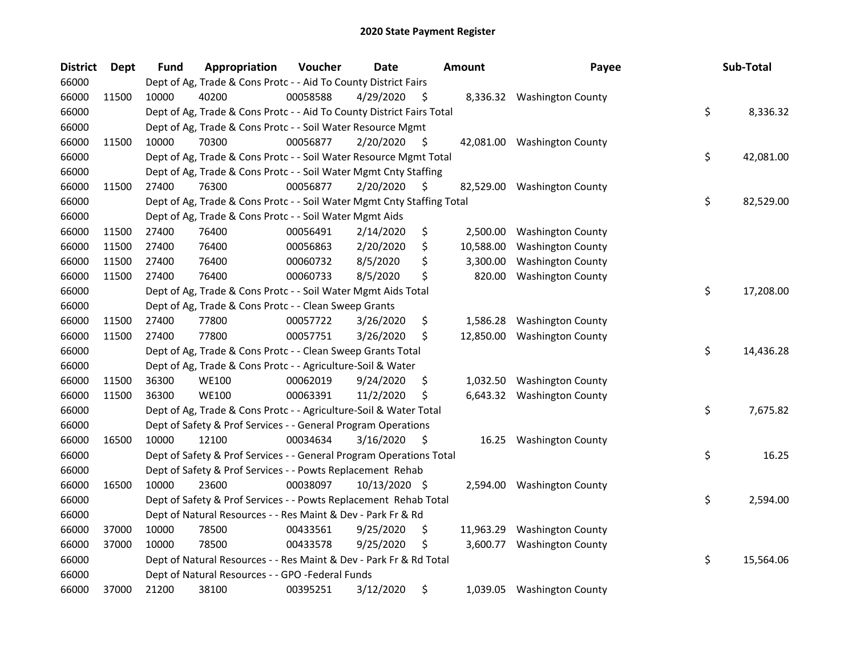| <b>District</b> | <b>Dept</b> | <b>Fund</b> | Appropriation                                                          | Voucher  | <b>Date</b>   |     | <b>Amount</b> | Payee                       | Sub-Total       |
|-----------------|-------------|-------------|------------------------------------------------------------------------|----------|---------------|-----|---------------|-----------------------------|-----------------|
| 66000           |             |             | Dept of Ag, Trade & Cons Protc - - Aid To County District Fairs        |          |               |     |               |                             |                 |
| 66000           | 11500       | 10000       | 40200                                                                  | 00058588 | 4/29/2020     | \$. | 8,336.32      | <b>Washington County</b>    |                 |
| 66000           |             |             | Dept of Ag, Trade & Cons Protc - - Aid To County District Fairs Total  |          |               |     |               |                             | \$<br>8,336.32  |
| 66000           |             |             | Dept of Ag, Trade & Cons Protc - - Soil Water Resource Mgmt            |          |               |     |               |                             |                 |
| 66000           | 11500       | 10000       | 70300                                                                  | 00056877 | 2/20/2020     | \$. |               | 42,081.00 Washington County |                 |
| 66000           |             |             | Dept of Ag, Trade & Cons Protc - - Soil Water Resource Mgmt Total      |          |               |     |               |                             | \$<br>42,081.00 |
| 66000           |             |             | Dept of Ag, Trade & Cons Protc - - Soil Water Mgmt Cnty Staffing       |          |               |     |               |                             |                 |
| 66000           | 11500       | 27400       | 76300                                                                  | 00056877 | 2/20/2020     | \$  |               | 82,529.00 Washington County |                 |
| 66000           |             |             | Dept of Ag, Trade & Cons Protc - - Soil Water Mgmt Cnty Staffing Total |          |               |     |               |                             | \$<br>82,529.00 |
| 66000           |             |             | Dept of Ag, Trade & Cons Protc - - Soil Water Mgmt Aids                |          |               |     |               |                             |                 |
| 66000           | 11500       | 27400       | 76400                                                                  | 00056491 | 2/14/2020     | \$  | 2,500.00      | <b>Washington County</b>    |                 |
| 66000           | 11500       | 27400       | 76400                                                                  | 00056863 | 2/20/2020     | \$  | 10,588.00     | <b>Washington County</b>    |                 |
| 66000           | 11500       | 27400       | 76400                                                                  | 00060732 | 8/5/2020      | \$  | 3,300.00      | <b>Washington County</b>    |                 |
| 66000           | 11500       | 27400       | 76400                                                                  | 00060733 | 8/5/2020      | \$  | 820.00        | <b>Washington County</b>    |                 |
| 66000           |             |             | Dept of Ag, Trade & Cons Protc - - Soil Water Mgmt Aids Total          |          |               |     |               |                             | \$<br>17,208.00 |
| 66000           |             |             | Dept of Ag, Trade & Cons Protc - - Clean Sweep Grants                  |          |               |     |               |                             |                 |
| 66000           | 11500       | 27400       | 77800                                                                  | 00057722 | 3/26/2020     | \$  | 1,586.28      | <b>Washington County</b>    |                 |
| 66000           | 11500       | 27400       | 77800                                                                  | 00057751 | 3/26/2020     | \$  | 12,850.00     | <b>Washington County</b>    |                 |
| 66000           |             |             | Dept of Ag, Trade & Cons Protc - - Clean Sweep Grants Total            |          |               |     |               |                             | \$<br>14,436.28 |
| 66000           |             |             | Dept of Ag, Trade & Cons Protc - - Agriculture-Soil & Water            |          |               |     |               |                             |                 |
| 66000           | 11500       | 36300       | <b>WE100</b>                                                           | 00062019 | 9/24/2020     | \$  |               | 1,032.50 Washington County  |                 |
| 66000           | 11500       | 36300       | <b>WE100</b>                                                           | 00063391 | 11/2/2020     | \$  |               | 6,643.32 Washington County  |                 |
| 66000           |             |             | Dept of Ag, Trade & Cons Protc - - Agriculture-Soil & Water Total      |          |               |     |               |                             | \$<br>7,675.82  |
| 66000           |             |             | Dept of Safety & Prof Services - - General Program Operations          |          |               |     |               |                             |                 |
| 66000           | 16500       | 10000       | 12100                                                                  | 00034634 | 3/16/2020     | \$. | 16.25         | <b>Washington County</b>    |                 |
| 66000           |             |             | Dept of Safety & Prof Services - - General Program Operations Total    |          |               |     |               |                             | \$<br>16.25     |
| 66000           |             |             | Dept of Safety & Prof Services - - Powts Replacement Rehab             |          |               |     |               |                             |                 |
| 66000           | 16500       | 10000       | 23600                                                                  | 00038097 | 10/13/2020 \$ |     | 2,594.00      | <b>Washington County</b>    |                 |
| 66000           |             |             | Dept of Safety & Prof Services - - Powts Replacement Rehab Total       |          |               |     |               |                             | \$<br>2,594.00  |
| 66000           |             |             | Dept of Natural Resources - - Res Maint & Dev - Park Fr & Rd           |          |               |     |               |                             |                 |
| 66000           | 37000       | 10000       | 78500                                                                  | 00433561 | 9/25/2020     | \$  | 11,963.29     | <b>Washington County</b>    |                 |
| 66000           | 37000       | 10000       | 78500                                                                  | 00433578 | 9/25/2020     | \$  | 3,600.77      | <b>Washington County</b>    |                 |
| 66000           |             |             | Dept of Natural Resources - - Res Maint & Dev - Park Fr & Rd Total     |          |               |     |               |                             | \$<br>15,564.06 |
| 66000           |             |             | Dept of Natural Resources - - GPO -Federal Funds                       |          |               |     |               |                             |                 |
| 66000           | 37000       | 21200       | 38100                                                                  | 00395251 | 3/12/2020     | \$  |               | 1,039.05 Washington County  |                 |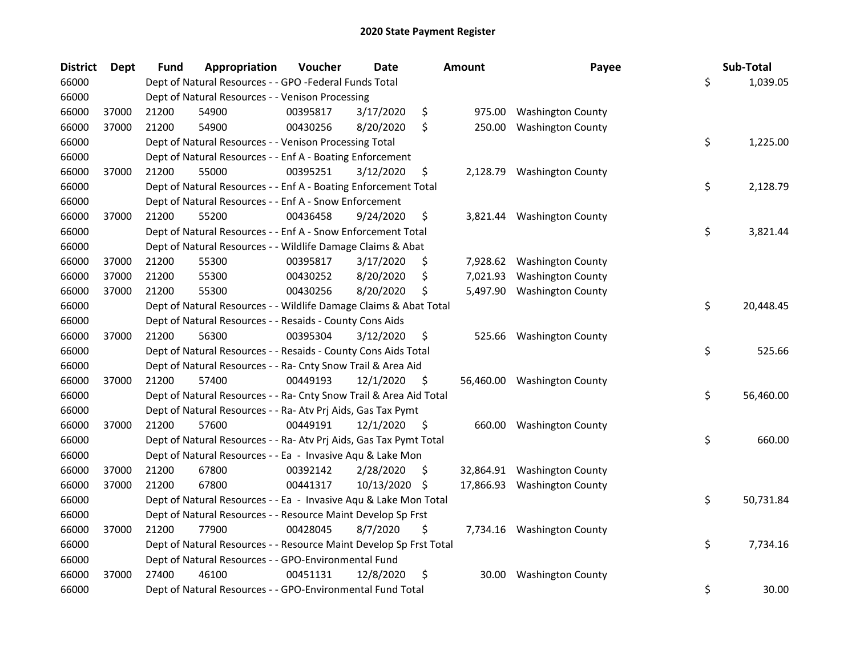| <b>District</b> | <b>Dept</b> | Fund  | Appropriation                                                      | Voucher  | <b>Date</b> |     | Amount   | Payee                       | Sub-Total       |
|-----------------|-------------|-------|--------------------------------------------------------------------|----------|-------------|-----|----------|-----------------------------|-----------------|
| 66000           |             |       | Dept of Natural Resources - - GPO -Federal Funds Total             |          |             |     |          |                             | \$<br>1,039.05  |
| 66000           |             |       | Dept of Natural Resources - - Venison Processing                   |          |             |     |          |                             |                 |
| 66000           | 37000       | 21200 | 54900                                                              | 00395817 | 3/17/2020   | \$  | 975.00   | <b>Washington County</b>    |                 |
| 66000           | 37000       | 21200 | 54900                                                              | 00430256 | 8/20/2020   | \$  | 250.00   | <b>Washington County</b>    |                 |
| 66000           |             |       | Dept of Natural Resources - - Venison Processing Total             |          |             |     |          |                             | \$<br>1,225.00  |
| 66000           |             |       | Dept of Natural Resources - - Enf A - Boating Enforcement          |          |             |     |          |                             |                 |
| 66000           | 37000       | 21200 | 55000                                                              | 00395251 | 3/12/2020   | \$  |          | 2,128.79 Washington County  |                 |
| 66000           |             |       | Dept of Natural Resources - - Enf A - Boating Enforcement Total    |          |             |     |          |                             | \$<br>2,128.79  |
| 66000           |             |       | Dept of Natural Resources - - Enf A - Snow Enforcement             |          |             |     |          |                             |                 |
| 66000           | 37000       | 21200 | 55200                                                              | 00436458 | 9/24/2020   | \$  |          | 3,821.44 Washington County  |                 |
| 66000           |             |       | Dept of Natural Resources - - Enf A - Snow Enforcement Total       |          |             |     |          |                             | \$<br>3,821.44  |
| 66000           |             |       | Dept of Natural Resources - - Wildlife Damage Claims & Abat        |          |             |     |          |                             |                 |
| 66000           | 37000       | 21200 | 55300                                                              | 00395817 | 3/17/2020   | Ş   |          | 7,928.62 Washington County  |                 |
| 66000           | 37000       | 21200 | 55300                                                              | 00430252 | 8/20/2020   | \$  | 7,021.93 | <b>Washington County</b>    |                 |
| 66000           | 37000       | 21200 | 55300                                                              | 00430256 | 8/20/2020   | \$  | 5,497.90 | <b>Washington County</b>    |                 |
| 66000           |             |       | Dept of Natural Resources - - Wildlife Damage Claims & Abat Total  |          |             |     |          |                             | \$<br>20,448.45 |
| 66000           |             |       | Dept of Natural Resources - - Resaids - County Cons Aids           |          |             |     |          |                             |                 |
| 66000           | 37000       | 21200 | 56300                                                              | 00395304 | 3/12/2020   | \$  | 525.66   | <b>Washington County</b>    |                 |
| 66000           |             |       | Dept of Natural Resources - - Resaids - County Cons Aids Total     |          |             |     |          |                             | \$<br>525.66    |
| 66000           |             |       | Dept of Natural Resources - - Ra- Cnty Snow Trail & Area Aid       |          |             |     |          |                             |                 |
| 66000           | 37000       | 21200 | 57400                                                              | 00449193 | 12/1/2020   | \$  |          | 56,460.00 Washington County |                 |
| 66000           |             |       | Dept of Natural Resources - - Ra- Cnty Snow Trail & Area Aid Total |          |             |     |          |                             | \$<br>56,460.00 |
| 66000           |             |       | Dept of Natural Resources - - Ra- Atv Prj Aids, Gas Tax Pymt       |          |             |     |          |                             |                 |
| 66000           | 37000       | 21200 | 57600                                                              | 00449191 | 12/1/2020   | \$  | 660.00   | <b>Washington County</b>    |                 |
| 66000           |             |       | Dept of Natural Resources - - Ra- Atv Prj Aids, Gas Tax Pymt Total |          |             |     |          |                             | \$<br>660.00    |
| 66000           |             |       | Dept of Natural Resources - - Ea - Invasive Aqu & Lake Mon         |          |             |     |          |                             |                 |
| 66000           | 37000       | 21200 | 67800                                                              | 00392142 | 2/28/2020   | \$. |          | 32,864.91 Washington County |                 |
| 66000           | 37000       | 21200 | 67800                                                              | 00441317 | 10/13/2020  | -\$ |          | 17,866.93 Washington County |                 |
| 66000           |             |       | Dept of Natural Resources - - Ea - Invasive Aqu & Lake Mon Total   |          |             |     |          |                             | \$<br>50,731.84 |
| 66000           |             |       | Dept of Natural Resources - - Resource Maint Develop Sp Frst       |          |             |     |          |                             |                 |
| 66000           | 37000       | 21200 | 77900                                                              | 00428045 | 8/7/2020    | \$  |          | 7,734.16 Washington County  |                 |
| 66000           |             |       | Dept of Natural Resources - - Resource Maint Develop Sp Frst Total |          |             |     |          |                             | \$<br>7,734.16  |
| 66000           |             |       | Dept of Natural Resources - - GPO-Environmental Fund               |          |             |     |          |                             |                 |
| 66000           | 37000       | 27400 | 46100                                                              | 00451131 | 12/8/2020   | \$  | 30.00    | <b>Washington County</b>    |                 |
| 66000           |             |       | Dept of Natural Resources - - GPO-Environmental Fund Total         |          |             |     |          |                             | \$<br>30.00     |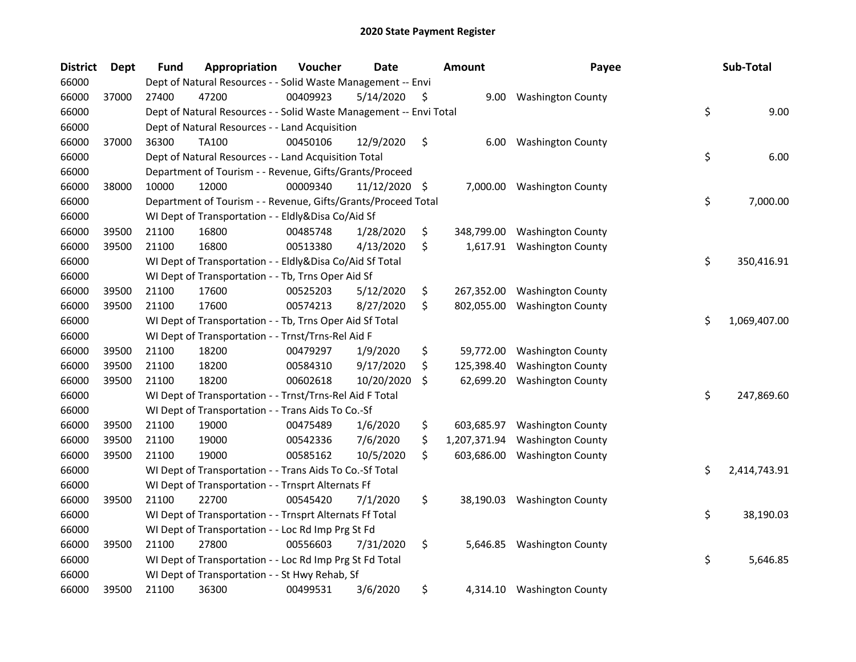| <b>District</b> | Dept  | Fund  | Appropriation                                                      | Voucher  | <b>Date</b>   |     | <b>Amount</b> | Payee                       | Sub-Total          |
|-----------------|-------|-------|--------------------------------------------------------------------|----------|---------------|-----|---------------|-----------------------------|--------------------|
| 66000           |       |       | Dept of Natural Resources - - Solid Waste Management -- Envi       |          |               |     |               |                             |                    |
| 66000           | 37000 | 27400 | 47200                                                              | 00409923 | 5/14/2020     | \$. | 9.00          | <b>Washington County</b>    |                    |
| 66000           |       |       | Dept of Natural Resources - - Solid Waste Management -- Envi Total |          |               |     |               |                             | \$<br>9.00         |
| 66000           |       |       | Dept of Natural Resources - - Land Acquisition                     |          |               |     |               |                             |                    |
| 66000           | 37000 | 36300 | <b>TA100</b>                                                       | 00450106 | 12/9/2020     | \$  | 6.00          | <b>Washington County</b>    |                    |
| 66000           |       |       | Dept of Natural Resources - - Land Acquisition Total               |          |               |     |               |                             | \$<br>6.00         |
| 66000           |       |       | Department of Tourism - - Revenue, Gifts/Grants/Proceed            |          |               |     |               |                             |                    |
| 66000           | 38000 | 10000 | 12000                                                              | 00009340 | 11/12/2020 \$ |     | 7,000.00      | <b>Washington County</b>    |                    |
| 66000           |       |       | Department of Tourism - - Revenue, Gifts/Grants/Proceed Total      |          |               |     |               |                             | \$<br>7,000.00     |
| 66000           |       |       | WI Dept of Transportation - - Eldly&Disa Co/Aid Sf                 |          |               |     |               |                             |                    |
| 66000           | 39500 | 21100 | 16800                                                              | 00485748 | 1/28/2020     | \$  | 348,799.00    | <b>Washington County</b>    |                    |
| 66000           | 39500 | 21100 | 16800                                                              | 00513380 | 4/13/2020     | \$  | 1,617.91      | <b>Washington County</b>    |                    |
| 66000           |       |       | WI Dept of Transportation - - Eldly&Disa Co/Aid Sf Total           |          |               |     |               |                             | \$<br>350,416.91   |
| 66000           |       |       | WI Dept of Transportation - - Tb, Trns Oper Aid Sf                 |          |               |     |               |                             |                    |
| 66000           | 39500 | 21100 | 17600                                                              | 00525203 | 5/12/2020     | \$  | 267,352.00    | <b>Washington County</b>    |                    |
| 66000           | 39500 | 21100 | 17600                                                              | 00574213 | 8/27/2020     | \$  | 802,055.00    | <b>Washington County</b>    |                    |
| 66000           |       |       | WI Dept of Transportation - - Tb, Trns Oper Aid Sf Total           |          |               |     |               |                             | \$<br>1,069,407.00 |
| 66000           |       |       | WI Dept of Transportation - - Trnst/Trns-Rel Aid F                 |          |               |     |               |                             |                    |
| 66000           | 39500 | 21100 | 18200                                                              | 00479297 | 1/9/2020      | \$  | 59,772.00     | <b>Washington County</b>    |                    |
| 66000           | 39500 | 21100 | 18200                                                              | 00584310 | 9/17/2020     | \$  | 125,398.40    | <b>Washington County</b>    |                    |
| 66000           | 39500 | 21100 | 18200                                                              | 00602618 | 10/20/2020    | \$  | 62,699.20     | <b>Washington County</b>    |                    |
| 66000           |       |       | WI Dept of Transportation - - Trnst/Trns-Rel Aid F Total           |          |               |     |               |                             | \$<br>247,869.60   |
| 66000           |       |       | WI Dept of Transportation - - Trans Aids To Co.-Sf                 |          |               |     |               |                             |                    |
| 66000           | 39500 | 21100 | 19000                                                              | 00475489 | 1/6/2020      | \$  | 603,685.97    | <b>Washington County</b>    |                    |
| 66000           | 39500 | 21100 | 19000                                                              | 00542336 | 7/6/2020      | \$  | 1,207,371.94  | <b>Washington County</b>    |                    |
| 66000           | 39500 | 21100 | 19000                                                              | 00585162 | 10/5/2020     | \$  | 603,686.00    | <b>Washington County</b>    |                    |
| 66000           |       |       | WI Dept of Transportation - - Trans Aids To Co.-Sf Total           |          |               |     |               |                             | \$<br>2,414,743.91 |
| 66000           |       |       | WI Dept of Transportation - - Trnsprt Alternats Ff                 |          |               |     |               |                             |                    |
| 66000           | 39500 | 21100 | 22700                                                              | 00545420 | 7/1/2020      | \$  |               | 38,190.03 Washington County |                    |
| 66000           |       |       | WI Dept of Transportation - - Trnsprt Alternats Ff Total           |          |               |     |               |                             | \$<br>38,190.03    |
| 66000           |       |       | WI Dept of Transportation - - Loc Rd Imp Prg St Fd                 |          |               |     |               |                             |                    |
| 66000           | 39500 | 21100 | 27800                                                              | 00556603 | 7/31/2020     | \$  | 5,646.85      | <b>Washington County</b>    |                    |
| 66000           |       |       | WI Dept of Transportation - - Loc Rd Imp Prg St Fd Total           |          |               |     |               |                             | \$<br>5,646.85     |
| 66000           |       |       | WI Dept of Transportation - - St Hwy Rehab, Sf                     |          |               |     |               |                             |                    |
| 66000           | 39500 | 21100 | 36300                                                              | 00499531 | 3/6/2020      | \$  |               | 4,314.10 Washington County  |                    |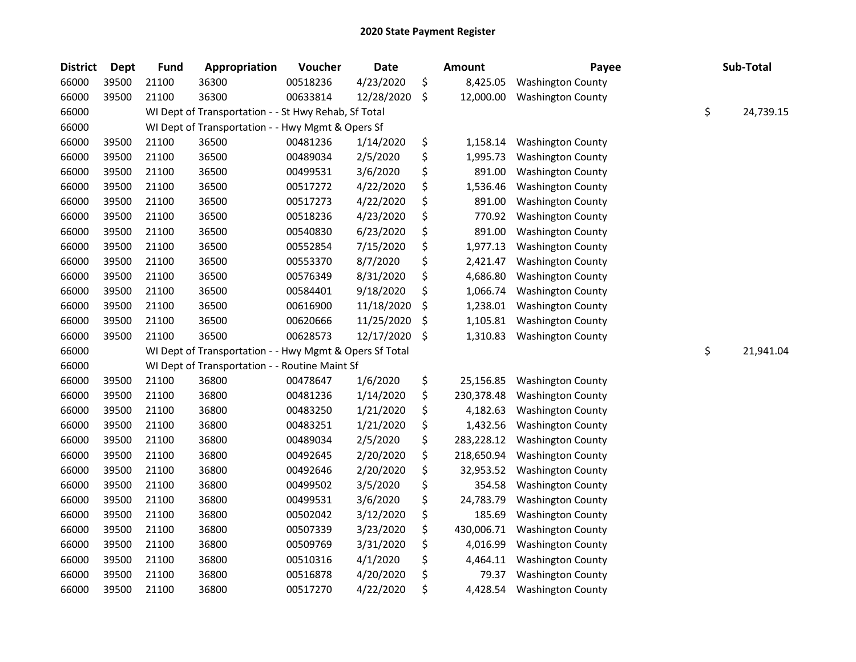| <b>District</b> | <b>Dept</b> | <b>Fund</b> | Appropriation                                           | Voucher  | Date       |         | <b>Amount</b> | Payee                    | Sub-Total       |
|-----------------|-------------|-------------|---------------------------------------------------------|----------|------------|---------|---------------|--------------------------|-----------------|
| 66000           | 39500       | 21100       | 36300                                                   | 00518236 | 4/23/2020  | \$      | 8,425.05      | <b>Washington County</b> |                 |
| 66000           | 39500       | 21100       | 36300                                                   | 00633814 | 12/28/2020 | $\zeta$ | 12,000.00     | <b>Washington County</b> |                 |
| 66000           |             |             | WI Dept of Transportation - - St Hwy Rehab, Sf Total    |          |            |         |               |                          | \$<br>24,739.15 |
| 66000           |             |             | WI Dept of Transportation - - Hwy Mgmt & Opers Sf       |          |            |         |               |                          |                 |
| 66000           | 39500       | 21100       | 36500                                                   | 00481236 | 1/14/2020  | \$      | 1,158.14      | <b>Washington County</b> |                 |
| 66000           | 39500       | 21100       | 36500                                                   | 00489034 | 2/5/2020   | \$      | 1,995.73      | <b>Washington County</b> |                 |
| 66000           | 39500       | 21100       | 36500                                                   | 00499531 | 3/6/2020   | \$      | 891.00        | <b>Washington County</b> |                 |
| 66000           | 39500       | 21100       | 36500                                                   | 00517272 | 4/22/2020  | \$      | 1,536.46      | <b>Washington County</b> |                 |
| 66000           | 39500       | 21100       | 36500                                                   | 00517273 | 4/22/2020  | \$      | 891.00        | <b>Washington County</b> |                 |
| 66000           | 39500       | 21100       | 36500                                                   | 00518236 | 4/23/2020  | \$      | 770.92        | <b>Washington County</b> |                 |
| 66000           | 39500       | 21100       | 36500                                                   | 00540830 | 6/23/2020  | \$      | 891.00        | <b>Washington County</b> |                 |
| 66000           | 39500       | 21100       | 36500                                                   | 00552854 | 7/15/2020  | \$      | 1,977.13      | <b>Washington County</b> |                 |
| 66000           | 39500       | 21100       | 36500                                                   | 00553370 | 8/7/2020   | \$      | 2,421.47      | <b>Washington County</b> |                 |
| 66000           | 39500       | 21100       | 36500                                                   | 00576349 | 8/31/2020  | \$      | 4,686.80      | <b>Washington County</b> |                 |
| 66000           | 39500       | 21100       | 36500                                                   | 00584401 | 9/18/2020  | \$      | 1,066.74      | <b>Washington County</b> |                 |
| 66000           | 39500       | 21100       | 36500                                                   | 00616900 | 11/18/2020 | \$      | 1,238.01      | <b>Washington County</b> |                 |
| 66000           | 39500       | 21100       | 36500                                                   | 00620666 | 11/25/2020 | \$      | 1,105.81      | <b>Washington County</b> |                 |
| 66000           | 39500       | 21100       | 36500                                                   | 00628573 | 12/17/2020 | \$      | 1,310.83      | <b>Washington County</b> |                 |
| 66000           |             |             | WI Dept of Transportation - - Hwy Mgmt & Opers Sf Total |          |            |         |               |                          | \$<br>21,941.04 |
| 66000           |             |             | WI Dept of Transportation - - Routine Maint Sf          |          |            |         |               |                          |                 |
| 66000           | 39500       | 21100       | 36800                                                   | 00478647 | 1/6/2020   | \$      | 25,156.85     | <b>Washington County</b> |                 |
| 66000           | 39500       | 21100       | 36800                                                   | 00481236 | 1/14/2020  | \$      | 230,378.48    | <b>Washington County</b> |                 |
| 66000           | 39500       | 21100       | 36800                                                   | 00483250 | 1/21/2020  | \$      | 4,182.63      | <b>Washington County</b> |                 |
| 66000           | 39500       | 21100       | 36800                                                   | 00483251 | 1/21/2020  | \$      | 1,432.56      | <b>Washington County</b> |                 |
| 66000           | 39500       | 21100       | 36800                                                   | 00489034 | 2/5/2020   | \$      | 283,228.12    | <b>Washington County</b> |                 |
| 66000           | 39500       | 21100       | 36800                                                   | 00492645 | 2/20/2020  | \$      | 218,650.94    | <b>Washington County</b> |                 |
| 66000           | 39500       | 21100       | 36800                                                   | 00492646 | 2/20/2020  | \$      | 32,953.52     | <b>Washington County</b> |                 |
| 66000           | 39500       | 21100       | 36800                                                   | 00499502 | 3/5/2020   | \$      | 354.58        | <b>Washington County</b> |                 |
| 66000           | 39500       | 21100       | 36800                                                   | 00499531 | 3/6/2020   | \$      | 24,783.79     | <b>Washington County</b> |                 |
| 66000           | 39500       | 21100       | 36800                                                   | 00502042 | 3/12/2020  | \$      | 185.69        | <b>Washington County</b> |                 |
| 66000           | 39500       | 21100       | 36800                                                   | 00507339 | 3/23/2020  | \$      | 430,006.71    | <b>Washington County</b> |                 |
| 66000           | 39500       | 21100       | 36800                                                   | 00509769 | 3/31/2020  | \$      | 4,016.99      | <b>Washington County</b> |                 |
| 66000           | 39500       | 21100       | 36800                                                   | 00510316 | 4/1/2020   | \$      | 4,464.11      | <b>Washington County</b> |                 |
| 66000           | 39500       | 21100       | 36800                                                   | 00516878 | 4/20/2020  | \$      | 79.37         | <b>Washington County</b> |                 |
| 66000           | 39500       | 21100       | 36800                                                   | 00517270 | 4/22/2020  | \$      | 4,428.54      | <b>Washington County</b> |                 |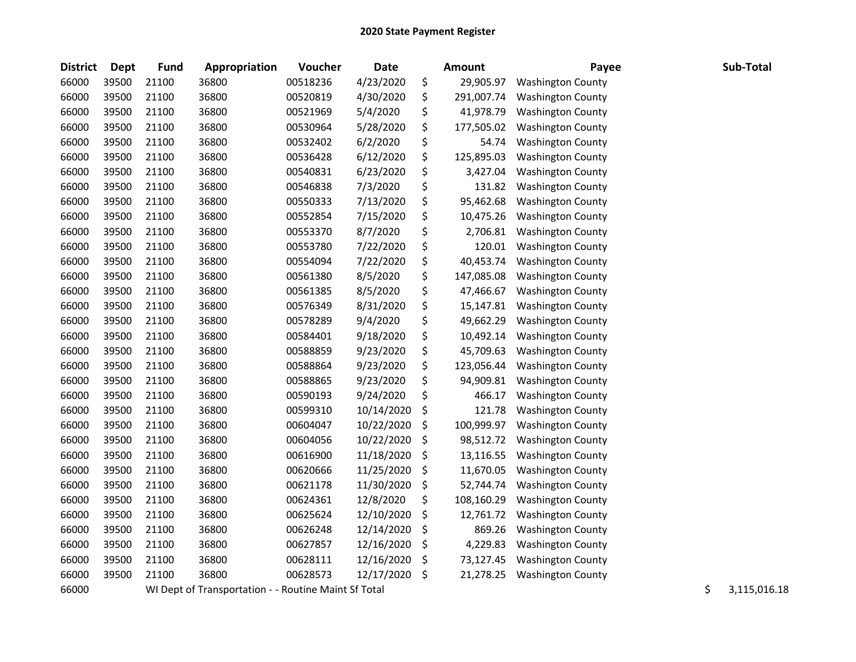| <b>District</b> | Dept  | <b>Fund</b> | Appropriation                                        | Voucher  | <b>Date</b> |     | <b>Amount</b> | Payee                    | Sub-Total          |
|-----------------|-------|-------------|------------------------------------------------------|----------|-------------|-----|---------------|--------------------------|--------------------|
| 66000           | 39500 | 21100       | 36800                                                | 00518236 | 4/23/2020   | \$  | 29,905.97     | <b>Washington County</b> |                    |
| 66000           | 39500 | 21100       | 36800                                                | 00520819 | 4/30/2020   | \$  | 291,007.74    | <b>Washington County</b> |                    |
| 66000           | 39500 | 21100       | 36800                                                | 00521969 | 5/4/2020    | \$  | 41,978.79     | <b>Washington County</b> |                    |
| 66000           | 39500 | 21100       | 36800                                                | 00530964 | 5/28/2020   | \$  | 177,505.02    | <b>Washington County</b> |                    |
| 66000           | 39500 | 21100       | 36800                                                | 00532402 | 6/2/2020    | \$  | 54.74         | <b>Washington County</b> |                    |
| 66000           | 39500 | 21100       | 36800                                                | 00536428 | 6/12/2020   | \$  | 125,895.03    | <b>Washington County</b> |                    |
| 66000           | 39500 | 21100       | 36800                                                | 00540831 | 6/23/2020   | \$  | 3,427.04      | <b>Washington County</b> |                    |
| 66000           | 39500 | 21100       | 36800                                                | 00546838 | 7/3/2020    | \$  | 131.82        | <b>Washington County</b> |                    |
| 66000           | 39500 | 21100       | 36800                                                | 00550333 | 7/13/2020   | \$  | 95,462.68     | <b>Washington County</b> |                    |
| 66000           | 39500 | 21100       | 36800                                                | 00552854 | 7/15/2020   | \$  | 10,475.26     | <b>Washington County</b> |                    |
| 66000           | 39500 | 21100       | 36800                                                | 00553370 | 8/7/2020    | \$  | 2,706.81      | <b>Washington County</b> |                    |
| 66000           | 39500 | 21100       | 36800                                                | 00553780 | 7/22/2020   | \$  | 120.01        | <b>Washington County</b> |                    |
| 66000           | 39500 | 21100       | 36800                                                | 00554094 | 7/22/2020   | \$  | 40,453.74     | <b>Washington County</b> |                    |
| 66000           | 39500 | 21100       | 36800                                                | 00561380 | 8/5/2020    | \$  | 147,085.08    | <b>Washington County</b> |                    |
| 66000           | 39500 | 21100       | 36800                                                | 00561385 | 8/5/2020    | \$  | 47,466.67     | <b>Washington County</b> |                    |
| 66000           | 39500 | 21100       | 36800                                                | 00576349 | 8/31/2020   | \$  | 15,147.81     | <b>Washington County</b> |                    |
| 66000           | 39500 | 21100       | 36800                                                | 00578289 | 9/4/2020    | \$  | 49,662.29     | <b>Washington County</b> |                    |
| 66000           | 39500 | 21100       | 36800                                                | 00584401 | 9/18/2020   | \$  | 10,492.14     | <b>Washington County</b> |                    |
| 66000           | 39500 | 21100       | 36800                                                | 00588859 | 9/23/2020   | \$  | 45,709.63     | <b>Washington County</b> |                    |
| 66000           | 39500 | 21100       | 36800                                                | 00588864 | 9/23/2020   | \$  | 123,056.44    | <b>Washington County</b> |                    |
| 66000           | 39500 | 21100       | 36800                                                | 00588865 | 9/23/2020   | \$  | 94,909.81     | <b>Washington County</b> |                    |
| 66000           | 39500 | 21100       | 36800                                                | 00590193 | 9/24/2020   | \$  | 466.17        | <b>Washington County</b> |                    |
| 66000           | 39500 | 21100       | 36800                                                | 00599310 | 10/14/2020  | \$  | 121.78        | <b>Washington County</b> |                    |
| 66000           | 39500 | 21100       | 36800                                                | 00604047 | 10/22/2020  | \$  | 100,999.97    | <b>Washington County</b> |                    |
| 66000           | 39500 | 21100       | 36800                                                | 00604056 | 10/22/2020  | \$  | 98,512.72     | <b>Washington County</b> |                    |
| 66000           | 39500 | 21100       | 36800                                                | 00616900 | 11/18/2020  | \$  | 13,116.55     | <b>Washington County</b> |                    |
| 66000           | 39500 | 21100       | 36800                                                | 00620666 | 11/25/2020  | \$  | 11,670.05     | <b>Washington County</b> |                    |
| 66000           | 39500 | 21100       | 36800                                                | 00621178 | 11/30/2020  | \$  | 52,744.74     | <b>Washington County</b> |                    |
| 66000           | 39500 | 21100       | 36800                                                | 00624361 | 12/8/2020   | \$  | 108,160.29    | <b>Washington County</b> |                    |
| 66000           | 39500 | 21100       | 36800                                                | 00625624 | 12/10/2020  | \$  | 12,761.72     | <b>Washington County</b> |                    |
| 66000           | 39500 | 21100       | 36800                                                | 00626248 | 12/14/2020  | \$  | 869.26        | <b>Washington County</b> |                    |
| 66000           | 39500 | 21100       | 36800                                                | 00627857 | 12/16/2020  | \$, | 4,229.83      | <b>Washington County</b> |                    |
| 66000           | 39500 | 21100       | 36800                                                | 00628111 | 12/16/2020  | \$  | 73,127.45     | <b>Washington County</b> |                    |
| 66000           | 39500 | 21100       | 36800                                                | 00628573 | 12/17/2020  | \$  | 21,278.25     | <b>Washington County</b> |                    |
| 66000           |       |             | WI Dept of Transportation - - Routine Maint Sf Total |          |             |     |               |                          | \$<br>3,115,016.18 |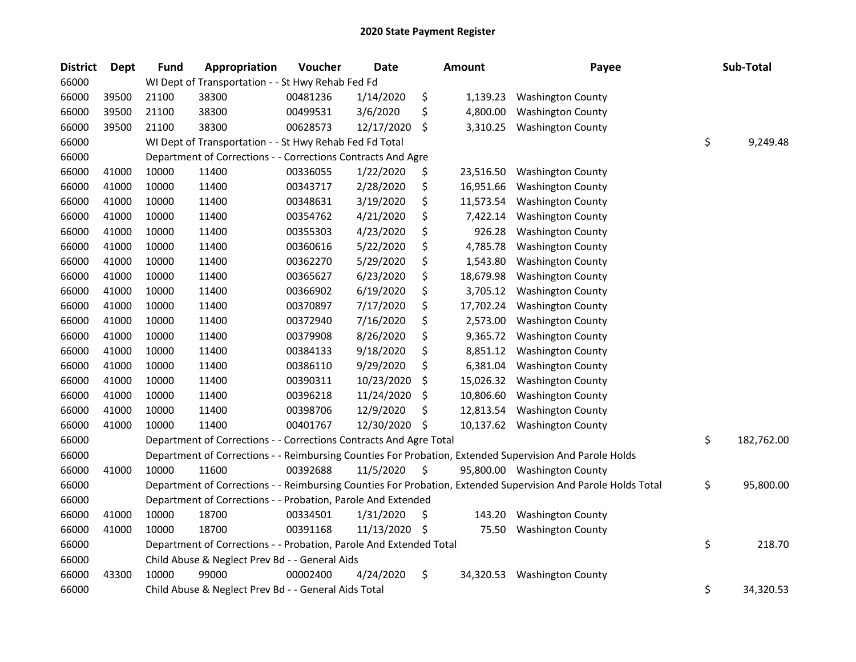| <b>District</b> | <b>Dept</b> | <b>Fund</b> | Appropriation                                                      | Voucher  | <b>Date</b> |     | <b>Amount</b> | Payee                                                                                                         | Sub-Total        |
|-----------------|-------------|-------------|--------------------------------------------------------------------|----------|-------------|-----|---------------|---------------------------------------------------------------------------------------------------------------|------------------|
| 66000           |             |             | WI Dept of Transportation - - St Hwy Rehab Fed Fd                  |          |             |     |               |                                                                                                               |                  |
| 66000           | 39500       | 21100       | 38300                                                              | 00481236 | 1/14/2020   | \$  | 1,139.23      | <b>Washington County</b>                                                                                      |                  |
| 66000           | 39500       | 21100       | 38300                                                              | 00499531 | 3/6/2020    | \$  | 4,800.00      | <b>Washington County</b>                                                                                      |                  |
| 66000           | 39500       | 21100       | 38300                                                              | 00628573 | 12/17/2020  | \$  | 3,310.25      | <b>Washington County</b>                                                                                      |                  |
| 66000           |             |             | WI Dept of Transportation - - St Hwy Rehab Fed Fd Total            |          |             |     |               |                                                                                                               | \$<br>9,249.48   |
| 66000           |             |             | Department of Corrections - - Corrections Contracts And Agre       |          |             |     |               |                                                                                                               |                  |
| 66000           | 41000       | 10000       | 11400                                                              | 00336055 | 1/22/2020   | \$  | 23,516.50     | <b>Washington County</b>                                                                                      |                  |
| 66000           | 41000       | 10000       | 11400                                                              | 00343717 | 2/28/2020   | \$  | 16,951.66     | <b>Washington County</b>                                                                                      |                  |
| 66000           | 41000       | 10000       | 11400                                                              | 00348631 | 3/19/2020   | \$  | 11,573.54     | <b>Washington County</b>                                                                                      |                  |
| 66000           | 41000       | 10000       | 11400                                                              | 00354762 | 4/21/2020   | \$  | 7,422.14      | <b>Washington County</b>                                                                                      |                  |
| 66000           | 41000       | 10000       | 11400                                                              | 00355303 | 4/23/2020   | \$  | 926.28        | <b>Washington County</b>                                                                                      |                  |
| 66000           | 41000       | 10000       | 11400                                                              | 00360616 | 5/22/2020   | \$  | 4,785.78      | <b>Washington County</b>                                                                                      |                  |
| 66000           | 41000       | 10000       | 11400                                                              | 00362270 | 5/29/2020   | \$  | 1,543.80      | <b>Washington County</b>                                                                                      |                  |
| 66000           | 41000       | 10000       | 11400                                                              | 00365627 | 6/23/2020   | \$  | 18,679.98     | <b>Washington County</b>                                                                                      |                  |
| 66000           | 41000       | 10000       | 11400                                                              | 00366902 | 6/19/2020   | \$  | 3,705.12      | <b>Washington County</b>                                                                                      |                  |
| 66000           | 41000       | 10000       | 11400                                                              | 00370897 | 7/17/2020   | \$  | 17,702.24     | <b>Washington County</b>                                                                                      |                  |
| 66000           | 41000       | 10000       | 11400                                                              | 00372940 | 7/16/2020   | \$  | 2,573.00      | <b>Washington County</b>                                                                                      |                  |
| 66000           | 41000       | 10000       | 11400                                                              | 00379908 | 8/26/2020   | \$  | 9,365.72      | <b>Washington County</b>                                                                                      |                  |
| 66000           | 41000       | 10000       | 11400                                                              | 00384133 | 9/18/2020   | \$  | 8,851.12      | <b>Washington County</b>                                                                                      |                  |
| 66000           | 41000       | 10000       | 11400                                                              | 00386110 | 9/29/2020   | \$  | 6,381.04      | <b>Washington County</b>                                                                                      |                  |
| 66000           | 41000       | 10000       | 11400                                                              | 00390311 | 10/23/2020  | \$  | 15,026.32     | <b>Washington County</b>                                                                                      |                  |
| 66000           | 41000       | 10000       | 11400                                                              | 00396218 | 11/24/2020  | \$  | 10,806.60     | <b>Washington County</b>                                                                                      |                  |
| 66000           | 41000       | 10000       | 11400                                                              | 00398706 | 12/9/2020   | \$  | 12,813.54     | <b>Washington County</b>                                                                                      |                  |
| 66000           | 41000       | 10000       | 11400                                                              | 00401767 | 12/30/2020  | \$  | 10,137.62     | <b>Washington County</b>                                                                                      |                  |
| 66000           |             |             | Department of Corrections - - Corrections Contracts And Agre Total |          |             |     |               |                                                                                                               | \$<br>182,762.00 |
| 66000           |             |             |                                                                    |          |             |     |               | Department of Corrections - - Reimbursing Counties For Probation, Extended Supervision And Parole Holds       |                  |
| 66000           | 41000       | 10000       | 11600                                                              | 00392688 | 11/5/2020   | \$  |               | 95,800.00 Washington County                                                                                   |                  |
| 66000           |             |             |                                                                    |          |             |     |               | Department of Corrections - - Reimbursing Counties For Probation, Extended Supervision And Parole Holds Total | \$<br>95,800.00  |
| 66000           |             |             | Department of Corrections - - Probation, Parole And Extended       |          |             |     |               |                                                                                                               |                  |
| 66000           | 41000       | 10000       | 18700                                                              | 00334501 | 1/31/2020   | \$  | 143.20        | <b>Washington County</b>                                                                                      |                  |
| 66000           | 41000       | 10000       | 18700                                                              | 00391168 | 11/13/2020  | \$, | 75.50         | <b>Washington County</b>                                                                                      |                  |
| 66000           |             |             | Department of Corrections - - Probation, Parole And Extended Total |          |             |     |               |                                                                                                               | \$<br>218.70     |
| 66000           |             |             | Child Abuse & Neglect Prev Bd - - General Aids                     |          |             |     |               |                                                                                                               |                  |
| 66000           | 43300       | 10000       | 99000                                                              | 00002400 | 4/24/2020   | \$  | 34,320.53     | <b>Washington County</b>                                                                                      |                  |
| 66000           |             |             | Child Abuse & Neglect Prev Bd - - General Aids Total               |          |             |     |               |                                                                                                               | \$<br>34,320.53  |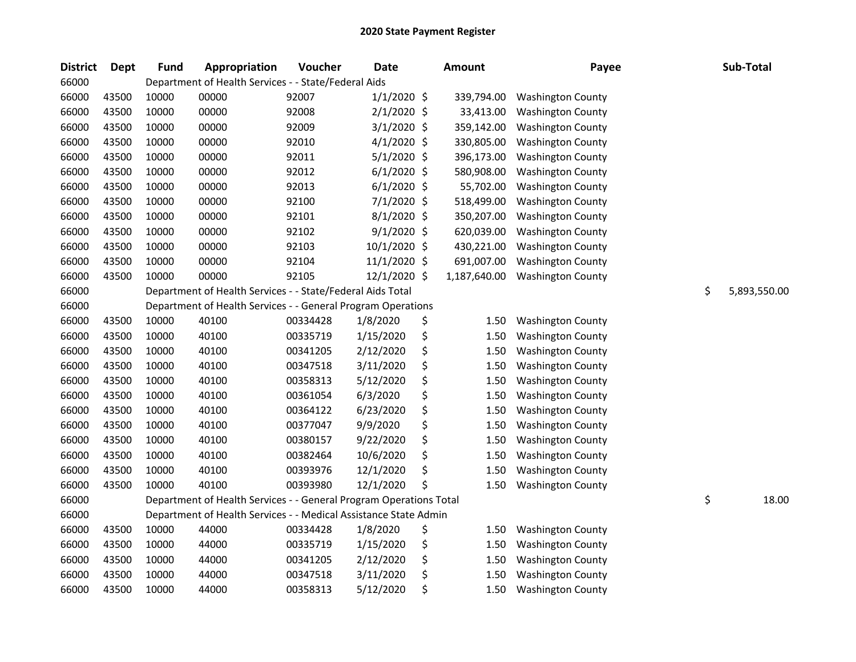| <b>District</b> | Dept  | <b>Fund</b> | Appropriation                                                      | Voucher  | <b>Date</b>   | <b>Amount</b> | Payee                    | Sub-Total          |
|-----------------|-------|-------------|--------------------------------------------------------------------|----------|---------------|---------------|--------------------------|--------------------|
| 66000           |       |             | Department of Health Services - - State/Federal Aids               |          |               |               |                          |                    |
| 66000           | 43500 | 10000       | 00000                                                              | 92007    | $1/1/2020$ \$ | 339,794.00    | <b>Washington County</b> |                    |
| 66000           | 43500 | 10000       | 00000                                                              | 92008    | 2/1/2020 \$   | 33,413.00     | <b>Washington County</b> |                    |
| 66000           | 43500 | 10000       | 00000                                                              | 92009    | $3/1/2020$ \$ | 359,142.00    | <b>Washington County</b> |                    |
| 66000           | 43500 | 10000       | 00000                                                              | 92010    | $4/1/2020$ \$ | 330,805.00    | <b>Washington County</b> |                    |
| 66000           | 43500 | 10000       | 00000                                                              | 92011    | $5/1/2020$ \$ | 396,173.00    | <b>Washington County</b> |                    |
| 66000           | 43500 | 10000       | 00000                                                              | 92012    | $6/1/2020$ \$ | 580,908.00    | <b>Washington County</b> |                    |
| 66000           | 43500 | 10000       | 00000                                                              | 92013    | $6/1/2020$ \$ | 55,702.00     | <b>Washington County</b> |                    |
| 66000           | 43500 | 10000       | 00000                                                              | 92100    | 7/1/2020 \$   | 518,499.00    | <b>Washington County</b> |                    |
| 66000           | 43500 | 10000       | 00000                                                              | 92101    | 8/1/2020 \$   | 350,207.00    | <b>Washington County</b> |                    |
| 66000           | 43500 | 10000       | 00000                                                              | 92102    | 9/1/2020 \$   | 620,039.00    | <b>Washington County</b> |                    |
| 66000           | 43500 | 10000       | 00000                                                              | 92103    | 10/1/2020 \$  | 430,221.00    | <b>Washington County</b> |                    |
| 66000           | 43500 | 10000       | 00000                                                              | 92104    | 11/1/2020 \$  | 691,007.00    | <b>Washington County</b> |                    |
| 66000           | 43500 | 10000       | 00000                                                              | 92105    | 12/1/2020 \$  | 1,187,640.00  | <b>Washington County</b> |                    |
| 66000           |       |             | Department of Health Services - - State/Federal Aids Total         |          |               |               |                          | \$<br>5,893,550.00 |
| 66000           |       |             | Department of Health Services - - General Program Operations       |          |               |               |                          |                    |
| 66000           | 43500 | 10000       | 40100                                                              | 00334428 | 1/8/2020      | \$<br>1.50    | <b>Washington County</b> |                    |
| 66000           | 43500 | 10000       | 40100                                                              | 00335719 | 1/15/2020     | \$<br>1.50    | <b>Washington County</b> |                    |
| 66000           | 43500 | 10000       | 40100                                                              | 00341205 | 2/12/2020     | \$<br>1.50    | <b>Washington County</b> |                    |
| 66000           | 43500 | 10000       | 40100                                                              | 00347518 | 3/11/2020     | \$<br>1.50    | <b>Washington County</b> |                    |
| 66000           | 43500 | 10000       | 40100                                                              | 00358313 | 5/12/2020     | \$<br>1.50    | <b>Washington County</b> |                    |
| 66000           | 43500 | 10000       | 40100                                                              | 00361054 | 6/3/2020      | \$<br>1.50    | <b>Washington County</b> |                    |
| 66000           | 43500 | 10000       | 40100                                                              | 00364122 | 6/23/2020     | \$<br>1.50    | <b>Washington County</b> |                    |
| 66000           | 43500 | 10000       | 40100                                                              | 00377047 | 9/9/2020      | \$<br>1.50    | <b>Washington County</b> |                    |
| 66000           | 43500 | 10000       | 40100                                                              | 00380157 | 9/22/2020     | \$<br>1.50    | <b>Washington County</b> |                    |
| 66000           | 43500 | 10000       | 40100                                                              | 00382464 | 10/6/2020     | \$<br>1.50    | <b>Washington County</b> |                    |
| 66000           | 43500 | 10000       | 40100                                                              | 00393976 | 12/1/2020     | \$<br>1.50    | <b>Washington County</b> |                    |
| 66000           | 43500 | 10000       | 40100                                                              | 00393980 | 12/1/2020     | \$<br>1.50    | <b>Washington County</b> |                    |
| 66000           |       |             | Department of Health Services - - General Program Operations Total |          |               |               |                          | \$<br>18.00        |
| 66000           |       |             | Department of Health Services - - Medical Assistance State Admin   |          |               |               |                          |                    |
| 66000           | 43500 | 10000       | 44000                                                              | 00334428 | 1/8/2020      | \$<br>1.50    | <b>Washington County</b> |                    |
| 66000           | 43500 | 10000       | 44000                                                              | 00335719 | 1/15/2020     | \$<br>1.50    | <b>Washington County</b> |                    |
| 66000           | 43500 | 10000       | 44000                                                              | 00341205 | 2/12/2020     | \$<br>1.50    | <b>Washington County</b> |                    |
| 66000           | 43500 | 10000       | 44000                                                              | 00347518 | 3/11/2020     | \$<br>1.50    | <b>Washington County</b> |                    |
| 66000           | 43500 | 10000       | 44000                                                              | 00358313 | 5/12/2020     | \$<br>1.50    | <b>Washington County</b> |                    |
|                 |       |             |                                                                    |          |               |               |                          |                    |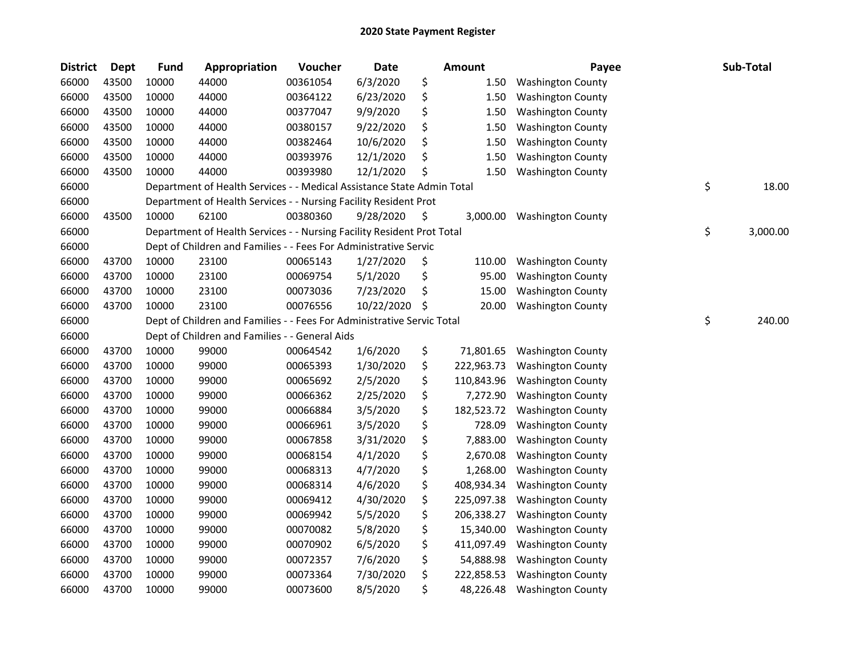| <b>District</b> | Dept  | Fund  | Appropriation                                                          | Voucher  | <b>Date</b> |    | Amount     | Payee                    | Sub-Total      |
|-----------------|-------|-------|------------------------------------------------------------------------|----------|-------------|----|------------|--------------------------|----------------|
| 66000           | 43500 | 10000 | 44000                                                                  | 00361054 | 6/3/2020    | \$ | 1.50       | <b>Washington County</b> |                |
| 66000           | 43500 | 10000 | 44000                                                                  | 00364122 | 6/23/2020   | \$ | 1.50       | <b>Washington County</b> |                |
| 66000           | 43500 | 10000 | 44000                                                                  | 00377047 | 9/9/2020    | \$ | 1.50       | <b>Washington County</b> |                |
| 66000           | 43500 | 10000 | 44000                                                                  | 00380157 | 9/22/2020   | \$ | 1.50       | <b>Washington County</b> |                |
| 66000           | 43500 | 10000 | 44000                                                                  | 00382464 | 10/6/2020   | \$ | 1.50       | <b>Washington County</b> |                |
| 66000           | 43500 | 10000 | 44000                                                                  | 00393976 | 12/1/2020   | \$ | 1.50       | <b>Washington County</b> |                |
| 66000           | 43500 | 10000 | 44000                                                                  | 00393980 | 12/1/2020   | \$ | 1.50       | <b>Washington County</b> |                |
| 66000           |       |       | Department of Health Services - - Medical Assistance State Admin Total |          |             |    |            |                          | \$<br>18.00    |
| 66000           |       |       | Department of Health Services - - Nursing Facility Resident Prot       |          |             |    |            |                          |                |
| 66000           | 43500 | 10000 | 62100                                                                  | 00380360 | 9/28/2020   | \$ | 3,000.00   | <b>Washington County</b> |                |
| 66000           |       |       | Department of Health Services - - Nursing Facility Resident Prot Total |          |             |    |            |                          | \$<br>3,000.00 |
| 66000           |       |       | Dept of Children and Families - - Fees For Administrative Servic       |          |             |    |            |                          |                |
| 66000           | 43700 | 10000 | 23100                                                                  | 00065143 | 1/27/2020   | \$ | 110.00     | <b>Washington County</b> |                |
| 66000           | 43700 | 10000 | 23100                                                                  | 00069754 | 5/1/2020    | \$ | 95.00      | <b>Washington County</b> |                |
| 66000           | 43700 | 10000 | 23100                                                                  | 00073036 | 7/23/2020   | \$ | 15.00      | <b>Washington County</b> |                |
| 66000           | 43700 | 10000 | 23100                                                                  | 00076556 | 10/22/2020  | S. | 20.00      | <b>Washington County</b> |                |
| 66000           |       |       | Dept of Children and Families - - Fees For Administrative Servic Total |          |             |    |            |                          | \$<br>240.00   |
| 66000           |       |       | Dept of Children and Families - - General Aids                         |          |             |    |            |                          |                |
| 66000           | 43700 | 10000 | 99000                                                                  | 00064542 | 1/6/2020    | \$ | 71,801.65  | <b>Washington County</b> |                |
| 66000           | 43700 | 10000 | 99000                                                                  | 00065393 | 1/30/2020   | \$ | 222,963.73 | <b>Washington County</b> |                |
| 66000           | 43700 | 10000 | 99000                                                                  | 00065692 | 2/5/2020    | \$ | 110,843.96 | <b>Washington County</b> |                |
| 66000           | 43700 | 10000 | 99000                                                                  | 00066362 | 2/25/2020   | \$ | 7,272.90   | <b>Washington County</b> |                |
| 66000           | 43700 | 10000 | 99000                                                                  | 00066884 | 3/5/2020    | \$ | 182,523.72 | <b>Washington County</b> |                |
| 66000           | 43700 | 10000 | 99000                                                                  | 00066961 | 3/5/2020    | \$ | 728.09     | <b>Washington County</b> |                |
| 66000           | 43700 | 10000 | 99000                                                                  | 00067858 | 3/31/2020   | \$ | 7,883.00   | <b>Washington County</b> |                |
| 66000           | 43700 | 10000 | 99000                                                                  | 00068154 | 4/1/2020    | \$ | 2,670.08   | <b>Washington County</b> |                |
| 66000           | 43700 | 10000 | 99000                                                                  | 00068313 | 4/7/2020    | \$ | 1,268.00   | <b>Washington County</b> |                |
| 66000           | 43700 | 10000 | 99000                                                                  | 00068314 | 4/6/2020    | \$ | 408,934.34 | <b>Washington County</b> |                |
| 66000           | 43700 | 10000 | 99000                                                                  | 00069412 | 4/30/2020   | \$ | 225,097.38 | <b>Washington County</b> |                |
| 66000           | 43700 | 10000 | 99000                                                                  | 00069942 | 5/5/2020    | \$ | 206,338.27 | <b>Washington County</b> |                |
| 66000           | 43700 | 10000 | 99000                                                                  | 00070082 | 5/8/2020    | \$ | 15,340.00  | <b>Washington County</b> |                |
| 66000           | 43700 | 10000 | 99000                                                                  | 00070902 | 6/5/2020    | \$ | 411,097.49 | <b>Washington County</b> |                |
| 66000           | 43700 | 10000 | 99000                                                                  | 00072357 | 7/6/2020    | \$ | 54,888.98  | <b>Washington County</b> |                |
| 66000           | 43700 | 10000 | 99000                                                                  | 00073364 | 7/30/2020   | \$ | 222,858.53 | <b>Washington County</b> |                |
| 66000           | 43700 | 10000 | 99000                                                                  | 00073600 | 8/5/2020    | \$ | 48,226.48  | <b>Washington County</b> |                |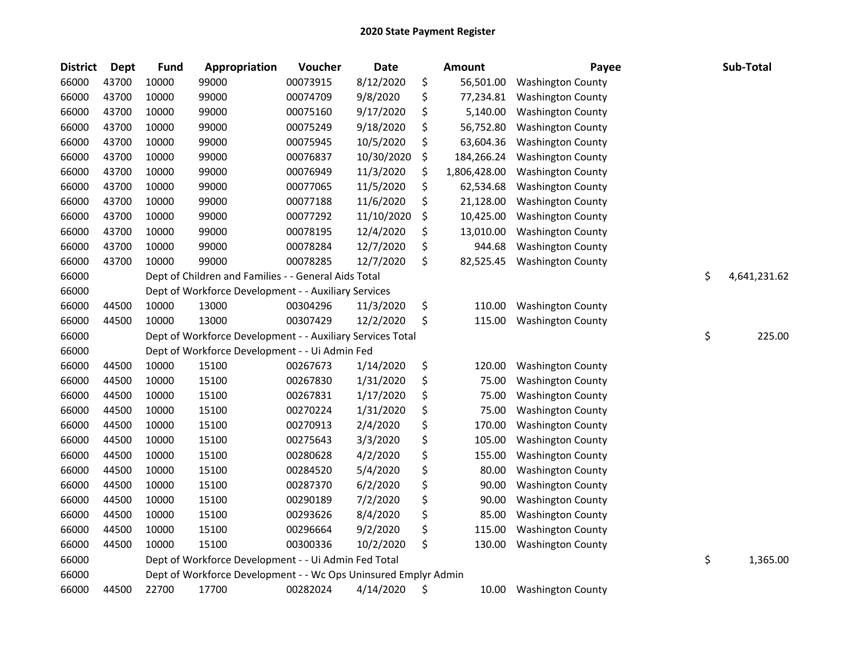| <b>District</b> | <b>Dept</b> | <b>Fund</b> | Appropriation                                                   | Voucher  | <b>Date</b> | Amount             | Payee                    | Sub-Total          |
|-----------------|-------------|-------------|-----------------------------------------------------------------|----------|-------------|--------------------|--------------------------|--------------------|
| 66000           | 43700       | 10000       | 99000                                                           | 00073915 | 8/12/2020   | \$<br>56,501.00    | <b>Washington County</b> |                    |
| 66000           | 43700       | 10000       | 99000                                                           | 00074709 | 9/8/2020    | \$<br>77,234.81    | <b>Washington County</b> |                    |
| 66000           | 43700       | 10000       | 99000                                                           | 00075160 | 9/17/2020   | \$<br>5,140.00     | <b>Washington County</b> |                    |
| 66000           | 43700       | 10000       | 99000                                                           | 00075249 | 9/18/2020   | \$<br>56,752.80    | <b>Washington County</b> |                    |
| 66000           | 43700       | 10000       | 99000                                                           | 00075945 | 10/5/2020   | \$<br>63,604.36    | <b>Washington County</b> |                    |
| 66000           | 43700       | 10000       | 99000                                                           | 00076837 | 10/30/2020  | \$<br>184,266.24   | <b>Washington County</b> |                    |
| 66000           | 43700       | 10000       | 99000                                                           | 00076949 | 11/3/2020   | \$<br>1,806,428.00 | <b>Washington County</b> |                    |
| 66000           | 43700       | 10000       | 99000                                                           | 00077065 | 11/5/2020   | \$<br>62,534.68    | <b>Washington County</b> |                    |
| 66000           | 43700       | 10000       | 99000                                                           | 00077188 | 11/6/2020   | \$<br>21,128.00    | <b>Washington County</b> |                    |
| 66000           | 43700       | 10000       | 99000                                                           | 00077292 | 11/10/2020  | \$<br>10,425.00    | <b>Washington County</b> |                    |
| 66000           | 43700       | 10000       | 99000                                                           | 00078195 | 12/4/2020   | \$<br>13,010.00    | <b>Washington County</b> |                    |
| 66000           | 43700       | 10000       | 99000                                                           | 00078284 | 12/7/2020   | \$<br>944.68       | <b>Washington County</b> |                    |
| 66000           | 43700       | 10000       | 99000                                                           | 00078285 | 12/7/2020   | \$<br>82,525.45    | <b>Washington County</b> |                    |
| 66000           |             |             | Dept of Children and Families - - General Aids Total            |          |             |                    |                          | \$<br>4,641,231.62 |
| 66000           |             |             | Dept of Workforce Development - - Auxiliary Services            |          |             |                    |                          |                    |
| 66000           | 44500       | 10000       | 13000                                                           | 00304296 | 11/3/2020   | \$<br>110.00       | <b>Washington County</b> |                    |
| 66000           | 44500       | 10000       | 13000                                                           | 00307429 | 12/2/2020   | \$<br>115.00       | <b>Washington County</b> |                    |
| 66000           |             |             | Dept of Workforce Development - - Auxiliary Services Total      |          |             |                    |                          | \$<br>225.00       |
| 66000           |             |             | Dept of Workforce Development - - Ui Admin Fed                  |          |             |                    |                          |                    |
| 66000           | 44500       | 10000       | 15100                                                           | 00267673 | 1/14/2020   | \$<br>120.00       | <b>Washington County</b> |                    |
| 66000           | 44500       | 10000       | 15100                                                           | 00267830 | 1/31/2020   | \$<br>75.00        | <b>Washington County</b> |                    |
| 66000           | 44500       | 10000       | 15100                                                           | 00267831 | 1/17/2020   | \$<br>75.00        | <b>Washington County</b> |                    |
| 66000           | 44500       | 10000       | 15100                                                           | 00270224 | 1/31/2020   | \$<br>75.00        | <b>Washington County</b> |                    |
| 66000           | 44500       | 10000       | 15100                                                           | 00270913 | 2/4/2020    | \$<br>170.00       | <b>Washington County</b> |                    |
| 66000           | 44500       | 10000       | 15100                                                           | 00275643 | 3/3/2020    | \$<br>105.00       | <b>Washington County</b> |                    |
| 66000           | 44500       | 10000       | 15100                                                           | 00280628 | 4/2/2020    | \$<br>155.00       | <b>Washington County</b> |                    |
| 66000           | 44500       | 10000       | 15100                                                           | 00284520 | 5/4/2020    | \$<br>80.00        | <b>Washington County</b> |                    |
| 66000           | 44500       | 10000       | 15100                                                           | 00287370 | 6/2/2020    | \$<br>90.00        | <b>Washington County</b> |                    |
| 66000           | 44500       | 10000       | 15100                                                           | 00290189 | 7/2/2020    | \$<br>90.00        | <b>Washington County</b> |                    |
| 66000           | 44500       | 10000       | 15100                                                           | 00293626 | 8/4/2020    | \$<br>85.00        | <b>Washington County</b> |                    |
| 66000           | 44500       | 10000       | 15100                                                           | 00296664 | 9/2/2020    | \$<br>115.00       | <b>Washington County</b> |                    |
| 66000           | 44500       | 10000       | 15100                                                           | 00300336 | 10/2/2020   | \$<br>130.00       | <b>Washington County</b> |                    |
| 66000           |             |             | Dept of Workforce Development - - Ui Admin Fed Total            |          |             |                    |                          | \$<br>1,365.00     |
| 66000           |             |             | Dept of Workforce Development - - Wc Ops Uninsured Emplyr Admin |          |             |                    |                          |                    |
| 66000           | 44500       | 22700       | 17700                                                           | 00282024 | 4/14/2020   | \$<br>10.00        | <b>Washington County</b> |                    |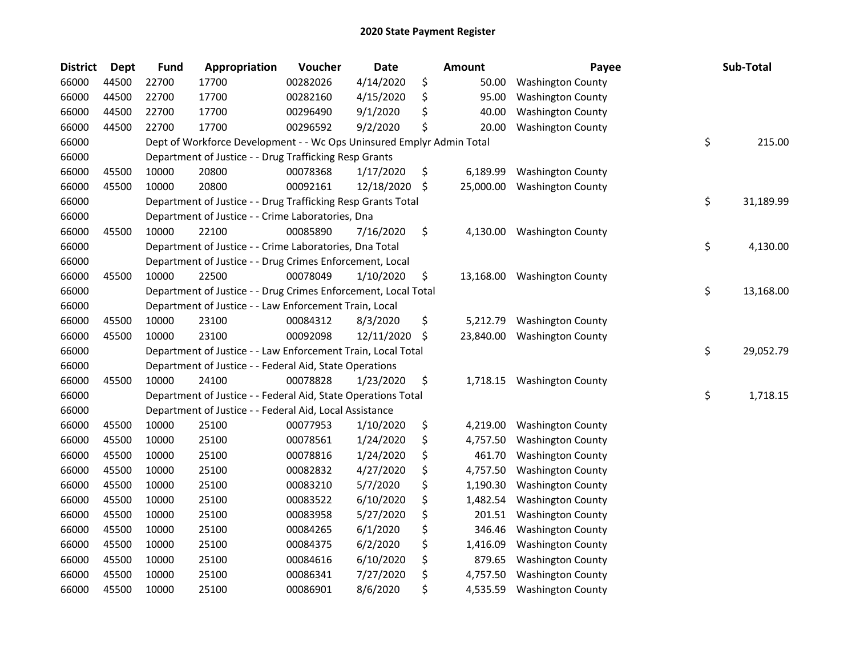| <b>District</b> | <b>Dept</b> | <b>Fund</b> | Appropriation                                                         | Voucher  | <b>Date</b> | Amount          | Payee                    | Sub-Total       |
|-----------------|-------------|-------------|-----------------------------------------------------------------------|----------|-------------|-----------------|--------------------------|-----------------|
| 66000           | 44500       | 22700       | 17700                                                                 | 00282026 | 4/14/2020   | \$<br>50.00     | <b>Washington County</b> |                 |
| 66000           | 44500       | 22700       | 17700                                                                 | 00282160 | 4/15/2020   | \$<br>95.00     | <b>Washington County</b> |                 |
| 66000           | 44500       | 22700       | 17700                                                                 | 00296490 | 9/1/2020    | 40.00           | <b>Washington County</b> |                 |
| 66000           | 44500       | 22700       | 17700                                                                 | 00296592 | 9/2/2020    | \$<br>20.00     | <b>Washington County</b> |                 |
| 66000           |             |             | Dept of Workforce Development - - Wc Ops Uninsured Emplyr Admin Total |          |             |                 |                          | \$<br>215.00    |
| 66000           |             |             | Department of Justice - - Drug Trafficking Resp Grants                |          |             |                 |                          |                 |
| 66000           | 45500       | 10000       | 20800                                                                 | 00078368 | 1/17/2020   | \$<br>6,189.99  | <b>Washington County</b> |                 |
| 66000           | 45500       | 10000       | 20800                                                                 | 00092161 | 12/18/2020  | \$<br>25,000.00 | <b>Washington County</b> |                 |
| 66000           |             |             | Department of Justice - - Drug Trafficking Resp Grants Total          |          |             |                 |                          | \$<br>31,189.99 |
| 66000           |             |             | Department of Justice - - Crime Laboratories, Dna                     |          |             |                 |                          |                 |
| 66000           | 45500       | 10000       | 22100                                                                 | 00085890 | 7/16/2020   | \$<br>4,130.00  | <b>Washington County</b> |                 |
| 66000           |             |             | Department of Justice - - Crime Laboratories, Dna Total               |          |             |                 |                          | \$<br>4,130.00  |
| 66000           |             |             | Department of Justice - - Drug Crimes Enforcement, Local              |          |             |                 |                          |                 |
| 66000           | 45500       | 10000       | 22500                                                                 | 00078049 | 1/10/2020   | \$<br>13,168.00 | <b>Washington County</b> |                 |
| 66000           |             |             | Department of Justice - - Drug Crimes Enforcement, Local Total        |          |             |                 |                          | \$<br>13,168.00 |
| 66000           |             |             | Department of Justice - - Law Enforcement Train, Local                |          |             |                 |                          |                 |
| 66000           | 45500       | 10000       | 23100                                                                 | 00084312 | 8/3/2020    | \$<br>5,212.79  | <b>Washington County</b> |                 |
| 66000           | 45500       | 10000       | 23100                                                                 | 00092098 | 12/11/2020  | \$<br>23,840.00 | <b>Washington County</b> |                 |
| 66000           |             |             | Department of Justice - - Law Enforcement Train, Local Total          |          |             |                 |                          | \$<br>29,052.79 |
| 66000           |             |             | Department of Justice - - Federal Aid, State Operations               |          |             |                 |                          |                 |
| 66000           | 45500       | 10000       | 24100                                                                 | 00078828 | 1/23/2020   | \$<br>1,718.15  | <b>Washington County</b> |                 |
| 66000           |             |             | Department of Justice - - Federal Aid, State Operations Total         |          |             |                 |                          | \$<br>1,718.15  |
| 66000           |             |             | Department of Justice - - Federal Aid, Local Assistance               |          |             |                 |                          |                 |
| 66000           | 45500       | 10000       | 25100                                                                 | 00077953 | 1/10/2020   | \$<br>4,219.00  | <b>Washington County</b> |                 |
| 66000           | 45500       | 10000       | 25100                                                                 | 00078561 | 1/24/2020   | \$<br>4,757.50  | <b>Washington County</b> |                 |
| 66000           | 45500       | 10000       | 25100                                                                 | 00078816 | 1/24/2020   | \$<br>461.70    | <b>Washington County</b> |                 |
| 66000           | 45500       | 10000       | 25100                                                                 | 00082832 | 4/27/2020   | \$<br>4,757.50  | <b>Washington County</b> |                 |
| 66000           | 45500       | 10000       | 25100                                                                 | 00083210 | 5/7/2020    | \$<br>1,190.30  | <b>Washington County</b> |                 |
| 66000           | 45500       | 10000       | 25100                                                                 | 00083522 | 6/10/2020   | \$<br>1,482.54  | <b>Washington County</b> |                 |
| 66000           | 45500       | 10000       | 25100                                                                 | 00083958 | 5/27/2020   | \$<br>201.51    | <b>Washington County</b> |                 |
| 66000           | 45500       | 10000       | 25100                                                                 | 00084265 | 6/1/2020    | \$<br>346.46    | <b>Washington County</b> |                 |
| 66000           | 45500       | 10000       | 25100                                                                 | 00084375 | 6/2/2020    | \$<br>1,416.09  | <b>Washington County</b> |                 |
| 66000           | 45500       | 10000       | 25100                                                                 | 00084616 | 6/10/2020   | \$<br>879.65    | <b>Washington County</b> |                 |
| 66000           | 45500       | 10000       | 25100                                                                 | 00086341 | 7/27/2020   | \$<br>4,757.50  | <b>Washington County</b> |                 |
| 66000           | 45500       | 10000       | 25100                                                                 | 00086901 | 8/6/2020    | \$<br>4,535.59  | <b>Washington County</b> |                 |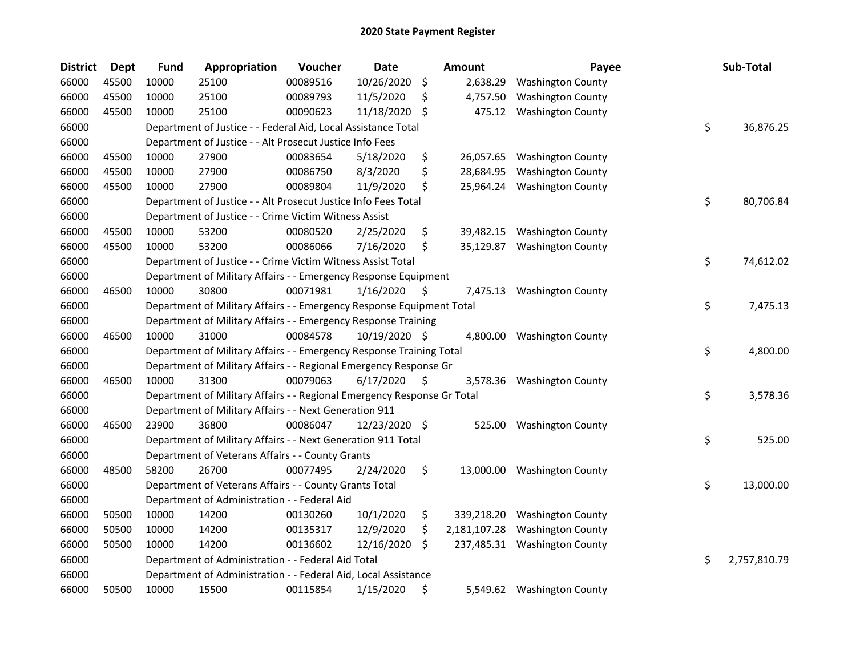| <b>District</b> | <b>Dept</b> | <b>Fund</b> | Appropriation                                                           | Voucher  | Date          |    | <b>Amount</b> | Payee                        | Sub-Total          |
|-----------------|-------------|-------------|-------------------------------------------------------------------------|----------|---------------|----|---------------|------------------------------|--------------------|
| 66000           | 45500       | 10000       | 25100                                                                   | 00089516 | 10/26/2020    | \$ | 2,638.29      | <b>Washington County</b>     |                    |
| 66000           | 45500       | 10000       | 25100                                                                   | 00089793 | 11/5/2020     | \$ | 4,757.50      | <b>Washington County</b>     |                    |
| 66000           | 45500       | 10000       | 25100                                                                   | 00090623 | 11/18/2020    | S  | 475.12        | <b>Washington County</b>     |                    |
| 66000           |             |             | Department of Justice - - Federal Aid, Local Assistance Total           |          |               |    |               |                              | \$<br>36,876.25    |
| 66000           |             |             | Department of Justice - - Alt Prosecut Justice Info Fees                |          |               |    |               |                              |                    |
| 66000           | 45500       | 10000       | 27900                                                                   | 00083654 | 5/18/2020     | \$ | 26,057.65     | <b>Washington County</b>     |                    |
| 66000           | 45500       | 10000       | 27900                                                                   | 00086750 | 8/3/2020      | \$ | 28,684.95     | <b>Washington County</b>     |                    |
| 66000           | 45500       | 10000       | 27900                                                                   | 00089804 | 11/9/2020     | \$ | 25,964.24     | <b>Washington County</b>     |                    |
| 66000           |             |             | Department of Justice - - Alt Prosecut Justice Info Fees Total          |          |               |    |               |                              | \$<br>80,706.84    |
| 66000           |             |             | Department of Justice - - Crime Victim Witness Assist                   |          |               |    |               |                              |                    |
| 66000           | 45500       | 10000       | 53200                                                                   | 00080520 | 2/25/2020     | \$ |               | 39,482.15 Washington County  |                    |
| 66000           | 45500       | 10000       | 53200                                                                   | 00086066 | 7/16/2020     | \$ | 35,129.87     | <b>Washington County</b>     |                    |
| 66000           |             |             | Department of Justice - - Crime Victim Witness Assist Total             |          |               |    |               |                              | \$<br>74,612.02    |
| 66000           |             |             | Department of Military Affairs - - Emergency Response Equipment         |          |               |    |               |                              |                    |
| 66000           | 46500       | 10000       | 30800                                                                   | 00071981 | 1/16/2020     | \$ | 7,475.13      | <b>Washington County</b>     |                    |
| 66000           |             |             | Department of Military Affairs - - Emergency Response Equipment Total   |          |               |    |               |                              | \$<br>7,475.13     |
| 66000           |             |             | Department of Military Affairs - - Emergency Response Training          |          |               |    |               |                              |                    |
| 66000           | 46500       | 10000       | 31000                                                                   | 00084578 | 10/19/2020 \$ |    | 4,800.00      | <b>Washington County</b>     |                    |
| 66000           |             |             | Department of Military Affairs - - Emergency Response Training Total    |          |               |    |               |                              | \$<br>4,800.00     |
| 66000           |             |             | Department of Military Affairs - - Regional Emergency Response Gr       |          |               |    |               |                              |                    |
| 66000           | 46500       | 10000       | 31300                                                                   | 00079063 | 6/17/2020     | \$ | 3,578.36      | <b>Washington County</b>     |                    |
| 66000           |             |             | Department of Military Affairs - - Regional Emergency Response Gr Total |          |               |    |               |                              | \$<br>3,578.36     |
| 66000           |             |             | Department of Military Affairs - - Next Generation 911                  |          |               |    |               |                              |                    |
| 66000           | 46500       | 23900       | 36800                                                                   | 00086047 | 12/23/2020 \$ |    | 525.00        | <b>Washington County</b>     |                    |
| 66000           |             |             | Department of Military Affairs - - Next Generation 911 Total            |          |               |    |               |                              | \$<br>525.00       |
| 66000           |             |             | Department of Veterans Affairs - - County Grants                        |          |               |    |               |                              |                    |
| 66000           | 48500       | 58200       | 26700                                                                   | 00077495 | 2/24/2020     | \$ | 13,000.00     | <b>Washington County</b>     |                    |
| 66000           |             |             | Department of Veterans Affairs - - County Grants Total                  |          |               |    |               |                              | \$<br>13,000.00    |
| 66000           |             |             | Department of Administration - - Federal Aid                            |          |               |    |               |                              |                    |
| 66000           | 50500       | 10000       | 14200                                                                   | 00130260 | 10/1/2020     | \$ | 339,218.20    | <b>Washington County</b>     |                    |
| 66000           | 50500       | 10000       | 14200                                                                   | 00135317 | 12/9/2020     | \$ | 2,181,107.28  | <b>Washington County</b>     |                    |
| 66000           | 50500       | 10000       | 14200                                                                   | 00136602 | 12/16/2020    | \$ |               | 237,485.31 Washington County |                    |
| 66000           |             |             | Department of Administration - - Federal Aid Total                      |          |               |    |               |                              | \$<br>2,757,810.79 |
| 66000           |             |             | Department of Administration - - Federal Aid, Local Assistance          |          |               |    |               |                              |                    |
| 66000           | 50500       | 10000       | 15500                                                                   | 00115854 | 1/15/2020     | \$ |               | 5,549.62 Washington County   |                    |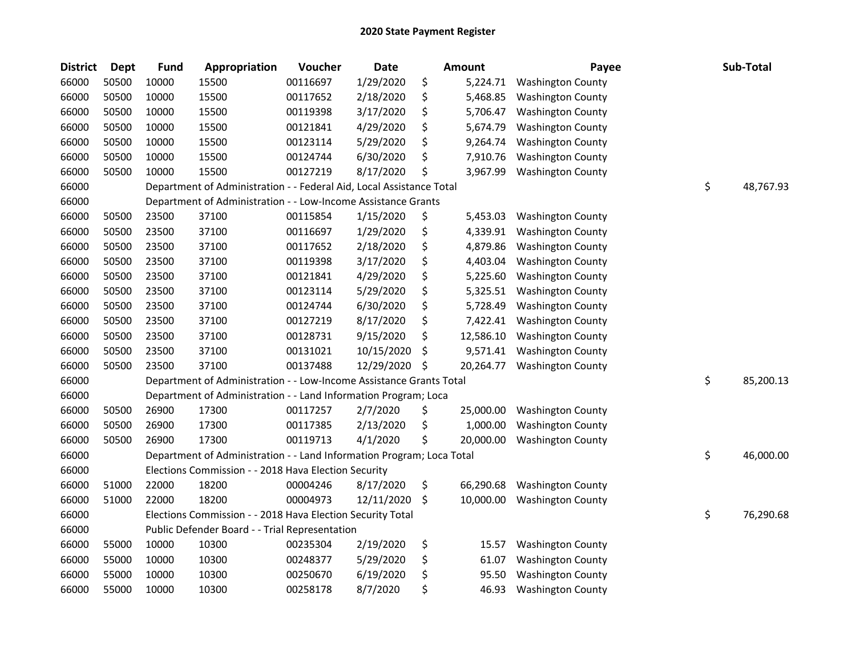| <b>District</b> | <b>Dept</b> | <b>Fund</b> | Appropriation                                                         | Voucher  | <b>Date</b> | <b>Amount</b>   | Payee                    | Sub-Total       |
|-----------------|-------------|-------------|-----------------------------------------------------------------------|----------|-------------|-----------------|--------------------------|-----------------|
| 66000           | 50500       | 10000       | 15500                                                                 | 00116697 | 1/29/2020   | \$<br>5,224.71  | <b>Washington County</b> |                 |
| 66000           | 50500       | 10000       | 15500                                                                 | 00117652 | 2/18/2020   | \$<br>5,468.85  | <b>Washington County</b> |                 |
| 66000           | 50500       | 10000       | 15500                                                                 | 00119398 | 3/17/2020   | \$<br>5,706.47  | <b>Washington County</b> |                 |
| 66000           | 50500       | 10000       | 15500                                                                 | 00121841 | 4/29/2020   | \$<br>5,674.79  | <b>Washington County</b> |                 |
| 66000           | 50500       | 10000       | 15500                                                                 | 00123114 | 5/29/2020   | \$<br>9,264.74  | <b>Washington County</b> |                 |
| 66000           | 50500       | 10000       | 15500                                                                 | 00124744 | 6/30/2020   | \$<br>7,910.76  | <b>Washington County</b> |                 |
| 66000           | 50500       | 10000       | 15500                                                                 | 00127219 | 8/17/2020   | \$<br>3,967.99  | <b>Washington County</b> |                 |
| 66000           |             |             | Department of Administration - - Federal Aid, Local Assistance Total  |          |             |                 |                          | \$<br>48,767.93 |
| 66000           |             |             | Department of Administration - - Low-Income Assistance Grants         |          |             |                 |                          |                 |
| 66000           | 50500       | 23500       | 37100                                                                 | 00115854 | 1/15/2020   | \$<br>5,453.03  | <b>Washington County</b> |                 |
| 66000           | 50500       | 23500       | 37100                                                                 | 00116697 | 1/29/2020   | \$<br>4,339.91  | <b>Washington County</b> |                 |
| 66000           | 50500       | 23500       | 37100                                                                 | 00117652 | 2/18/2020   | \$<br>4,879.86  | <b>Washington County</b> |                 |
| 66000           | 50500       | 23500       | 37100                                                                 | 00119398 | 3/17/2020   | \$<br>4,403.04  | <b>Washington County</b> |                 |
| 66000           | 50500       | 23500       | 37100                                                                 | 00121841 | 4/29/2020   | \$<br>5,225.60  | <b>Washington County</b> |                 |
| 66000           | 50500       | 23500       | 37100                                                                 | 00123114 | 5/29/2020   | \$<br>5,325.51  | <b>Washington County</b> |                 |
| 66000           | 50500       | 23500       | 37100                                                                 | 00124744 | 6/30/2020   | \$<br>5,728.49  | <b>Washington County</b> |                 |
| 66000           | 50500       | 23500       | 37100                                                                 | 00127219 | 8/17/2020   | \$<br>7,422.41  | <b>Washington County</b> |                 |
| 66000           | 50500       | 23500       | 37100                                                                 | 00128731 | 9/15/2020   | \$<br>12,586.10 | <b>Washington County</b> |                 |
| 66000           | 50500       | 23500       | 37100                                                                 | 00131021 | 10/15/2020  | \$<br>9,571.41  | <b>Washington County</b> |                 |
| 66000           | 50500       | 23500       | 37100                                                                 | 00137488 | 12/29/2020  | \$<br>20,264.77 | <b>Washington County</b> |                 |
| 66000           |             |             | Department of Administration - - Low-Income Assistance Grants Total   |          |             |                 |                          | \$<br>85,200.13 |
| 66000           |             |             | Department of Administration - - Land Information Program; Loca       |          |             |                 |                          |                 |
| 66000           | 50500       | 26900       | 17300                                                                 | 00117257 | 2/7/2020    | \$<br>25,000.00 | <b>Washington County</b> |                 |
| 66000           | 50500       | 26900       | 17300                                                                 | 00117385 | 2/13/2020   | \$<br>1,000.00  | <b>Washington County</b> |                 |
| 66000           | 50500       | 26900       | 17300                                                                 | 00119713 | 4/1/2020    | \$<br>20,000.00 | <b>Washington County</b> |                 |
| 66000           |             |             | Department of Administration - - Land Information Program; Loca Total |          |             |                 |                          | \$<br>46,000.00 |
| 66000           |             |             | Elections Commission - - 2018 Hava Election Security                  |          |             |                 |                          |                 |
| 66000           | 51000       | 22000       | 18200                                                                 | 00004246 | 8/17/2020   | \$<br>66,290.68 | <b>Washington County</b> |                 |
| 66000           | 51000       | 22000       | 18200                                                                 | 00004973 | 12/11/2020  | \$<br>10,000.00 | <b>Washington County</b> |                 |
| 66000           |             |             | Elections Commission - - 2018 Hava Election Security Total            |          |             |                 |                          | \$<br>76,290.68 |
| 66000           |             |             | Public Defender Board - - Trial Representation                        |          |             |                 |                          |                 |
| 66000           | 55000       | 10000       | 10300                                                                 | 00235304 | 2/19/2020   | \$<br>15.57     | <b>Washington County</b> |                 |
| 66000           | 55000       | 10000       | 10300                                                                 | 00248377 | 5/29/2020   | \$<br>61.07     | <b>Washington County</b> |                 |
| 66000           | 55000       | 10000       | 10300                                                                 | 00250670 | 6/19/2020   | \$<br>95.50     | <b>Washington County</b> |                 |
| 66000           | 55000       | 10000       | 10300                                                                 | 00258178 | 8/7/2020    | \$<br>46.93     | <b>Washington County</b> |                 |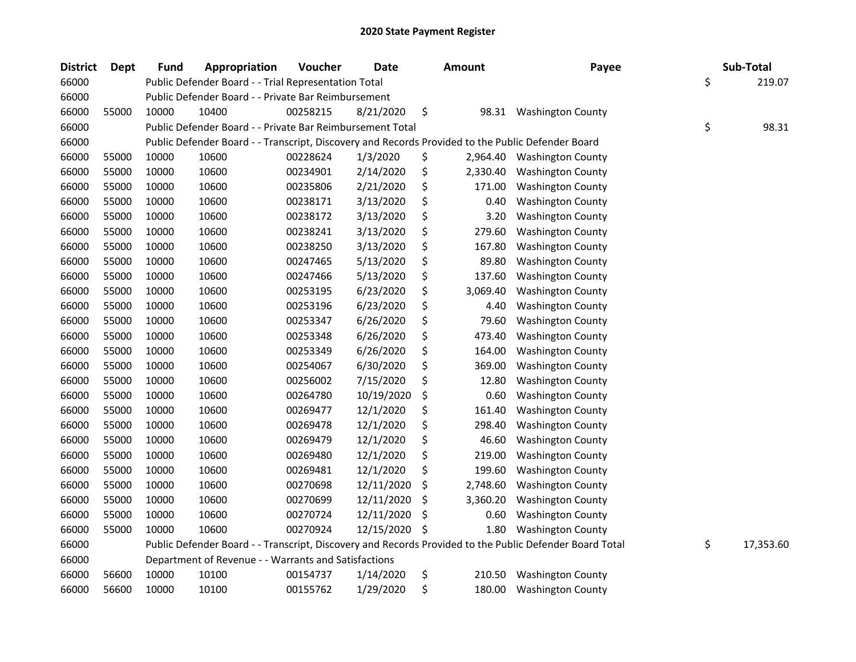| <b>District</b> | <b>Dept</b> | Fund  | Appropriation                                                                                     | Voucher  | <b>Date</b> | <b>Amount</b>  | Payee                                                                                                   | Sub-Total       |
|-----------------|-------------|-------|---------------------------------------------------------------------------------------------------|----------|-------------|----------------|---------------------------------------------------------------------------------------------------------|-----------------|
| 66000           |             |       | Public Defender Board - - Trial Representation Total                                              |          |             |                |                                                                                                         | \$<br>219.07    |
| 66000           |             |       | Public Defender Board - - Private Bar Reimbursement                                               |          |             |                |                                                                                                         |                 |
| 66000           | 55000       | 10000 | 10400                                                                                             | 00258215 | 8/21/2020   | \$<br>98.31    | <b>Washington County</b>                                                                                |                 |
| 66000           |             |       | Public Defender Board - - Private Bar Reimbursement Total                                         |          |             |                |                                                                                                         | \$<br>98.31     |
| 66000           |             |       | Public Defender Board - - Transcript, Discovery and Records Provided to the Public Defender Board |          |             |                |                                                                                                         |                 |
| 66000           | 55000       | 10000 | 10600                                                                                             | 00228624 | 1/3/2020    | \$<br>2,964.40 | <b>Washington County</b>                                                                                |                 |
| 66000           | 55000       | 10000 | 10600                                                                                             | 00234901 | 2/14/2020   | \$<br>2,330.40 | <b>Washington County</b>                                                                                |                 |
| 66000           | 55000       | 10000 | 10600                                                                                             | 00235806 | 2/21/2020   | \$<br>171.00   | <b>Washington County</b>                                                                                |                 |
| 66000           | 55000       | 10000 | 10600                                                                                             | 00238171 | 3/13/2020   | \$<br>0.40     | <b>Washington County</b>                                                                                |                 |
| 66000           | 55000       | 10000 | 10600                                                                                             | 00238172 | 3/13/2020   | \$<br>3.20     | <b>Washington County</b>                                                                                |                 |
| 66000           | 55000       | 10000 | 10600                                                                                             | 00238241 | 3/13/2020   | \$<br>279.60   | <b>Washington County</b>                                                                                |                 |
| 66000           | 55000       | 10000 | 10600                                                                                             | 00238250 | 3/13/2020   | \$<br>167.80   | <b>Washington County</b>                                                                                |                 |
| 66000           | 55000       | 10000 | 10600                                                                                             | 00247465 | 5/13/2020   | \$<br>89.80    | <b>Washington County</b>                                                                                |                 |
| 66000           | 55000       | 10000 | 10600                                                                                             | 00247466 | 5/13/2020   | \$<br>137.60   | <b>Washington County</b>                                                                                |                 |
| 66000           | 55000       | 10000 | 10600                                                                                             | 00253195 | 6/23/2020   | \$<br>3,069.40 | <b>Washington County</b>                                                                                |                 |
| 66000           | 55000       | 10000 | 10600                                                                                             | 00253196 | 6/23/2020   | \$<br>4.40     | <b>Washington County</b>                                                                                |                 |
| 66000           | 55000       | 10000 | 10600                                                                                             | 00253347 | 6/26/2020   | \$<br>79.60    | <b>Washington County</b>                                                                                |                 |
| 66000           | 55000       | 10000 | 10600                                                                                             | 00253348 | 6/26/2020   | \$<br>473.40   | <b>Washington County</b>                                                                                |                 |
| 66000           | 55000       | 10000 | 10600                                                                                             | 00253349 | 6/26/2020   | \$<br>164.00   | <b>Washington County</b>                                                                                |                 |
| 66000           | 55000       | 10000 | 10600                                                                                             | 00254067 | 6/30/2020   | \$<br>369.00   | <b>Washington County</b>                                                                                |                 |
| 66000           | 55000       | 10000 | 10600                                                                                             | 00256002 | 7/15/2020   | \$<br>12.80    | <b>Washington County</b>                                                                                |                 |
| 66000           | 55000       | 10000 | 10600                                                                                             | 00264780 | 10/19/2020  | \$<br>0.60     | <b>Washington County</b>                                                                                |                 |
| 66000           | 55000       | 10000 | 10600                                                                                             | 00269477 | 12/1/2020   | \$<br>161.40   | <b>Washington County</b>                                                                                |                 |
| 66000           | 55000       | 10000 | 10600                                                                                             | 00269478 | 12/1/2020   | \$<br>298.40   | <b>Washington County</b>                                                                                |                 |
| 66000           | 55000       | 10000 | 10600                                                                                             | 00269479 | 12/1/2020   | \$<br>46.60    | <b>Washington County</b>                                                                                |                 |
| 66000           | 55000       | 10000 | 10600                                                                                             | 00269480 | 12/1/2020   | \$<br>219.00   | <b>Washington County</b>                                                                                |                 |
| 66000           | 55000       | 10000 | 10600                                                                                             | 00269481 | 12/1/2020   | \$<br>199.60   | <b>Washington County</b>                                                                                |                 |
| 66000           | 55000       | 10000 | 10600                                                                                             | 00270698 | 12/11/2020  | \$<br>2,748.60 | <b>Washington County</b>                                                                                |                 |
| 66000           | 55000       | 10000 | 10600                                                                                             | 00270699 | 12/11/2020  | \$<br>3,360.20 | <b>Washington County</b>                                                                                |                 |
| 66000           | 55000       | 10000 | 10600                                                                                             | 00270724 | 12/11/2020  | \$<br>0.60     | <b>Washington County</b>                                                                                |                 |
| 66000           | 55000       | 10000 | 10600                                                                                             | 00270924 | 12/15/2020  | \$<br>1.80     | <b>Washington County</b>                                                                                |                 |
| 66000           |             |       |                                                                                                   |          |             |                | Public Defender Board - - Transcript, Discovery and Records Provided to the Public Defender Board Total | \$<br>17,353.60 |
| 66000           |             |       | Department of Revenue - - Warrants and Satisfactions                                              |          |             |                |                                                                                                         |                 |
| 66000           | 56600       | 10000 | 10100                                                                                             | 00154737 | 1/14/2020   | \$<br>210.50   | <b>Washington County</b>                                                                                |                 |
| 66000           | 56600       | 10000 | 10100                                                                                             | 00155762 | 1/29/2020   | \$<br>180.00   | <b>Washington County</b>                                                                                |                 |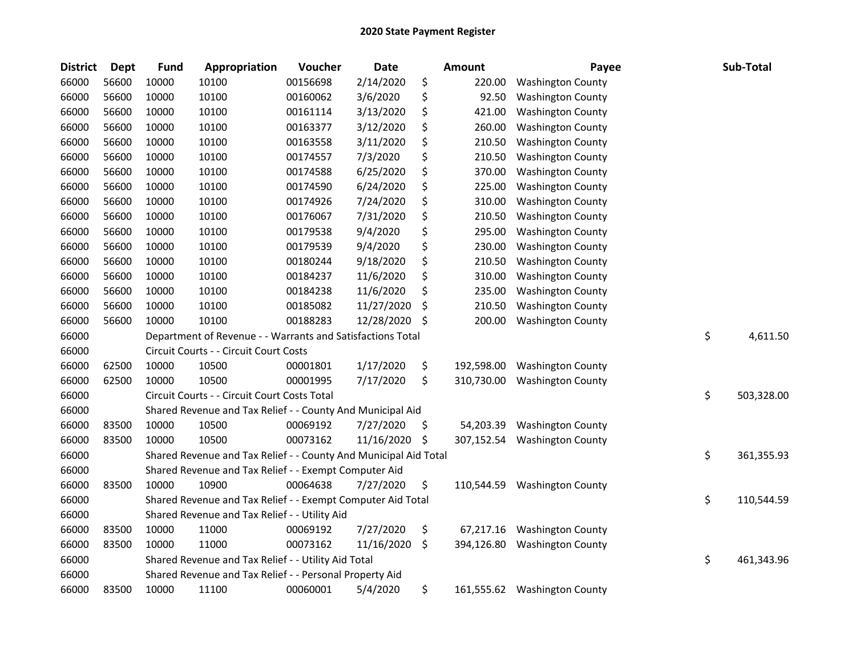| <b>District</b> | Dept  | Fund  | Appropriation                                                    | Voucher  | <b>Date</b> |    | <b>Amount</b> | Payee                        | Sub-Total        |
|-----------------|-------|-------|------------------------------------------------------------------|----------|-------------|----|---------------|------------------------------|------------------|
| 66000           | 56600 | 10000 | 10100                                                            | 00156698 | 2/14/2020   | \$ | 220.00        | <b>Washington County</b>     |                  |
| 66000           | 56600 | 10000 | 10100                                                            | 00160062 | 3/6/2020    | \$ | 92.50         | <b>Washington County</b>     |                  |
| 66000           | 56600 | 10000 | 10100                                                            | 00161114 | 3/13/2020   | \$ | 421.00        | <b>Washington County</b>     |                  |
| 66000           | 56600 | 10000 | 10100                                                            | 00163377 | 3/12/2020   | \$ | 260.00        | <b>Washington County</b>     |                  |
| 66000           | 56600 | 10000 | 10100                                                            | 00163558 | 3/11/2020   | \$ | 210.50        | <b>Washington County</b>     |                  |
| 66000           | 56600 | 10000 | 10100                                                            | 00174557 | 7/3/2020    | \$ | 210.50        | <b>Washington County</b>     |                  |
| 66000           | 56600 | 10000 | 10100                                                            | 00174588 | 6/25/2020   | \$ | 370.00        | <b>Washington County</b>     |                  |
| 66000           | 56600 | 10000 | 10100                                                            | 00174590 | 6/24/2020   | \$ | 225.00        | <b>Washington County</b>     |                  |
| 66000           | 56600 | 10000 | 10100                                                            | 00174926 | 7/24/2020   | \$ | 310.00        | <b>Washington County</b>     |                  |
| 66000           | 56600 | 10000 | 10100                                                            | 00176067 | 7/31/2020   | \$ | 210.50        | <b>Washington County</b>     |                  |
| 66000           | 56600 | 10000 | 10100                                                            | 00179538 | 9/4/2020    | \$ | 295.00        | <b>Washington County</b>     |                  |
| 66000           | 56600 | 10000 | 10100                                                            | 00179539 | 9/4/2020    | \$ | 230.00        | <b>Washington County</b>     |                  |
| 66000           | 56600 | 10000 | 10100                                                            | 00180244 | 9/18/2020   | \$ | 210.50        | <b>Washington County</b>     |                  |
| 66000           | 56600 | 10000 | 10100                                                            | 00184237 | 11/6/2020   | \$ | 310.00        | <b>Washington County</b>     |                  |
| 66000           | 56600 | 10000 | 10100                                                            | 00184238 | 11/6/2020   | \$ | 235.00        | <b>Washington County</b>     |                  |
| 66000           | 56600 | 10000 | 10100                                                            | 00185082 | 11/27/2020  | S  | 210.50        | <b>Washington County</b>     |                  |
| 66000           | 56600 | 10000 | 10100                                                            | 00188283 | 12/28/2020  | \$ | 200.00        | <b>Washington County</b>     |                  |
| 66000           |       |       | Department of Revenue - - Warrants and Satisfactions Total       |          |             |    |               |                              | \$<br>4,611.50   |
| 66000           |       |       | Circuit Courts - - Circuit Court Costs                           |          |             |    |               |                              |                  |
| 66000           | 62500 | 10000 | 10500                                                            | 00001801 | 1/17/2020   | \$ | 192,598.00    | <b>Washington County</b>     |                  |
| 66000           | 62500 | 10000 | 10500                                                            | 00001995 | 7/17/2020   | \$ | 310,730.00    | <b>Washington County</b>     |                  |
| 66000           |       |       | Circuit Courts - - Circuit Court Costs Total                     |          |             |    |               |                              | \$<br>503,328.00 |
| 66000           |       |       | Shared Revenue and Tax Relief - - County And Municipal Aid       |          |             |    |               |                              |                  |
| 66000           | 83500 | 10000 | 10500                                                            | 00069192 | 7/27/2020   | \$ | 54,203.39     | <b>Washington County</b>     |                  |
| 66000           | 83500 | 10000 | 10500                                                            | 00073162 | 11/16/2020  | \$ | 307,152.54    | <b>Washington County</b>     |                  |
| 66000           |       |       | Shared Revenue and Tax Relief - - County And Municipal Aid Total |          |             |    |               |                              | \$<br>361,355.93 |
| 66000           |       |       | Shared Revenue and Tax Relief - - Exempt Computer Aid            |          |             |    |               |                              |                  |
| 66000           | 83500 | 10000 | 10900                                                            | 00064638 | 7/27/2020   | \$ | 110,544.59    | <b>Washington County</b>     |                  |
| 66000           |       |       | Shared Revenue and Tax Relief - - Exempt Computer Aid Total      |          |             |    |               |                              | \$<br>110,544.59 |
| 66000           |       |       | Shared Revenue and Tax Relief - - Utility Aid                    |          |             |    |               |                              |                  |
| 66000           | 83500 | 10000 | 11000                                                            | 00069192 | 7/27/2020   | \$ | 67,217.16     | <b>Washington County</b>     |                  |
| 66000           | 83500 | 10000 | 11000                                                            | 00073162 | 11/16/2020  | \$ | 394,126.80    | <b>Washington County</b>     |                  |
| 66000           |       |       | Shared Revenue and Tax Relief - - Utility Aid Total              |          |             |    |               |                              | \$<br>461,343.96 |
| 66000           |       |       | Shared Revenue and Tax Relief - - Personal Property Aid          |          |             |    |               |                              |                  |
| 66000           | 83500 | 10000 | 11100                                                            | 00060001 | 5/4/2020    | \$ |               | 161,555.62 Washington County |                  |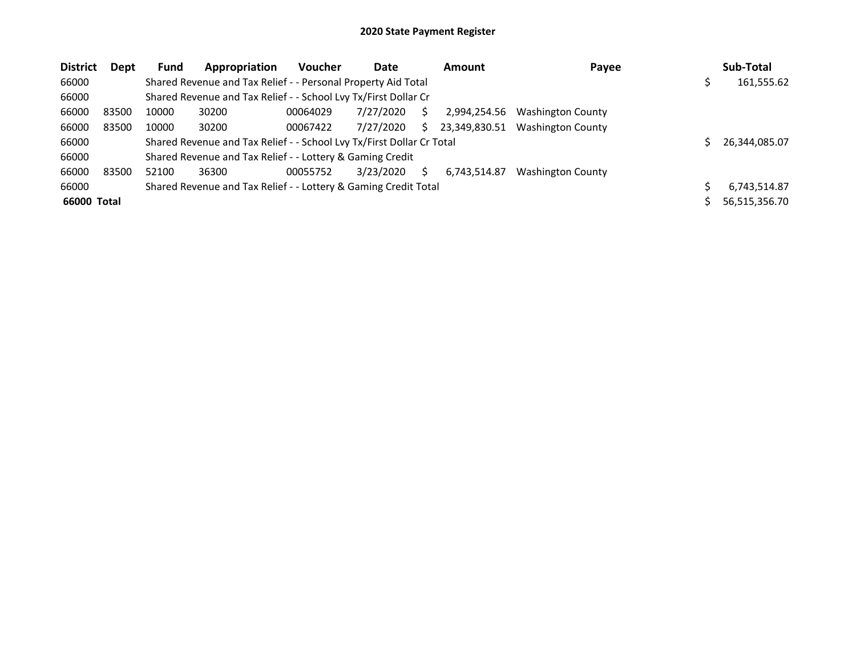| <b>District</b> | Dept  | Fund  | Appropriation                                                         | <b>Voucher</b> | Date      |    | <b>Amount</b> | Payee                    | Sub-Total     |
|-----------------|-------|-------|-----------------------------------------------------------------------|----------------|-----------|----|---------------|--------------------------|---------------|
| 66000           |       |       | Shared Revenue and Tax Relief - - Personal Property Aid Total         |                |           |    |               |                          | 161,555.62    |
| 66000           |       |       | Shared Revenue and Tax Relief - - School Lvy Tx/First Dollar Cr       |                |           |    |               |                          |               |
| 66000           | 83500 | 10000 | 30200                                                                 | 00064029       | 7/27/2020 |    | 2,994,254.56  | <b>Washington County</b> |               |
| 66000           | 83500 | 10000 | 30200                                                                 | 00067422       | 7/27/2020 | S. | 23,349,830.51 | Washington County        |               |
| 66000           |       |       | Shared Revenue and Tax Relief - - School Lvy Tx/First Dollar Cr Total |                |           |    |               |                          | 26,344,085.07 |
| 66000           |       |       | Shared Revenue and Tax Relief - - Lottery & Gaming Credit             |                |           |    |               |                          |               |
| 66000           | 83500 | 52100 | 36300                                                                 | 00055752       | 3/23/2020 | S. | 6.743.514.87  | <b>Washington County</b> |               |
| 66000           |       |       | Shared Revenue and Tax Relief - - Lottery & Gaming Credit Total       |                |           |    |               |                          | 6.743.514.87  |
| 66000 Total     |       |       |                                                                       |                |           |    |               |                          | 56,515,356.70 |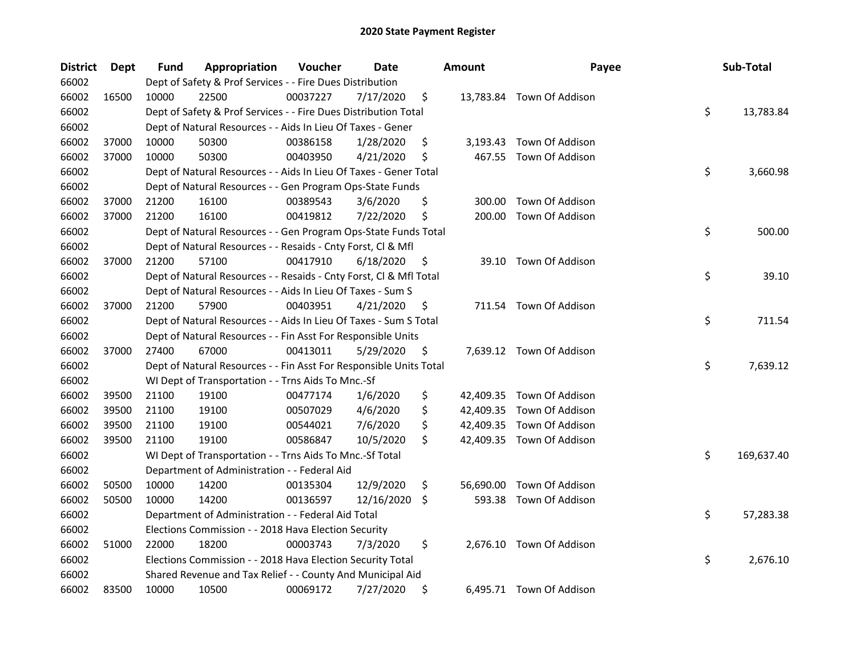| <b>District</b> | Dept  | Fund  | Appropriation                                                      | Voucher  | Date       |     | <b>Amount</b> | Payee                     | Sub-Total        |
|-----------------|-------|-------|--------------------------------------------------------------------|----------|------------|-----|---------------|---------------------------|------------------|
| 66002           |       |       | Dept of Safety & Prof Services - - Fire Dues Distribution          |          |            |     |               |                           |                  |
| 66002           | 16500 | 10000 | 22500                                                              | 00037227 | 7/17/2020  | \$  |               | 13,783.84 Town Of Addison |                  |
| 66002           |       |       | Dept of Safety & Prof Services - - Fire Dues Distribution Total    |          |            |     |               |                           | \$<br>13,783.84  |
| 66002           |       |       | Dept of Natural Resources - - Aids In Lieu Of Taxes - Gener        |          |            |     |               |                           |                  |
| 66002           | 37000 | 10000 | 50300                                                              | 00386158 | 1/28/2020  | \$  |               | 3,193.43 Town Of Addison  |                  |
| 66002           | 37000 | 10000 | 50300                                                              | 00403950 | 4/21/2020  | \$  | 467.55        | Town Of Addison           |                  |
| 66002           |       |       | Dept of Natural Resources - - Aids In Lieu Of Taxes - Gener Total  |          |            |     |               |                           | \$<br>3,660.98   |
| 66002           |       |       | Dept of Natural Resources - - Gen Program Ops-State Funds          |          |            |     |               |                           |                  |
| 66002           | 37000 | 21200 | 16100                                                              | 00389543 | 3/6/2020   | \$  | 300.00        | Town Of Addison           |                  |
| 66002           | 37000 | 21200 | 16100                                                              | 00419812 | 7/22/2020  | \$  | 200.00        | Town Of Addison           |                  |
| 66002           |       |       | Dept of Natural Resources - - Gen Program Ops-State Funds Total    |          |            |     |               |                           | \$<br>500.00     |
| 66002           |       |       | Dept of Natural Resources - - Resaids - Cnty Forst, Cl & Mfl       |          |            |     |               |                           |                  |
| 66002           | 37000 | 21200 | 57100                                                              | 00417910 | 6/18/2020  | \$  | 39.10         | Town Of Addison           |                  |
| 66002           |       |       | Dept of Natural Resources - - Resaids - Cnty Forst, Cl & Mfl Total |          |            |     |               |                           | \$<br>39.10      |
| 66002           |       |       | Dept of Natural Resources - - Aids In Lieu Of Taxes - Sum S        |          |            |     |               |                           |                  |
| 66002           | 37000 | 21200 | 57900                                                              | 00403951 | 4/21/2020  | \$  |               | 711.54 Town Of Addison    |                  |
| 66002           |       |       | Dept of Natural Resources - - Aids In Lieu Of Taxes - Sum S Total  |          |            |     |               |                           | \$<br>711.54     |
| 66002           |       |       | Dept of Natural Resources - - Fin Asst For Responsible Units       |          |            |     |               |                           |                  |
| 66002           | 37000 | 27400 | 67000                                                              | 00413011 | 5/29/2020  | \$  |               | 7,639.12 Town Of Addison  |                  |
| 66002           |       |       | Dept of Natural Resources - - Fin Asst For Responsible Units Total |          |            |     |               |                           | \$<br>7,639.12   |
| 66002           |       |       | WI Dept of Transportation - - Trns Aids To Mnc.-Sf                 |          |            |     |               |                           |                  |
| 66002           | 39500 | 21100 | 19100                                                              | 00477174 | 1/6/2020   | \$  |               | 42,409.35 Town Of Addison |                  |
| 66002           | 39500 | 21100 | 19100                                                              | 00507029 | 4/6/2020   | \$  |               | 42,409.35 Town Of Addison |                  |
| 66002           | 39500 | 21100 | 19100                                                              | 00544021 | 7/6/2020   | \$  |               | 42,409.35 Town Of Addison |                  |
| 66002           | 39500 | 21100 | 19100                                                              | 00586847 | 10/5/2020  | \$  |               | 42,409.35 Town Of Addison |                  |
| 66002           |       |       | WI Dept of Transportation - - Trns Aids To Mnc.-Sf Total           |          |            |     |               |                           | \$<br>169,637.40 |
| 66002           |       |       | Department of Administration - - Federal Aid                       |          |            |     |               |                           |                  |
| 66002           | 50500 | 10000 | 14200                                                              | 00135304 | 12/9/2020  | \$  | 56,690.00     | Town Of Addison           |                  |
| 66002           | 50500 | 10000 | 14200                                                              | 00136597 | 12/16/2020 | \$. |               | 593.38 Town Of Addison    |                  |
| 66002           |       |       | Department of Administration - - Federal Aid Total                 |          |            |     |               |                           | \$<br>57,283.38  |
| 66002           |       |       | Elections Commission - - 2018 Hava Election Security               |          |            |     |               |                           |                  |
| 66002           | 51000 | 22000 | 18200                                                              | 00003743 | 7/3/2020   | \$  |               | 2,676.10 Town Of Addison  |                  |
| 66002           |       |       | Elections Commission - - 2018 Hava Election Security Total         |          |            |     |               |                           | \$<br>2,676.10   |
| 66002           |       |       | Shared Revenue and Tax Relief - - County And Municipal Aid         |          |            |     |               |                           |                  |
| 66002           | 83500 | 10000 | 10500                                                              | 00069172 | 7/27/2020  | \$  |               | 6,495.71 Town Of Addison  |                  |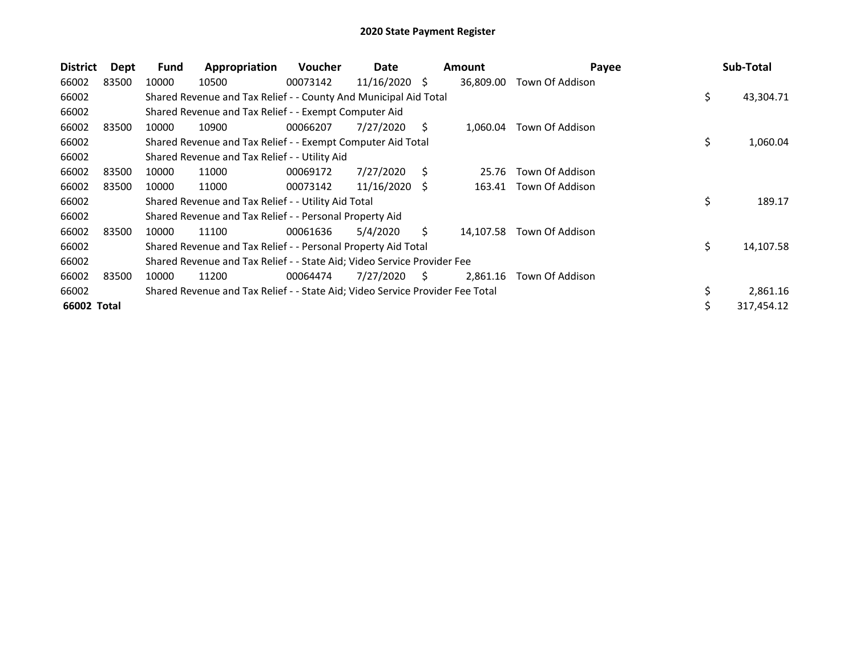| <b>District</b> | Dept  | Fund  | Appropriation                                                                 | <b>Voucher</b> | Date            |    | <b>Amount</b> | Payee                  | Sub-Total       |
|-----------------|-------|-------|-------------------------------------------------------------------------------|----------------|-----------------|----|---------------|------------------------|-----------------|
| 66002           | 83500 | 10000 | 10500                                                                         | 00073142       | 11/16/2020      | -S | 36,809.00     | Town Of Addison        |                 |
| 66002           |       |       | Shared Revenue and Tax Relief - - County And Municipal Aid Total              |                |                 |    |               |                        | \$<br>43,304.71 |
| 66002           |       |       | Shared Revenue and Tax Relief - - Exempt Computer Aid                         |                |                 |    |               |                        |                 |
| 66002           | 83500 | 10000 | 10900                                                                         | 00066207       | 7/27/2020       | S. | 1,060.04      | Town Of Addison        |                 |
| 66002           |       |       | Shared Revenue and Tax Relief - - Exempt Computer Aid Total                   |                |                 |    |               |                        | \$<br>1,060.04  |
| 66002           |       |       | Shared Revenue and Tax Relief - - Utility Aid                                 |                |                 |    |               |                        |                 |
| 66002           | 83500 | 10000 | 11000                                                                         | 00069172       | 7/27/2020       | S. | 25.76         | Town Of Addison        |                 |
| 66002           | 83500 | 10000 | 11000                                                                         | 00073142       | $11/16/2020$ \$ |    |               | 163.41 Town Of Addison |                 |
| 66002           |       |       | Shared Revenue and Tax Relief - - Utility Aid Total                           |                |                 |    |               |                        | \$<br>189.17    |
| 66002           |       |       | Shared Revenue and Tax Relief - - Personal Property Aid                       |                |                 |    |               |                        |                 |
| 66002           | 83500 | 10000 | 11100                                                                         | 00061636       | 5/4/2020        | S. | 14.107.58     | Town Of Addison        |                 |
| 66002           |       |       | Shared Revenue and Tax Relief - - Personal Property Aid Total                 |                |                 |    |               |                        | \$<br>14,107.58 |
| 66002           |       |       | Shared Revenue and Tax Relief - - State Aid; Video Service Provider Fee       |                |                 |    |               |                        |                 |
| 66002           | 83500 | 10000 | 11200                                                                         | 00064474       | 7/27/2020       | S  | 2,861.16      | Town Of Addison        |                 |
| 66002           |       |       | Shared Revenue and Tax Relief - - State Aid; Video Service Provider Fee Total |                |                 |    |               |                        | \$<br>2,861.16  |
| 66002 Total     |       |       |                                                                               |                |                 |    |               |                        | 317,454.12      |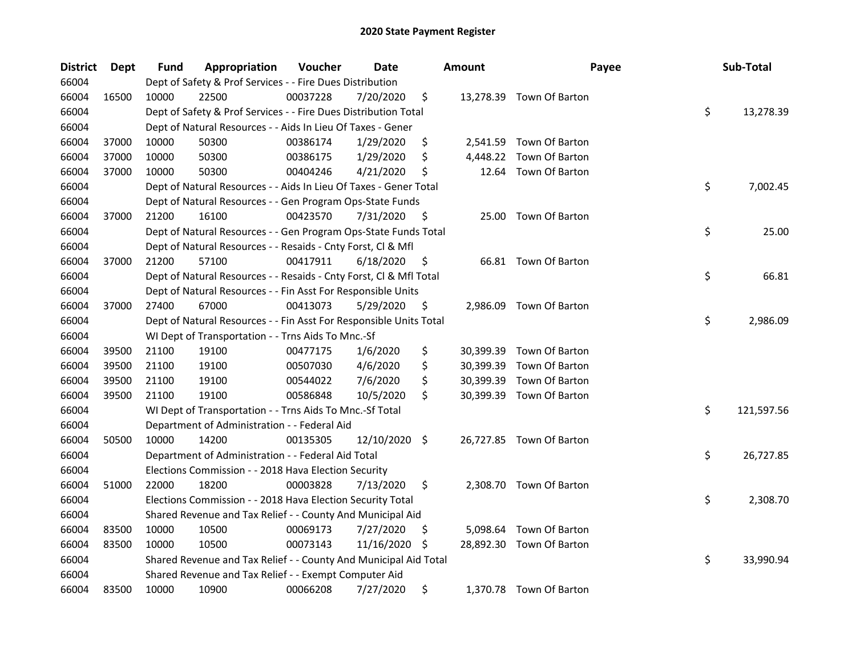| <b>District</b> | <b>Dept</b> | Fund  | Appropriation                                                      | Voucher  | Date          |     | <b>Amount</b> | Payee                    | Sub-Total        |
|-----------------|-------------|-------|--------------------------------------------------------------------|----------|---------------|-----|---------------|--------------------------|------------------|
| 66004           |             |       | Dept of Safety & Prof Services - - Fire Dues Distribution          |          |               |     |               |                          |                  |
| 66004           | 16500       | 10000 | 22500                                                              | 00037228 | 7/20/2020     | \$  |               | 13,278.39 Town Of Barton |                  |
| 66004           |             |       | Dept of Safety & Prof Services - - Fire Dues Distribution Total    |          |               |     |               |                          | \$<br>13,278.39  |
| 66004           |             |       | Dept of Natural Resources - - Aids In Lieu Of Taxes - Gener        |          |               |     |               |                          |                  |
| 66004           | 37000       | 10000 | 50300                                                              | 00386174 | 1/29/2020     | \$  | 2,541.59      | Town Of Barton           |                  |
| 66004           | 37000       | 10000 | 50300                                                              | 00386175 | 1/29/2020     | \$  | 4,448.22      | Town Of Barton           |                  |
| 66004           | 37000       | 10000 | 50300                                                              | 00404246 | 4/21/2020     | \$  | 12.64         | Town Of Barton           |                  |
| 66004           |             |       | Dept of Natural Resources - - Aids In Lieu Of Taxes - Gener Total  |          |               |     |               |                          | \$<br>7,002.45   |
| 66004           |             |       | Dept of Natural Resources - - Gen Program Ops-State Funds          |          |               |     |               |                          |                  |
| 66004           | 37000       | 21200 | 16100                                                              | 00423570 | 7/31/2020     | \$, |               | 25.00 Town Of Barton     |                  |
| 66004           |             |       | Dept of Natural Resources - - Gen Program Ops-State Funds Total    |          |               |     |               |                          | \$<br>25.00      |
| 66004           |             |       | Dept of Natural Resources - - Resaids - Cnty Forst, Cl & Mfl       |          |               |     |               |                          |                  |
| 66004           | 37000       | 21200 | 57100                                                              | 00417911 | 6/18/2020     | \$, |               | 66.81 Town Of Barton     |                  |
| 66004           |             |       | Dept of Natural Resources - - Resaids - Cnty Forst, Cl & Mfl Total |          |               |     |               |                          | \$<br>66.81      |
| 66004           |             |       | Dept of Natural Resources - - Fin Asst For Responsible Units       |          |               |     |               |                          |                  |
| 66004           | 37000       | 27400 | 67000                                                              | 00413073 | 5/29/2020     | \$  | 2,986.09      | Town Of Barton           |                  |
| 66004           |             |       | Dept of Natural Resources - - Fin Asst For Responsible Units Total |          |               |     |               |                          | \$<br>2,986.09   |
| 66004           |             |       | WI Dept of Transportation - - Trns Aids To Mnc.-Sf                 |          |               |     |               |                          |                  |
| 66004           | 39500       | 21100 | 19100                                                              | 00477175 | 1/6/2020      | \$  | 30,399.39     | Town Of Barton           |                  |
| 66004           | 39500       | 21100 | 19100                                                              | 00507030 | 4/6/2020      | \$  |               | 30,399.39 Town Of Barton |                  |
| 66004           | 39500       | 21100 | 19100                                                              | 00544022 | 7/6/2020      | \$  |               | 30,399.39 Town Of Barton |                  |
| 66004           | 39500       | 21100 | 19100                                                              | 00586848 | 10/5/2020     | \$  |               | 30,399.39 Town Of Barton |                  |
| 66004           |             |       | WI Dept of Transportation - - Trns Aids To Mnc.-Sf Total           |          |               |     |               |                          | \$<br>121,597.56 |
| 66004           |             |       | Department of Administration - - Federal Aid                       |          |               |     |               |                          |                  |
| 66004           | 50500       | 10000 | 14200                                                              | 00135305 | 12/10/2020 \$ |     |               | 26,727.85 Town Of Barton |                  |
| 66004           |             |       | Department of Administration - - Federal Aid Total                 |          |               |     |               |                          | \$<br>26,727.85  |
| 66004           |             |       | Elections Commission - - 2018 Hava Election Security               |          |               |     |               |                          |                  |
| 66004           | 51000       | 22000 | 18200                                                              | 00003828 | 7/13/2020     | \$  |               | 2,308.70 Town Of Barton  |                  |
| 66004           |             |       | Elections Commission - - 2018 Hava Election Security Total         |          |               |     |               |                          | \$<br>2,308.70   |
| 66004           |             |       | Shared Revenue and Tax Relief - - County And Municipal Aid         |          |               |     |               |                          |                  |
| 66004           | 83500       | 10000 | 10500                                                              | 00069173 | 7/27/2020     | \$  | 5,098.64      | Town Of Barton           |                  |
| 66004           | 83500       | 10000 | 10500                                                              | 00073143 | 11/16/2020    | \$  |               | 28,892.30 Town Of Barton |                  |
| 66004           |             |       | Shared Revenue and Tax Relief - - County And Municipal Aid Total   |          |               |     |               |                          | \$<br>33,990.94  |
| 66004           |             |       | Shared Revenue and Tax Relief - - Exempt Computer Aid              |          |               |     |               |                          |                  |
| 66004           | 83500       | 10000 | 10900                                                              | 00066208 | 7/27/2020     | \$  |               | 1,370.78 Town Of Barton  |                  |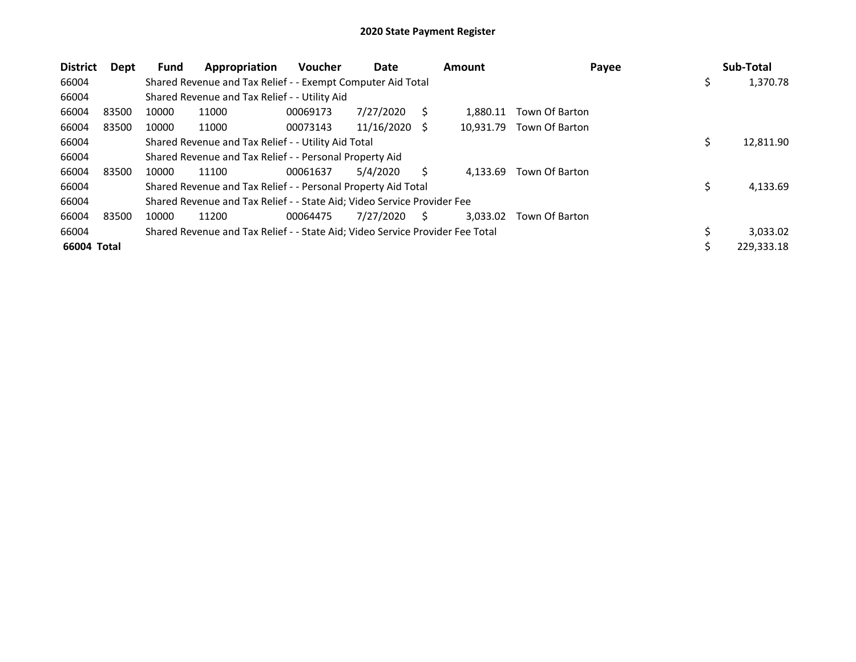| <b>District</b> | Dept  | <b>Fund</b> | Appropriation                                                                 | <b>Voucher</b> | Date       |     | <b>Amount</b> | Payee          |     | Sub-Total  |
|-----------------|-------|-------------|-------------------------------------------------------------------------------|----------------|------------|-----|---------------|----------------|-----|------------|
| 66004           |       |             | Shared Revenue and Tax Relief - - Exempt Computer Aid Total                   |                |            |     |               |                | \$  | 1,370.78   |
| 66004           |       |             | Shared Revenue and Tax Relief - - Utility Aid                                 |                |            |     |               |                |     |            |
| 66004           | 83500 | 10000       | 11000                                                                         | 00069173       | 7/27/2020  |     | 1.880.11      | Town Of Barton |     |            |
| 66004           | 83500 | 10000       | 11000                                                                         | 00073143       | 11/16/2020 | - S | 10.931.79     | Town Of Barton |     |            |
| 66004           |       |             | Shared Revenue and Tax Relief - - Utility Aid Total                           |                |            |     |               |                | \$. | 12,811.90  |
| 66004           |       |             | Shared Revenue and Tax Relief - - Personal Property Aid                       |                |            |     |               |                |     |            |
| 66004           | 83500 | 10000       | 11100                                                                         | 00061637       | 5/4/2020   |     | 4.133.69      | Town Of Barton |     |            |
| 66004           |       |             | Shared Revenue and Tax Relief - - Personal Property Aid Total                 |                |            |     |               |                | \$  | 4,133.69   |
| 66004           |       |             | Shared Revenue and Tax Relief - - State Aid; Video Service Provider Fee       |                |            |     |               |                |     |            |
| 66004           | 83500 | 10000       | 11200                                                                         | 00064475       | 7/27/2020  | S   | 3,033.02      | Town Of Barton |     |            |
| 66004           |       |             | Shared Revenue and Tax Relief - - State Aid; Video Service Provider Fee Total |                |            |     |               |                |     | 3,033.02   |
| 66004 Total     |       |             |                                                                               |                |            |     |               |                |     | 229,333.18 |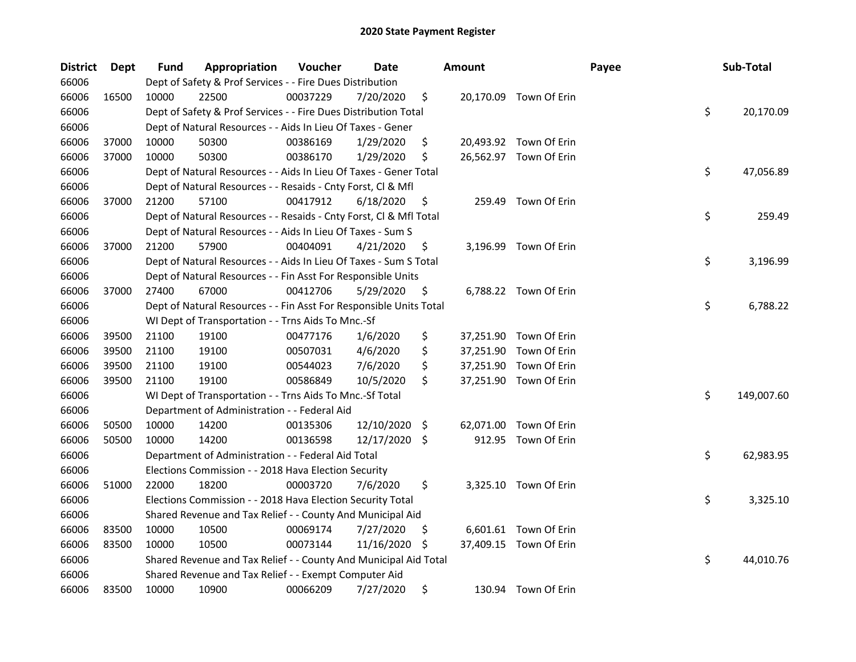| <b>District</b> | Dept  | Fund  | Appropriation                                                      | Voucher  | Date          |     | <b>Amount</b> |                        | Payee | Sub-Total        |
|-----------------|-------|-------|--------------------------------------------------------------------|----------|---------------|-----|---------------|------------------------|-------|------------------|
| 66006           |       |       | Dept of Safety & Prof Services - - Fire Dues Distribution          |          |               |     |               |                        |       |                  |
| 66006           | 16500 | 10000 | 22500                                                              | 00037229 | 7/20/2020     | \$  |               | 20,170.09 Town Of Erin |       |                  |
| 66006           |       |       | Dept of Safety & Prof Services - - Fire Dues Distribution Total    |          |               |     |               |                        |       | \$<br>20,170.09  |
| 66006           |       |       | Dept of Natural Resources - - Aids In Lieu Of Taxes - Gener        |          |               |     |               |                        |       |                  |
| 66006           | 37000 | 10000 | 50300                                                              | 00386169 | 1/29/2020     | \$  |               | 20,493.92 Town Of Erin |       |                  |
| 66006           | 37000 | 10000 | 50300                                                              | 00386170 | 1/29/2020     | \$  |               | 26,562.97 Town Of Erin |       |                  |
| 66006           |       |       | Dept of Natural Resources - - Aids In Lieu Of Taxes - Gener Total  |          |               |     |               |                        |       | \$<br>47,056.89  |
| 66006           |       |       | Dept of Natural Resources - - Resaids - Cnty Forst, Cl & Mfl       |          |               |     |               |                        |       |                  |
| 66006           | 37000 | 21200 | 57100                                                              | 00417912 | 6/18/2020     | \$  |               | 259.49 Town Of Erin    |       |                  |
| 66006           |       |       | Dept of Natural Resources - - Resaids - Cnty Forst, Cl & Mfl Total |          |               |     |               |                        |       | \$<br>259.49     |
| 66006           |       |       | Dept of Natural Resources - - Aids In Lieu Of Taxes - Sum S        |          |               |     |               |                        |       |                  |
| 66006           | 37000 | 21200 | 57900                                                              | 00404091 | 4/21/2020     | \$  |               | 3,196.99 Town Of Erin  |       |                  |
| 66006           |       |       | Dept of Natural Resources - - Aids In Lieu Of Taxes - Sum S Total  |          |               |     |               |                        |       | \$<br>3,196.99   |
| 66006           |       |       | Dept of Natural Resources - - Fin Asst For Responsible Units       |          |               |     |               |                        |       |                  |
| 66006           | 37000 | 27400 | 67000                                                              | 00412706 | 5/29/2020     | \$  |               | 6,788.22 Town Of Erin  |       |                  |
| 66006           |       |       | Dept of Natural Resources - - Fin Asst For Responsible Units Total |          |               |     |               |                        |       | \$<br>6,788.22   |
| 66006           |       |       | WI Dept of Transportation - - Trns Aids To Mnc.-Sf                 |          |               |     |               |                        |       |                  |
| 66006           | 39500 | 21100 | 19100                                                              | 00477176 | 1/6/2020      | \$  |               | 37,251.90 Town Of Erin |       |                  |
| 66006           | 39500 | 21100 | 19100                                                              | 00507031 | 4/6/2020      | \$  | 37,251.90     | Town Of Erin           |       |                  |
| 66006           | 39500 | 21100 | 19100                                                              | 00544023 | 7/6/2020      | \$  |               | 37,251.90 Town Of Erin |       |                  |
| 66006           | 39500 | 21100 | 19100                                                              | 00586849 | 10/5/2020     | \$  |               | 37,251.90 Town Of Erin |       |                  |
| 66006           |       |       | WI Dept of Transportation - - Trns Aids To Mnc.-Sf Total           |          |               |     |               |                        |       | \$<br>149,007.60 |
| 66006           |       |       | Department of Administration - - Federal Aid                       |          |               |     |               |                        |       |                  |
| 66006           | 50500 | 10000 | 14200                                                              | 00135306 | 12/10/2020    | \$. | 62,071.00     | Town Of Erin           |       |                  |
| 66006           | 50500 | 10000 | 14200                                                              | 00136598 | 12/17/2020 \$ |     |               | 912.95 Town Of Erin    |       |                  |
| 66006           |       |       | Department of Administration - - Federal Aid Total                 |          |               |     |               |                        |       | \$<br>62,983.95  |
| 66006           |       |       | Elections Commission - - 2018 Hava Election Security               |          |               |     |               |                        |       |                  |
| 66006           | 51000 | 22000 | 18200                                                              | 00003720 | 7/6/2020      | \$  |               | 3,325.10 Town Of Erin  |       |                  |
| 66006           |       |       | Elections Commission - - 2018 Hava Election Security Total         |          |               |     |               |                        |       | \$<br>3,325.10   |
| 66006           |       |       | Shared Revenue and Tax Relief - - County And Municipal Aid         |          |               |     |               |                        |       |                  |
| 66006           | 83500 | 10000 | 10500                                                              | 00069174 | 7/27/2020     | \$  |               | 6,601.61 Town Of Erin  |       |                  |
| 66006           | 83500 | 10000 | 10500                                                              | 00073144 | 11/16/2020    | \$. |               | 37,409.15 Town Of Erin |       |                  |
| 66006           |       |       | Shared Revenue and Tax Relief - - County And Municipal Aid Total   |          |               |     |               |                        |       | \$<br>44,010.76  |
| 66006           |       |       | Shared Revenue and Tax Relief - - Exempt Computer Aid              |          |               |     |               |                        |       |                  |
| 66006           | 83500 | 10000 | 10900                                                              | 00066209 | 7/27/2020     | \$  |               | 130.94 Town Of Erin    |       |                  |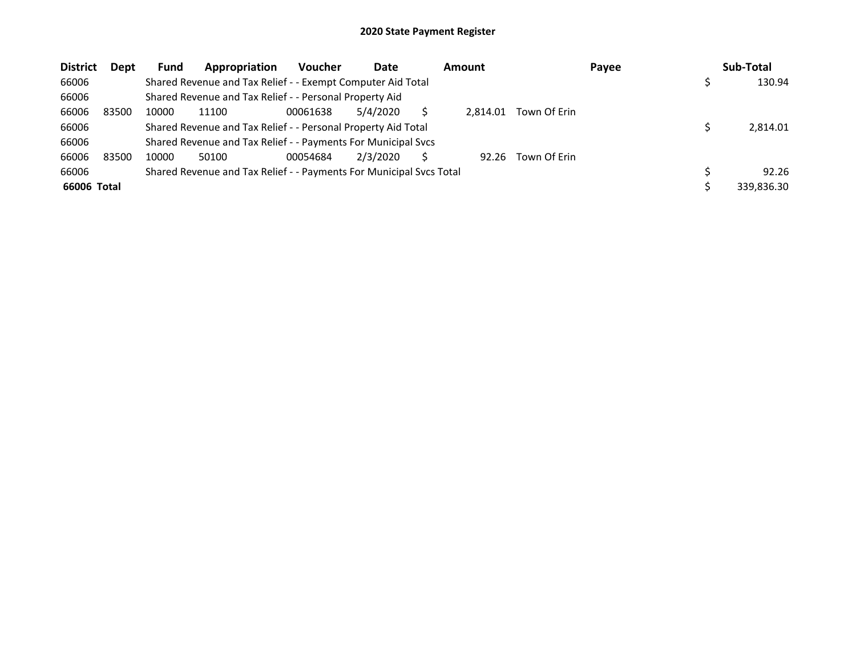| <b>District</b> | Dept  | <b>Fund</b> | Appropriation                                                       | <b>Voucher</b> | Date     | Amount   |              | Payee | Sub-Total  |
|-----------------|-------|-------------|---------------------------------------------------------------------|----------------|----------|----------|--------------|-------|------------|
| 66006           |       |             | Shared Revenue and Tax Relief - - Exempt Computer Aid Total         |                |          |          |              |       | 130.94     |
| 66006           |       |             | Shared Revenue and Tax Relief - - Personal Property Aid             |                |          |          |              |       |            |
| 66006           | 83500 | 10000       | 11100                                                               | 00061638       | 5/4/2020 | 2.814.01 | Town Of Erin |       |            |
| 66006           |       |             | Shared Revenue and Tax Relief - - Personal Property Aid Total       |                |          |          |              |       | 2,814.01   |
| 66006           |       |             | Shared Revenue and Tax Relief - - Payments For Municipal Svcs       |                |          |          |              |       |            |
| 66006           | 83500 | 10000       | 50100                                                               | 00054684       | 2/3/2020 | 92.26    | Town Of Erin |       |            |
| 66006           |       |             | Shared Revenue and Tax Relief - - Payments For Municipal Svcs Total |                |          |          |              |       | 92.26      |
| 66006 Total     |       |             |                                                                     |                |          |          |              |       | 339,836.30 |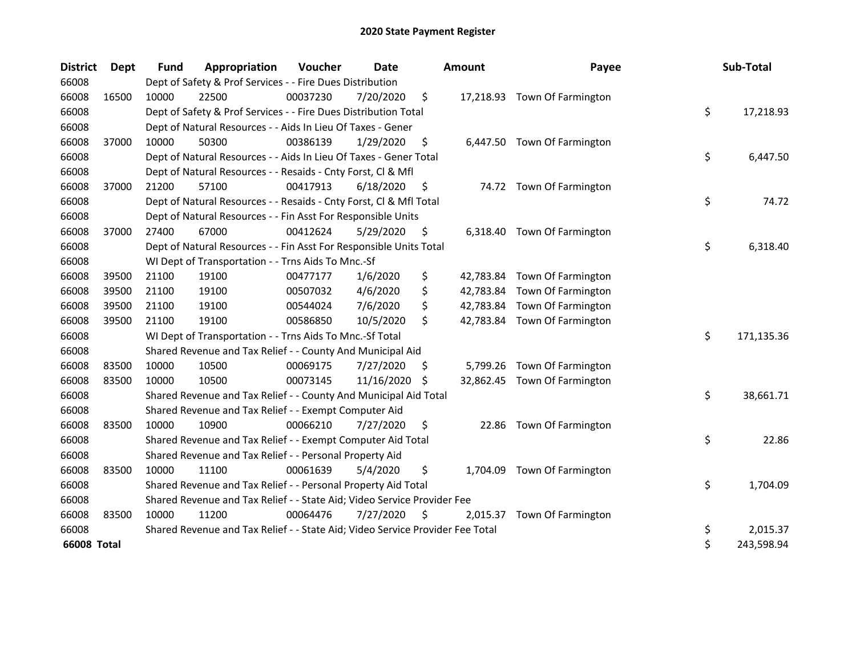| <b>District</b> | Dept  | <b>Fund</b> | Appropriation                                                                 | Voucher  | Date       |     | <b>Amount</b> | Payee                        | Sub-Total        |
|-----------------|-------|-------------|-------------------------------------------------------------------------------|----------|------------|-----|---------------|------------------------------|------------------|
| 66008           |       |             | Dept of Safety & Prof Services - - Fire Dues Distribution                     |          |            |     |               |                              |                  |
| 66008           | 16500 | 10000       | 22500                                                                         | 00037230 | 7/20/2020  | \$  |               | 17,218.93 Town Of Farmington |                  |
| 66008           |       |             | Dept of Safety & Prof Services - - Fire Dues Distribution Total               |          |            |     |               |                              | \$<br>17,218.93  |
| 66008           |       |             | Dept of Natural Resources - - Aids In Lieu Of Taxes - Gener                   |          |            |     |               |                              |                  |
| 66008           | 37000 | 10000       | 50300                                                                         | 00386139 | 1/29/2020  | \$, |               | 6,447.50 Town Of Farmington  |                  |
| 66008           |       |             | Dept of Natural Resources - - Aids In Lieu Of Taxes - Gener Total             |          |            |     |               |                              | \$<br>6,447.50   |
| 66008           |       |             | Dept of Natural Resources - - Resaids - Cnty Forst, Cl & Mfl                  |          |            |     |               |                              |                  |
| 66008           | 37000 | 21200       | 57100                                                                         | 00417913 | 6/18/2020  | S   |               | 74.72 Town Of Farmington     |                  |
| 66008           |       |             | Dept of Natural Resources - - Resaids - Cnty Forst, Cl & Mfl Total            |          |            |     |               |                              | \$<br>74.72      |
| 66008           |       |             | Dept of Natural Resources - - Fin Asst For Responsible Units                  |          |            |     |               |                              |                  |
| 66008           | 37000 | 27400       | 67000                                                                         | 00412624 | 5/29/2020  | \$  | 6,318.40      | Town Of Farmington           |                  |
| 66008           |       |             | Dept of Natural Resources - - Fin Asst For Responsible Units Total            |          |            |     |               |                              | \$<br>6,318.40   |
| 66008           |       |             | WI Dept of Transportation - - Trns Aids To Mnc.-Sf                            |          |            |     |               |                              |                  |
| 66008           | 39500 | 21100       | 19100                                                                         | 00477177 | 1/6/2020   | \$  |               | 42,783.84 Town Of Farmington |                  |
| 66008           | 39500 | 21100       | 19100                                                                         | 00507032 | 4/6/2020   | \$  |               | 42,783.84 Town Of Farmington |                  |
| 66008           | 39500 | 21100       | 19100                                                                         | 00544024 | 7/6/2020   | \$  |               | 42,783.84 Town Of Farmington |                  |
| 66008           | 39500 | 21100       | 19100                                                                         | 00586850 | 10/5/2020  | \$  |               | 42,783.84 Town Of Farmington |                  |
| 66008           |       |             | WI Dept of Transportation - - Trns Aids To Mnc.-Sf Total                      |          |            |     |               |                              | \$<br>171,135.36 |
| 66008           |       |             | Shared Revenue and Tax Relief - - County And Municipal Aid                    |          |            |     |               |                              |                  |
| 66008           | 83500 | 10000       | 10500                                                                         | 00069175 | 7/27/2020  | S   |               | 5,799.26 Town Of Farmington  |                  |
| 66008           | 83500 | 10000       | 10500                                                                         | 00073145 | 11/16/2020 | -\$ |               | 32,862.45 Town Of Farmington |                  |
| 66008           |       |             | Shared Revenue and Tax Relief - - County And Municipal Aid Total              |          |            |     |               |                              | \$<br>38,661.71  |
| 66008           |       |             | Shared Revenue and Tax Relief - - Exempt Computer Aid                         |          |            |     |               |                              |                  |
| 66008           | 83500 | 10000       | 10900                                                                         | 00066210 | 7/27/2020  | \$  | 22.86         | Town Of Farmington           |                  |
| 66008           |       |             | Shared Revenue and Tax Relief - - Exempt Computer Aid Total                   |          |            |     |               |                              | \$<br>22.86      |
| 66008           |       |             | Shared Revenue and Tax Relief - - Personal Property Aid                       |          |            |     |               |                              |                  |
| 66008           | 83500 | 10000       | 11100                                                                         | 00061639 | 5/4/2020   | \$  | 1,704.09      | Town Of Farmington           |                  |
| 66008           |       |             | Shared Revenue and Tax Relief - - Personal Property Aid Total                 |          |            |     |               |                              | \$<br>1,704.09   |
| 66008           |       |             | Shared Revenue and Tax Relief - - State Aid; Video Service Provider Fee       |          |            |     |               |                              |                  |
| 66008           | 83500 | 10000       | 11200                                                                         | 00064476 | 7/27/2020  | S   | 2,015.37      | Town Of Farmington           |                  |
| 66008           |       |             | Shared Revenue and Tax Relief - - State Aid; Video Service Provider Fee Total |          |            |     |               |                              | \$<br>2,015.37   |
| 66008 Total     |       |             |                                                                               |          |            |     |               |                              | \$<br>243,598.94 |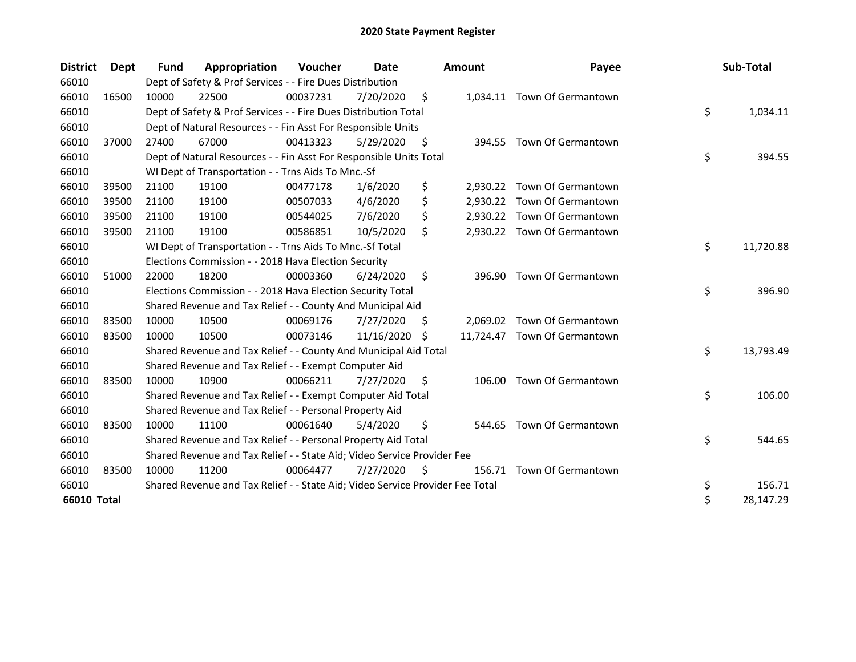| <b>District</b> | <b>Dept</b> | Fund  | Appropriation                                                                 | Voucher  | Date       |     | <b>Amount</b> | Payee                        | Sub-Total       |
|-----------------|-------------|-------|-------------------------------------------------------------------------------|----------|------------|-----|---------------|------------------------------|-----------------|
| 66010           |             |       | Dept of Safety & Prof Services - - Fire Dues Distribution                     |          |            |     |               |                              |                 |
| 66010           | 16500       | 10000 | 22500                                                                         | 00037231 | 7/20/2020  | \$  |               | 1,034.11 Town Of Germantown  |                 |
| 66010           |             |       | Dept of Safety & Prof Services - - Fire Dues Distribution Total               |          |            |     |               |                              | \$<br>1,034.11  |
| 66010           |             |       | Dept of Natural Resources - - Fin Asst For Responsible Units                  |          |            |     |               |                              |                 |
| 66010           | 37000       | 27400 | 67000                                                                         | 00413323 | 5/29/2020  | \$  |               | 394.55 Town Of Germantown    |                 |
| 66010           |             |       | Dept of Natural Resources - - Fin Asst For Responsible Units Total            |          |            |     |               |                              | \$<br>394.55    |
| 66010           |             |       | WI Dept of Transportation - - Trns Aids To Mnc.-Sf                            |          |            |     |               |                              |                 |
| 66010           | 39500       | 21100 | 19100                                                                         | 00477178 | 1/6/2020   | \$  | 2,930.22      | Town Of Germantown           |                 |
| 66010           | 39500       | 21100 | 19100                                                                         | 00507033 | 4/6/2020   | \$  |               | 2,930.22 Town Of Germantown  |                 |
| 66010           | 39500       | 21100 | 19100                                                                         | 00544025 | 7/6/2020   | \$  |               | 2,930.22 Town Of Germantown  |                 |
| 66010           | 39500       | 21100 | 19100                                                                         | 00586851 | 10/5/2020  | \$  |               | 2,930.22 Town Of Germantown  |                 |
| 66010           |             |       | WI Dept of Transportation - - Trns Aids To Mnc.-Sf Total                      |          |            |     |               |                              | \$<br>11,720.88 |
| 66010           |             |       | Elections Commission - - 2018 Hava Election Security                          |          |            |     |               |                              |                 |
| 66010           | 51000       | 22000 | 18200                                                                         | 00003360 | 6/24/2020  | \$  | 396.90        | Town Of Germantown           |                 |
| 66010           |             |       | Elections Commission - - 2018 Hava Election Security Total                    |          |            |     |               |                              | \$<br>396.90    |
| 66010           |             |       | Shared Revenue and Tax Relief - - County And Municipal Aid                    |          |            |     |               |                              |                 |
| 66010           | 83500       | 10000 | 10500                                                                         | 00069176 | 7/27/2020  | \$. |               | 2,069.02 Town Of Germantown  |                 |
| 66010           | 83500       | 10000 | 10500                                                                         | 00073146 | 11/16/2020 | S   |               | 11,724.47 Town Of Germantown |                 |
| 66010           |             |       | Shared Revenue and Tax Relief - - County And Municipal Aid Total              |          |            |     |               |                              | \$<br>13,793.49 |
| 66010           |             |       | Shared Revenue and Tax Relief - - Exempt Computer Aid                         |          |            |     |               |                              |                 |
| 66010           | 83500       | 10000 | 10900                                                                         | 00066211 | 7/27/2020  | \$. | 106.00        | Town Of Germantown           |                 |
| 66010           |             |       | Shared Revenue and Tax Relief - - Exempt Computer Aid Total                   |          |            |     |               |                              | \$<br>106.00    |
| 66010           |             |       | Shared Revenue and Tax Relief - - Personal Property Aid                       |          |            |     |               |                              |                 |
| 66010           | 83500       | 10000 | 11100                                                                         | 00061640 | 5/4/2020   | \$  |               | 544.65 Town Of Germantown    |                 |
| 66010           |             |       | Shared Revenue and Tax Relief - - Personal Property Aid Total                 |          |            |     |               |                              | \$<br>544.65    |
| 66010           |             |       | Shared Revenue and Tax Relief - - State Aid; Video Service Provider Fee       |          |            |     |               |                              |                 |
| 66010           | 83500       | 10000 | 11200                                                                         | 00064477 | 7/27/2020  | \$  | 156.71        | Town Of Germantown           |                 |
| 66010           |             |       | Shared Revenue and Tax Relief - - State Aid; Video Service Provider Fee Total |          |            |     |               |                              | \$<br>156.71    |
| 66010 Total     |             |       |                                                                               |          |            |     |               |                              | \$<br>28,147.29 |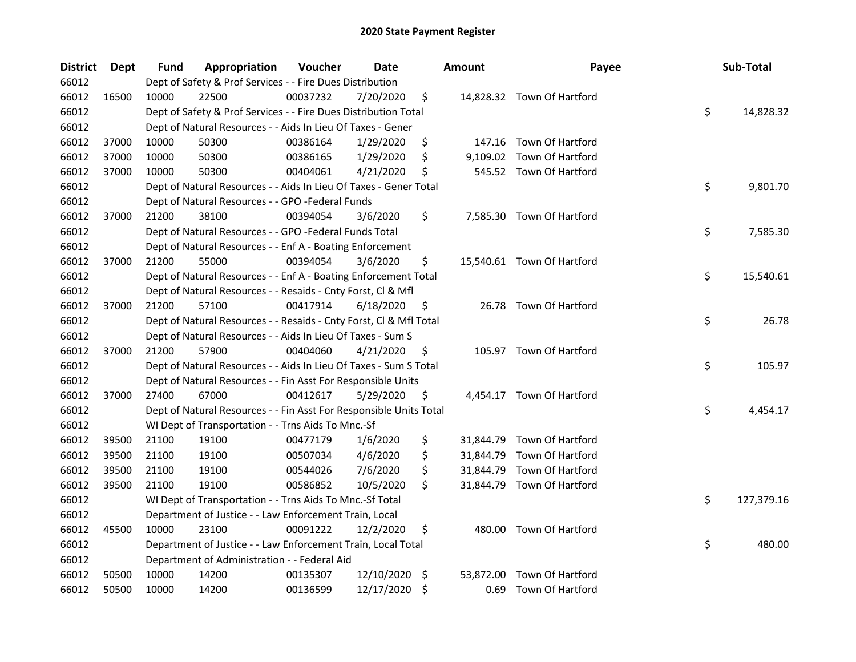| <b>District</b> | Dept  | Fund  | Appropriation                                                      | Voucher  | Date       | <b>Amount</b>   | Payee                      | Sub-Total        |
|-----------------|-------|-------|--------------------------------------------------------------------|----------|------------|-----------------|----------------------------|------------------|
| 66012           |       |       | Dept of Safety & Prof Services - - Fire Dues Distribution          |          |            |                 |                            |                  |
| 66012           | 16500 | 10000 | 22500                                                              | 00037232 | 7/20/2020  | \$              | 14,828.32 Town Of Hartford |                  |
| 66012           |       |       | Dept of Safety & Prof Services - - Fire Dues Distribution Total    |          |            |                 |                            | \$<br>14,828.32  |
| 66012           |       |       | Dept of Natural Resources - - Aids In Lieu Of Taxes - Gener        |          |            |                 |                            |                  |
| 66012           | 37000 | 10000 | 50300                                                              | 00386164 | 1/29/2020  | \$              | 147.16 Town Of Hartford    |                  |
| 66012           | 37000 | 10000 | 50300                                                              | 00386165 | 1/29/2020  | \$              | 9,109.02 Town Of Hartford  |                  |
| 66012           | 37000 | 10000 | 50300                                                              | 00404061 | 4/21/2020  | \$              | 545.52 Town Of Hartford    |                  |
| 66012           |       |       | Dept of Natural Resources - - Aids In Lieu Of Taxes - Gener Total  |          |            |                 |                            | \$<br>9,801.70   |
| 66012           |       |       | Dept of Natural Resources - - GPO -Federal Funds                   |          |            |                 |                            |                  |
| 66012           | 37000 | 21200 | 38100                                                              | 00394054 | 3/6/2020   | \$              | 7,585.30 Town Of Hartford  |                  |
| 66012           |       |       | Dept of Natural Resources - - GPO -Federal Funds Total             |          |            |                 |                            | \$<br>7,585.30   |
| 66012           |       |       | Dept of Natural Resources - - Enf A - Boating Enforcement          |          |            |                 |                            |                  |
| 66012           | 37000 | 21200 | 55000                                                              | 00394054 | 3/6/2020   | \$              | 15,540.61 Town Of Hartford |                  |
| 66012           |       |       | Dept of Natural Resources - - Enf A - Boating Enforcement Total    |          |            |                 |                            | \$<br>15,540.61  |
| 66012           |       |       | Dept of Natural Resources - - Resaids - Cnty Forst, Cl & Mfl       |          |            |                 |                            |                  |
| 66012           | 37000 | 21200 | 57100                                                              | 00417914 | 6/18/2020  | \$              | 26.78 Town Of Hartford     |                  |
| 66012           |       |       | Dept of Natural Resources - - Resaids - Cnty Forst, Cl & Mfl Total |          |            |                 |                            | \$<br>26.78      |
| 66012           |       |       | Dept of Natural Resources - - Aids In Lieu Of Taxes - Sum S        |          |            |                 |                            |                  |
| 66012           | 37000 | 21200 | 57900                                                              | 00404060 | 4/21/2020  | \$              | 105.97 Town Of Hartford    |                  |
| 66012           |       |       | Dept of Natural Resources - - Aids In Lieu Of Taxes - Sum S Total  |          |            |                 |                            | \$<br>105.97     |
| 66012           |       |       | Dept of Natural Resources - - Fin Asst For Responsible Units       |          |            |                 |                            |                  |
| 66012           | 37000 | 27400 | 67000                                                              | 00412617 | 5/29/2020  | \$              | 4,454.17 Town Of Hartford  |                  |
| 66012           |       |       | Dept of Natural Resources - - Fin Asst For Responsible Units Total |          |            |                 |                            | \$<br>4,454.17   |
| 66012           |       |       | WI Dept of Transportation - - Trns Aids To Mnc.-Sf                 |          |            |                 |                            |                  |
| 66012           | 39500 | 21100 | 19100                                                              | 00477179 | 1/6/2020   | \$              | 31,844.79 Town Of Hartford |                  |
| 66012           | 39500 | 21100 | 19100                                                              | 00507034 | 4/6/2020   | \$              | 31,844.79 Town Of Hartford |                  |
| 66012           | 39500 | 21100 | 19100                                                              | 00544026 | 7/6/2020   | \$              | 31,844.79 Town Of Hartford |                  |
| 66012           | 39500 | 21100 | 19100                                                              | 00586852 | 10/5/2020  | \$              | 31,844.79 Town Of Hartford |                  |
| 66012           |       |       | WI Dept of Transportation - - Trns Aids To Mnc.-Sf Total           |          |            |                 |                            | \$<br>127,379.16 |
| 66012           |       |       | Department of Justice - - Law Enforcement Train, Local             |          |            |                 |                            |                  |
| 66012           | 45500 | 10000 | 23100                                                              | 00091222 | 12/2/2020  | \$              | 480.00 Town Of Hartford    |                  |
| 66012           |       |       | Department of Justice - - Law Enforcement Train, Local Total       |          |            |                 |                            | \$<br>480.00     |
| 66012           |       |       | Department of Administration - - Federal Aid                       |          |            |                 |                            |                  |
| 66012           | 50500 | 10000 | 14200                                                              | 00135307 | 12/10/2020 | \$<br>53,872.00 | Town Of Hartford           |                  |
| 66012           | 50500 | 10000 | 14200                                                              | 00136599 | 12/17/2020 | \$<br>0.69      | Town Of Hartford           |                  |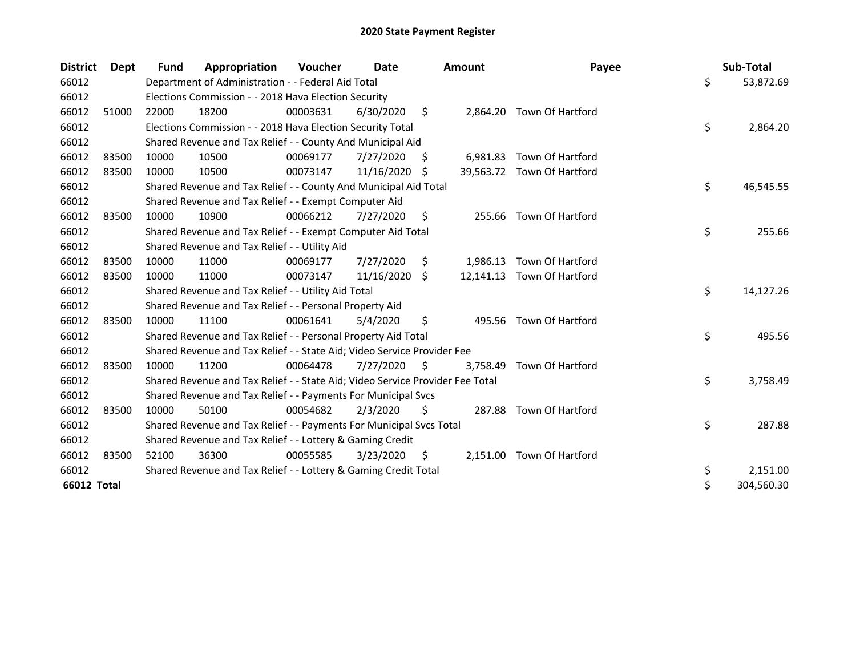| <b>District</b> | <b>Dept</b> | <b>Fund</b> | Appropriation                                                                 | Voucher  | Date       |     | <b>Amount</b> | Payee                      | Sub-Total        |
|-----------------|-------------|-------------|-------------------------------------------------------------------------------|----------|------------|-----|---------------|----------------------------|------------------|
| 66012           |             |             | Department of Administration - - Federal Aid Total                            |          |            |     |               |                            | \$<br>53,872.69  |
| 66012           |             |             | Elections Commission - - 2018 Hava Election Security                          |          |            |     |               |                            |                  |
| 66012           | 51000       | 22000       | 18200                                                                         | 00003631 | 6/30/2020  | \$  |               | 2,864.20 Town Of Hartford  |                  |
| 66012           |             |             | Elections Commission - - 2018 Hava Election Security Total                    |          |            |     |               |                            | \$<br>2,864.20   |
| 66012           |             |             | Shared Revenue and Tax Relief - - County And Municipal Aid                    |          |            |     |               |                            |                  |
| 66012           | 83500       | 10000       | 10500                                                                         | 00069177 | 7/27/2020  | S   |               | 6,981.83 Town Of Hartford  |                  |
| 66012           | 83500       | 10000       | 10500                                                                         | 00073147 | 11/16/2020 | -S  |               | 39,563.72 Town Of Hartford |                  |
| 66012           |             |             | Shared Revenue and Tax Relief - - County And Municipal Aid Total              |          |            |     |               |                            | \$<br>46,545.55  |
| 66012           |             |             | Shared Revenue and Tax Relief - - Exempt Computer Aid                         |          |            |     |               |                            |                  |
| 66012           | 83500       | 10000       | 10900                                                                         | 00066212 | 7/27/2020  | \$  |               | 255.66 Town Of Hartford    |                  |
| 66012           |             |             | Shared Revenue and Tax Relief - - Exempt Computer Aid Total                   |          |            |     |               |                            | \$<br>255.66     |
| 66012           |             |             | Shared Revenue and Tax Relief - - Utility Aid                                 |          |            |     |               |                            |                  |
| 66012           | 83500       | 10000       | 11000                                                                         | 00069177 | 7/27/2020  | \$  | 1,986.13      | Town Of Hartford           |                  |
| 66012           | 83500       | 10000       | 11000                                                                         | 00073147 | 11/16/2020 | S.  |               | 12,141.13 Town Of Hartford |                  |
| 66012           |             |             | Shared Revenue and Tax Relief - - Utility Aid Total                           |          |            |     |               |                            | \$<br>14,127.26  |
| 66012           |             |             | Shared Revenue and Tax Relief - - Personal Property Aid                       |          |            |     |               |                            |                  |
| 66012           | 83500       | 10000       | 11100                                                                         | 00061641 | 5/4/2020   | \$  |               | 495.56 Town Of Hartford    |                  |
| 66012           |             |             | Shared Revenue and Tax Relief - - Personal Property Aid Total                 |          |            |     |               |                            | \$<br>495.56     |
| 66012           |             |             | Shared Revenue and Tax Relief - - State Aid; Video Service Provider Fee       |          |            |     |               |                            |                  |
| 66012           | 83500       | 10000       | 11200                                                                         | 00064478 | 7/27/2020  | \$  | 3,758.49      | Town Of Hartford           |                  |
| 66012           |             |             | Shared Revenue and Tax Relief - - State Aid; Video Service Provider Fee Total |          |            |     |               |                            | \$<br>3,758.49   |
| 66012           |             |             | Shared Revenue and Tax Relief - - Payments For Municipal Svcs                 |          |            |     |               |                            |                  |
| 66012           | 83500       | 10000       | 50100                                                                         | 00054682 | 2/3/2020   | \$  | 287.88        | Town Of Hartford           |                  |
| 66012           |             |             | Shared Revenue and Tax Relief - - Payments For Municipal Svcs Total           |          |            |     |               |                            | \$<br>287.88     |
| 66012           |             |             | Shared Revenue and Tax Relief - - Lottery & Gaming Credit                     |          |            |     |               |                            |                  |
| 66012           | 83500       | 52100       | 36300                                                                         | 00055585 | 3/23/2020  | \$. | 2,151.00      | Town Of Hartford           |                  |
| 66012           |             |             | Shared Revenue and Tax Relief - - Lottery & Gaming Credit Total               |          |            |     |               |                            | \$<br>2,151.00   |
| 66012 Total     |             |             |                                                                               |          |            |     |               |                            | \$<br>304,560.30 |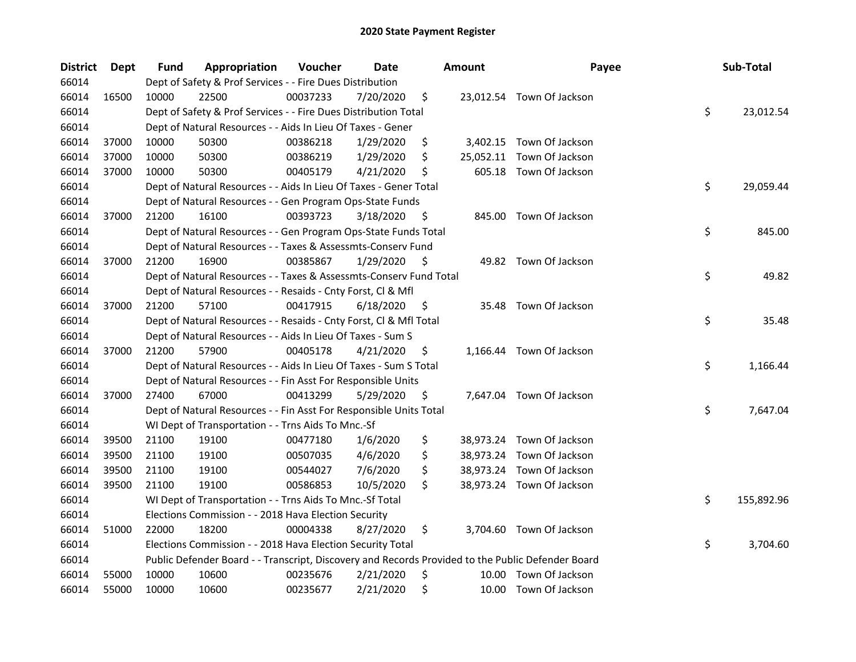| <b>District</b> | Dept  | <b>Fund</b> | Appropriation                                                                                     | Voucher  | <b>Date</b> |    | <b>Amount</b> | Payee                     | Sub-Total        |
|-----------------|-------|-------------|---------------------------------------------------------------------------------------------------|----------|-------------|----|---------------|---------------------------|------------------|
| 66014           |       |             | Dept of Safety & Prof Services - - Fire Dues Distribution                                         |          |             |    |               |                           |                  |
| 66014           | 16500 | 10000       | 22500                                                                                             | 00037233 | 7/20/2020   | \$ |               | 23,012.54 Town Of Jackson |                  |
| 66014           |       |             | Dept of Safety & Prof Services - - Fire Dues Distribution Total                                   |          |             |    |               |                           | \$<br>23,012.54  |
| 66014           |       |             | Dept of Natural Resources - - Aids In Lieu Of Taxes - Gener                                       |          |             |    |               |                           |                  |
| 66014           | 37000 | 10000       | 50300                                                                                             | 00386218 | 1/29/2020   | \$ |               | 3,402.15 Town Of Jackson  |                  |
| 66014           | 37000 | 10000       | 50300                                                                                             | 00386219 | 1/29/2020   | \$ | 25,052.11     | Town Of Jackson           |                  |
| 66014           | 37000 | 10000       | 50300                                                                                             | 00405179 | 4/21/2020   | \$ |               | 605.18 Town Of Jackson    |                  |
| 66014           |       |             | Dept of Natural Resources - - Aids In Lieu Of Taxes - Gener Total                                 |          |             |    |               |                           | \$<br>29,059.44  |
| 66014           |       |             | Dept of Natural Resources - - Gen Program Ops-State Funds                                         |          |             |    |               |                           |                  |
| 66014           | 37000 | 21200       | 16100                                                                                             | 00393723 | 3/18/2020   | \$ |               | 845.00 Town Of Jackson    |                  |
| 66014           |       |             | Dept of Natural Resources - - Gen Program Ops-State Funds Total                                   |          |             |    |               |                           | \$<br>845.00     |
| 66014           |       |             | Dept of Natural Resources - - Taxes & Assessmts-Conserv Fund                                      |          |             |    |               |                           |                  |
| 66014           | 37000 | 21200       | 16900                                                                                             | 00385867 | 1/29/2020   | \$ |               | 49.82 Town Of Jackson     |                  |
| 66014           |       |             | Dept of Natural Resources - - Taxes & Assessmts-Conserv Fund Total                                |          |             |    |               |                           | \$<br>49.82      |
| 66014           |       |             | Dept of Natural Resources - - Resaids - Cnty Forst, Cl & Mfl                                      |          |             |    |               |                           |                  |
| 66014           | 37000 | 21200       | 57100                                                                                             | 00417915 | 6/18/2020   | S  |               | 35.48 Town Of Jackson     |                  |
| 66014           |       |             | Dept of Natural Resources - - Resaids - Cnty Forst, Cl & Mfl Total                                |          |             |    |               |                           | \$<br>35.48      |
| 66014           |       |             | Dept of Natural Resources - - Aids In Lieu Of Taxes - Sum S                                       |          |             |    |               |                           |                  |
| 66014           | 37000 | 21200       | 57900                                                                                             | 00405178 | 4/21/2020   | \$ |               | 1,166.44 Town Of Jackson  |                  |
| 66014           |       |             | Dept of Natural Resources - - Aids In Lieu Of Taxes - Sum S Total                                 |          |             |    |               |                           | \$<br>1,166.44   |
| 66014           |       |             | Dept of Natural Resources - - Fin Asst For Responsible Units                                      |          |             |    |               |                           |                  |
| 66014           | 37000 | 27400       | 67000                                                                                             | 00413299 | 5/29/2020   | \$ |               | 7,647.04 Town Of Jackson  |                  |
| 66014           |       |             | Dept of Natural Resources - - Fin Asst For Responsible Units Total                                |          |             |    |               |                           | \$<br>7,647.04   |
| 66014           |       |             | WI Dept of Transportation - - Trns Aids To Mnc.-Sf                                                |          |             |    |               |                           |                  |
| 66014           | 39500 | 21100       | 19100                                                                                             | 00477180 | 1/6/2020    | \$ |               | 38,973.24 Town Of Jackson |                  |
| 66014           | 39500 | 21100       | 19100                                                                                             | 00507035 | 4/6/2020    | \$ |               | 38,973.24 Town Of Jackson |                  |
| 66014           | 39500 | 21100       | 19100                                                                                             | 00544027 | 7/6/2020    | \$ |               | 38,973.24 Town Of Jackson |                  |
| 66014           | 39500 | 21100       | 19100                                                                                             | 00586853 | 10/5/2020   | \$ |               | 38,973.24 Town Of Jackson |                  |
| 66014           |       |             | WI Dept of Transportation - - Trns Aids To Mnc.-Sf Total                                          |          |             |    |               |                           | \$<br>155,892.96 |
| 66014           |       |             | Elections Commission - - 2018 Hava Election Security                                              |          |             |    |               |                           |                  |
| 66014           | 51000 | 22000       | 18200                                                                                             | 00004338 | 8/27/2020   | \$ |               | 3,704.60 Town Of Jackson  |                  |
| 66014           |       |             | Elections Commission - - 2018 Hava Election Security Total                                        |          |             |    |               |                           | \$<br>3,704.60   |
| 66014           |       |             | Public Defender Board - - Transcript, Discovery and Records Provided to the Public Defender Board |          |             |    |               |                           |                  |
| 66014           | 55000 | 10000       | 10600                                                                                             | 00235676 | 2/21/2020   | \$ | 10.00         | Town Of Jackson           |                  |
| 66014           | 55000 | 10000       | 10600                                                                                             | 00235677 | 2/21/2020   | \$ |               | 10.00 Town Of Jackson     |                  |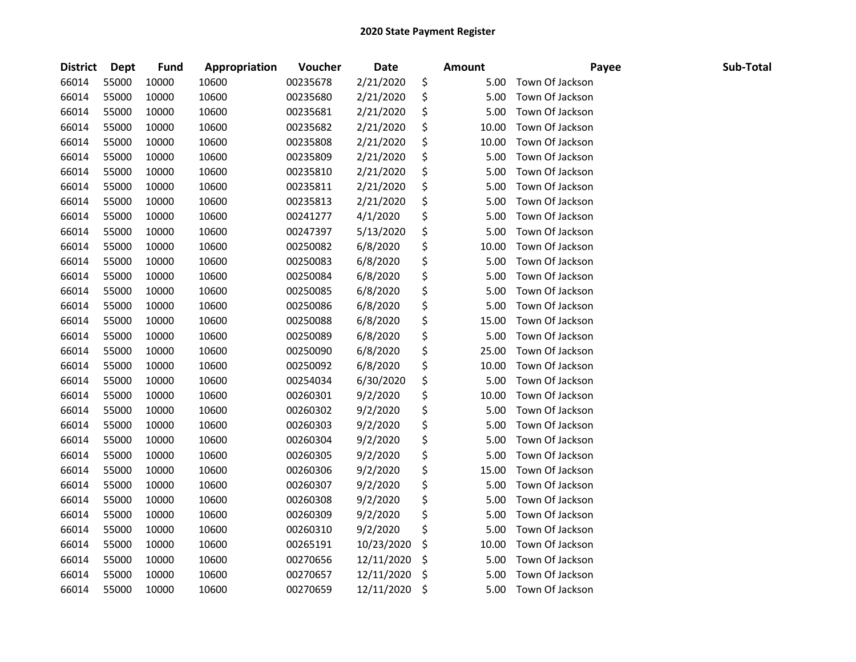| <b>District</b> | Dept  | <b>Fund</b> | Appropriation | Voucher  | <b>Date</b> | <b>Amount</b> | Payee           | Sub-Total |
|-----------------|-------|-------------|---------------|----------|-------------|---------------|-----------------|-----------|
| 66014           | 55000 | 10000       | 10600         | 00235678 | 2/21/2020   | \$<br>5.00    | Town Of Jackson |           |
| 66014           | 55000 | 10000       | 10600         | 00235680 | 2/21/2020   | \$<br>5.00    | Town Of Jackson |           |
| 66014           | 55000 | 10000       | 10600         | 00235681 | 2/21/2020   | \$<br>5.00    | Town Of Jackson |           |
| 66014           | 55000 | 10000       | 10600         | 00235682 | 2/21/2020   | \$<br>10.00   | Town Of Jackson |           |
| 66014           | 55000 | 10000       | 10600         | 00235808 | 2/21/2020   | \$<br>10.00   | Town Of Jackson |           |
| 66014           | 55000 | 10000       | 10600         | 00235809 | 2/21/2020   | \$<br>5.00    | Town Of Jackson |           |
| 66014           | 55000 | 10000       | 10600         | 00235810 | 2/21/2020   | \$<br>5.00    | Town Of Jackson |           |
| 66014           | 55000 | 10000       | 10600         | 00235811 | 2/21/2020   | \$<br>5.00    | Town Of Jackson |           |
| 66014           | 55000 | 10000       | 10600         | 00235813 | 2/21/2020   | \$<br>5.00    | Town Of Jackson |           |
| 66014           | 55000 | 10000       | 10600         | 00241277 | 4/1/2020    | \$<br>5.00    | Town Of Jackson |           |
| 66014           | 55000 | 10000       | 10600         | 00247397 | 5/13/2020   | \$<br>5.00    | Town Of Jackson |           |
| 66014           | 55000 | 10000       | 10600         | 00250082 | 6/8/2020    | \$<br>10.00   | Town Of Jackson |           |
| 66014           | 55000 | 10000       | 10600         | 00250083 | 6/8/2020    | \$<br>5.00    | Town Of Jackson |           |
| 66014           | 55000 | 10000       | 10600         | 00250084 | 6/8/2020    | \$<br>5.00    | Town Of Jackson |           |
| 66014           | 55000 | 10000       | 10600         | 00250085 | 6/8/2020    | \$<br>5.00    | Town Of Jackson |           |
| 66014           | 55000 | 10000       | 10600         | 00250086 | 6/8/2020    | \$<br>5.00    | Town Of Jackson |           |
| 66014           | 55000 | 10000       | 10600         | 00250088 | 6/8/2020    | \$<br>15.00   | Town Of Jackson |           |
| 66014           | 55000 | 10000       | 10600         | 00250089 | 6/8/2020    | \$<br>5.00    | Town Of Jackson |           |
| 66014           | 55000 | 10000       | 10600         | 00250090 | 6/8/2020    | \$<br>25.00   | Town Of Jackson |           |
| 66014           | 55000 | 10000       | 10600         | 00250092 | 6/8/2020    | \$<br>10.00   | Town Of Jackson |           |
| 66014           | 55000 | 10000       | 10600         | 00254034 | 6/30/2020   | \$<br>5.00    | Town Of Jackson |           |
| 66014           | 55000 | 10000       | 10600         | 00260301 | 9/2/2020    | \$<br>10.00   | Town Of Jackson |           |
| 66014           | 55000 | 10000       | 10600         | 00260302 | 9/2/2020    | \$<br>5.00    | Town Of Jackson |           |
| 66014           | 55000 | 10000       | 10600         | 00260303 | 9/2/2020    | \$<br>5.00    | Town Of Jackson |           |
| 66014           | 55000 | 10000       | 10600         | 00260304 | 9/2/2020    | \$<br>5.00    | Town Of Jackson |           |
| 66014           | 55000 | 10000       | 10600         | 00260305 | 9/2/2020    | \$<br>5.00    | Town Of Jackson |           |
| 66014           | 55000 | 10000       | 10600         | 00260306 | 9/2/2020    | \$<br>15.00   | Town Of Jackson |           |
| 66014           | 55000 | 10000       | 10600         | 00260307 | 9/2/2020    | \$<br>5.00    | Town Of Jackson |           |
| 66014           | 55000 | 10000       | 10600         | 00260308 | 9/2/2020    | \$<br>5.00    | Town Of Jackson |           |
| 66014           | 55000 | 10000       | 10600         | 00260309 | 9/2/2020    | \$<br>5.00    | Town Of Jackson |           |
| 66014           | 55000 | 10000       | 10600         | 00260310 | 9/2/2020    | \$<br>5.00    | Town Of Jackson |           |
| 66014           | 55000 | 10000       | 10600         | 00265191 | 10/23/2020  | \$<br>10.00   | Town Of Jackson |           |
| 66014           | 55000 | 10000       | 10600         | 00270656 | 12/11/2020  | \$<br>5.00    | Town Of Jackson |           |
| 66014           | 55000 | 10000       | 10600         | 00270657 | 12/11/2020  | \$<br>5.00    | Town Of Jackson |           |
| 66014           | 55000 | 10000       | 10600         | 00270659 | 12/11/2020  | \$<br>5.00    | Town Of Jackson |           |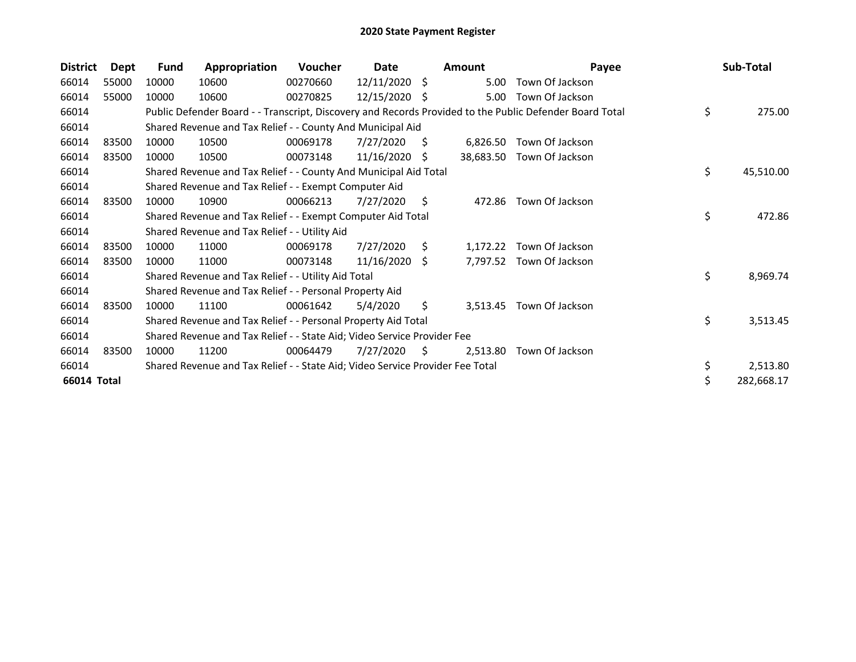| <b>District</b> | Dept  | <b>Fund</b> | Appropriation                                                                 | Voucher  | Date            |    | <b>Amount</b> | Payee                                                                                                   | Sub-Total       |
|-----------------|-------|-------------|-------------------------------------------------------------------------------|----------|-----------------|----|---------------|---------------------------------------------------------------------------------------------------------|-----------------|
| 66014           | 55000 | 10000       | 10600                                                                         | 00270660 | $12/11/2020$ \$ |    | 5.00          | Town Of Jackson                                                                                         |                 |
| 66014           | 55000 | 10000       | 10600                                                                         | 00270825 | 12/15/2020      | -S | 5.00          | Town Of Jackson                                                                                         |                 |
| 66014           |       |             |                                                                               |          |                 |    |               | Public Defender Board - - Transcript, Discovery and Records Provided to the Public Defender Board Total | \$<br>275.00    |
| 66014           |       |             | Shared Revenue and Tax Relief - - County And Municipal Aid                    |          |                 |    |               |                                                                                                         |                 |
| 66014           | 83500 | 10000       | 10500                                                                         | 00069178 | 7/27/2020       | S. | 6,826.50      | Town Of Jackson                                                                                         |                 |
| 66014           | 83500 | 10000       | 10500                                                                         | 00073148 | $11/16/2020$ \$ |    | 38,683.50     | Town Of Jackson                                                                                         |                 |
| 66014           |       |             | Shared Revenue and Tax Relief - - County And Municipal Aid Total              |          |                 |    |               |                                                                                                         | \$<br>45,510.00 |
| 66014           |       |             | Shared Revenue and Tax Relief - - Exempt Computer Aid                         |          |                 |    |               |                                                                                                         |                 |
| 66014           | 83500 | 10000       | 10900                                                                         | 00066213 | 7/27/2020       | \$ | 472.86        | Town Of Jackson                                                                                         |                 |
| 66014           |       |             | Shared Revenue and Tax Relief - - Exempt Computer Aid Total                   |          |                 |    |               |                                                                                                         | \$<br>472.86    |
| 66014           |       |             | Shared Revenue and Tax Relief - - Utility Aid                                 |          |                 |    |               |                                                                                                         |                 |
| 66014           | 83500 | 10000       | 11000                                                                         | 00069178 | 7/27/2020       | S. | 1,172.22      | Town Of Jackson                                                                                         |                 |
| 66014           | 83500 | 10000       | 11000                                                                         | 00073148 | $11/16/2020$ \$ |    |               | 7,797.52 Town Of Jackson                                                                                |                 |
| 66014           |       |             | Shared Revenue and Tax Relief - - Utility Aid Total                           |          |                 |    |               |                                                                                                         | \$<br>8,969.74  |
| 66014           |       |             | Shared Revenue and Tax Relief - - Personal Property Aid                       |          |                 |    |               |                                                                                                         |                 |
| 66014           | 83500 | 10000       | 11100                                                                         | 00061642 | 5/4/2020        | S. | 3,513.45      | Town Of Jackson                                                                                         |                 |
| 66014           |       |             | Shared Revenue and Tax Relief - - Personal Property Aid Total                 |          |                 |    |               |                                                                                                         | \$<br>3,513.45  |
| 66014           |       |             | Shared Revenue and Tax Relief - - State Aid; Video Service Provider Fee       |          |                 |    |               |                                                                                                         |                 |
| 66014           | 83500 | 10000       | 11200                                                                         | 00064479 | 7/27/2020       | S  | 2,513.80      | Town Of Jackson                                                                                         |                 |
| 66014           |       |             | Shared Revenue and Tax Relief - - State Aid; Video Service Provider Fee Total |          |                 |    |               |                                                                                                         | \$<br>2,513.80  |
| 66014 Total     |       |             |                                                                               |          |                 |    |               |                                                                                                         | 282,668.17      |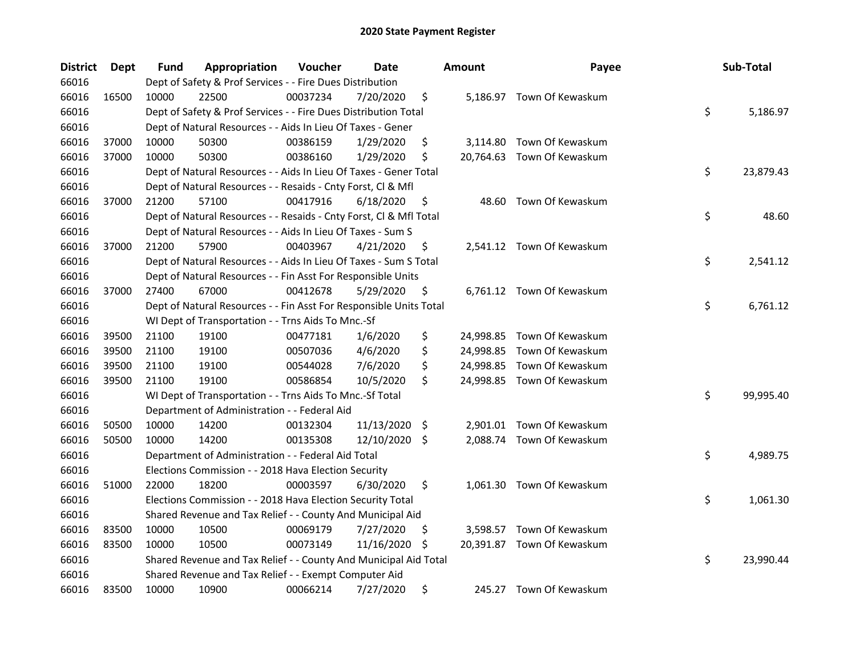| <b>District</b> | <b>Dept</b> | Fund  | Appropriation                                                      | Voucher  | Date          |     | <b>Amount</b> | Payee                      | Sub-Total       |
|-----------------|-------------|-------|--------------------------------------------------------------------|----------|---------------|-----|---------------|----------------------------|-----------------|
| 66016           |             |       | Dept of Safety & Prof Services - - Fire Dues Distribution          |          |               |     |               |                            |                 |
| 66016           | 16500       | 10000 | 22500                                                              | 00037234 | 7/20/2020     | \$  |               | 5,186.97 Town Of Kewaskum  |                 |
| 66016           |             |       | Dept of Safety & Prof Services - - Fire Dues Distribution Total    |          |               |     |               |                            | \$<br>5,186.97  |
| 66016           |             |       | Dept of Natural Resources - - Aids In Lieu Of Taxes - Gener        |          |               |     |               |                            |                 |
| 66016           | 37000       | 10000 | 50300                                                              | 00386159 | 1/29/2020     | \$  |               | 3,114.80 Town Of Kewaskum  |                 |
| 66016           | 37000       | 10000 | 50300                                                              | 00386160 | 1/29/2020     | \$  |               | 20,764.63 Town Of Kewaskum |                 |
| 66016           |             |       | Dept of Natural Resources - - Aids In Lieu Of Taxes - Gener Total  |          |               |     |               |                            | \$<br>23,879.43 |
| 66016           |             |       | Dept of Natural Resources - - Resaids - Cnty Forst, Cl & Mfl       |          |               |     |               |                            |                 |
| 66016           | 37000       | 21200 | 57100                                                              | 00417916 | 6/18/2020     | \$  | 48.60         | Town Of Kewaskum           |                 |
| 66016           |             |       | Dept of Natural Resources - - Resaids - Cnty Forst, Cl & Mfl Total |          |               |     |               |                            | \$<br>48.60     |
| 66016           |             |       | Dept of Natural Resources - - Aids In Lieu Of Taxes - Sum S        |          |               |     |               |                            |                 |
| 66016           | 37000       | 21200 | 57900                                                              | 00403967 | 4/21/2020     | \$  |               | 2,541.12 Town Of Kewaskum  |                 |
| 66016           |             |       | Dept of Natural Resources - - Aids In Lieu Of Taxes - Sum S Total  |          |               |     |               |                            | \$<br>2,541.12  |
| 66016           |             |       | Dept of Natural Resources - - Fin Asst For Responsible Units       |          |               |     |               |                            |                 |
| 66016           | 37000       | 27400 | 67000                                                              | 00412678 | 5/29/2020     | \$  |               | 6,761.12 Town Of Kewaskum  |                 |
| 66016           |             |       | Dept of Natural Resources - - Fin Asst For Responsible Units Total |          |               |     |               |                            | \$<br>6,761.12  |
| 66016           |             |       | WI Dept of Transportation - - Trns Aids To Mnc.-Sf                 |          |               |     |               |                            |                 |
| 66016           | 39500       | 21100 | 19100                                                              | 00477181 | 1/6/2020      | \$  |               | 24,998.85 Town Of Kewaskum |                 |
| 66016           | 39500       | 21100 | 19100                                                              | 00507036 | 4/6/2020      | \$  |               | 24,998.85 Town Of Kewaskum |                 |
| 66016           | 39500       | 21100 | 19100                                                              | 00544028 | 7/6/2020      | \$  |               | 24,998.85 Town Of Kewaskum |                 |
| 66016           | 39500       | 21100 | 19100                                                              | 00586854 | 10/5/2020     | \$  |               | 24,998.85 Town Of Kewaskum |                 |
| 66016           |             |       | WI Dept of Transportation - - Trns Aids To Mnc.-Sf Total           |          |               |     |               |                            | \$<br>99,995.40 |
| 66016           |             |       | Department of Administration - - Federal Aid                       |          |               |     |               |                            |                 |
| 66016           | 50500       | 10000 | 14200                                                              | 00132304 | 11/13/2020    | -\$ |               | 2,901.01 Town Of Kewaskum  |                 |
| 66016           | 50500       | 10000 | 14200                                                              | 00135308 | 12/10/2020 \$ |     |               | 2,088.74 Town Of Kewaskum  |                 |
| 66016           |             |       | Department of Administration - - Federal Aid Total                 |          |               |     |               |                            | \$<br>4,989.75  |
| 66016           |             |       | Elections Commission - - 2018 Hava Election Security               |          |               |     |               |                            |                 |
| 66016           | 51000       | 22000 | 18200                                                              | 00003597 | 6/30/2020     | \$  |               | 1,061.30 Town Of Kewaskum  |                 |
| 66016           |             |       | Elections Commission - - 2018 Hava Election Security Total         |          |               |     |               |                            | \$<br>1,061.30  |
| 66016           |             |       | Shared Revenue and Tax Relief - - County And Municipal Aid         |          |               |     |               |                            |                 |
| 66016           | 83500       | 10000 | 10500                                                              | 00069179 | 7/27/2020     | \$  |               | 3,598.57 Town Of Kewaskum  |                 |
| 66016           | 83500       | 10000 | 10500                                                              | 00073149 | 11/16/2020    | \$  |               | 20,391.87 Town Of Kewaskum |                 |
| 66016           |             |       | Shared Revenue and Tax Relief - - County And Municipal Aid Total   |          |               |     |               |                            | \$<br>23,990.44 |
| 66016           |             |       | Shared Revenue and Tax Relief - - Exempt Computer Aid              |          |               |     |               |                            |                 |
| 66016           | 83500       | 10000 | 10900                                                              | 00066214 | 7/27/2020     | \$  |               | 245.27 Town Of Kewaskum    |                 |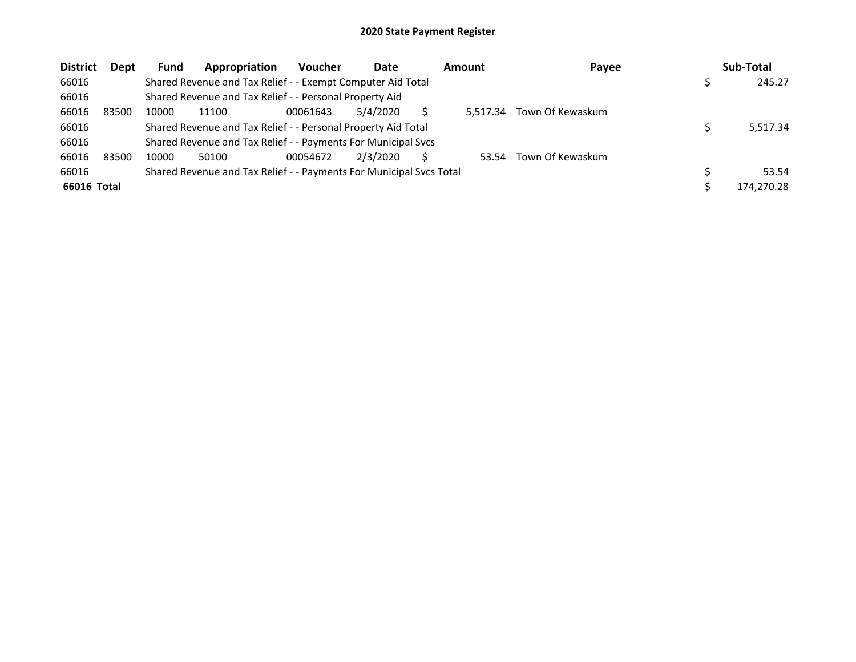| <b>District</b> | Dept  | <b>Fund</b> | Appropriation                                                       | <b>Voucher</b> | Date     | <b>Amount</b> | Payee            | Sub-Total  |
|-----------------|-------|-------------|---------------------------------------------------------------------|----------------|----------|---------------|------------------|------------|
| 66016           |       |             | Shared Revenue and Tax Relief - - Exempt Computer Aid Total         |                |          |               |                  | 245.27     |
| 66016           |       |             | Shared Revenue and Tax Relief - - Personal Property Aid             |                |          |               |                  |            |
| 66016           | 83500 | 10000       | 11100                                                               | 00061643       | 5/4/2020 | 5.517.34      | Town Of Kewaskum |            |
| 66016           |       |             | Shared Revenue and Tax Relief - - Personal Property Aid Total       |                |          |               |                  | 5,517.34   |
| 66016           |       |             | Shared Revenue and Tax Relief - - Payments For Municipal Svcs       |                |          |               |                  |            |
| 66016           | 83500 | 10000       | 50100                                                               | 00054672       | 2/3/2020 | 53.54         | Town Of Kewaskum |            |
| 66016           |       |             | Shared Revenue and Tax Relief - - Payments For Municipal Svcs Total |                |          |               |                  | 53.54      |
| 66016 Total     |       |             |                                                                     |                |          |               |                  | 174,270.28 |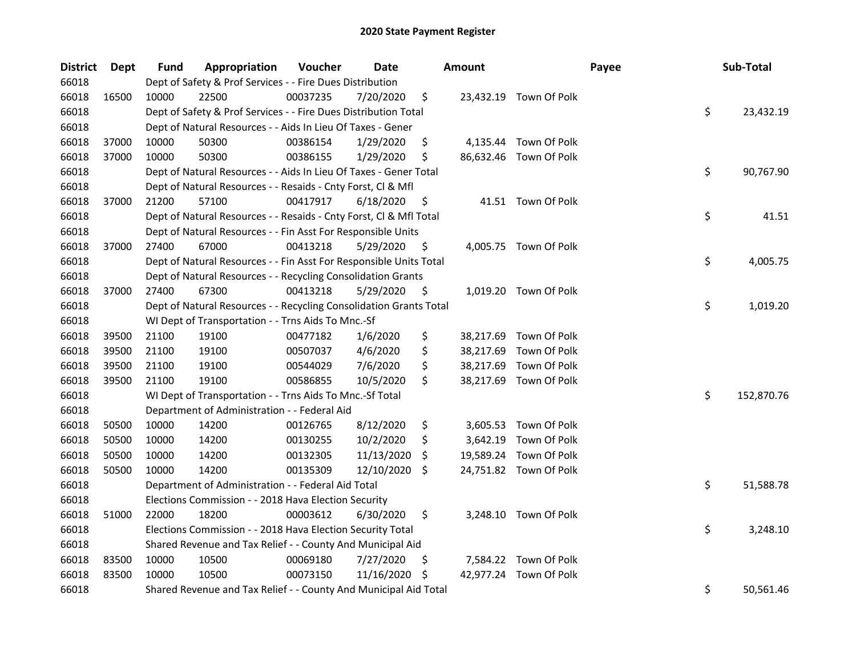| <b>District</b> | Dept  | Fund  | Appropriation                                                      | Voucher  | Date       |     | <b>Amount</b> |                        | Payee | Sub-Total        |
|-----------------|-------|-------|--------------------------------------------------------------------|----------|------------|-----|---------------|------------------------|-------|------------------|
| 66018           |       |       | Dept of Safety & Prof Services - - Fire Dues Distribution          |          |            |     |               |                        |       |                  |
| 66018           | 16500 | 10000 | 22500                                                              | 00037235 | 7/20/2020  | \$  |               | 23,432.19 Town Of Polk |       |                  |
| 66018           |       |       | Dept of Safety & Prof Services - - Fire Dues Distribution Total    |          |            |     |               |                        |       | \$<br>23,432.19  |
| 66018           |       |       | Dept of Natural Resources - - Aids In Lieu Of Taxes - Gener        |          |            |     |               |                        |       |                  |
| 66018           | 37000 | 10000 | 50300                                                              | 00386154 | 1/29/2020  | \$  |               | 4,135.44 Town Of Polk  |       |                  |
| 66018           | 37000 | 10000 | 50300                                                              | 00386155 | 1/29/2020  | \$  |               | 86,632.46 Town Of Polk |       |                  |
| 66018           |       |       | Dept of Natural Resources - - Aids In Lieu Of Taxes - Gener Total  |          |            |     |               |                        |       | \$<br>90,767.90  |
| 66018           |       |       | Dept of Natural Resources - - Resaids - Cnty Forst, Cl & Mfl       |          |            |     |               |                        |       |                  |
| 66018           | 37000 | 21200 | 57100                                                              | 00417917 | 6/18/2020  | \$  |               | 41.51 Town Of Polk     |       |                  |
| 66018           |       |       | Dept of Natural Resources - - Resaids - Cnty Forst, Cl & Mfl Total |          |            |     |               |                        |       | \$<br>41.51      |
| 66018           |       |       | Dept of Natural Resources - - Fin Asst For Responsible Units       |          |            |     |               |                        |       |                  |
| 66018           | 37000 | 27400 | 67000                                                              | 00413218 | 5/29/2020  | \$. |               | 4,005.75 Town Of Polk  |       |                  |
| 66018           |       |       | Dept of Natural Resources - - Fin Asst For Responsible Units Total |          |            |     |               |                        |       | \$<br>4,005.75   |
| 66018           |       |       | Dept of Natural Resources - - Recycling Consolidation Grants       |          |            |     |               |                        |       |                  |
| 66018           | 37000 | 27400 | 67300                                                              | 00413218 | 5/29/2020  | \$, |               | 1,019.20 Town Of Polk  |       |                  |
| 66018           |       |       | Dept of Natural Resources - - Recycling Consolidation Grants Total |          |            |     |               |                        |       | \$<br>1,019.20   |
| 66018           |       |       | WI Dept of Transportation - - Trns Aids To Mnc.-Sf                 |          |            |     |               |                        |       |                  |
| 66018           | 39500 | 21100 | 19100                                                              | 00477182 | 1/6/2020   | \$  | 38,217.69     | Town Of Polk           |       |                  |
| 66018           | 39500 | 21100 | 19100                                                              | 00507037 | 4/6/2020   | \$  | 38,217.69     | Town Of Polk           |       |                  |
| 66018           | 39500 | 21100 | 19100                                                              | 00544029 | 7/6/2020   | \$  | 38,217.69     | Town Of Polk           |       |                  |
| 66018           | 39500 | 21100 | 19100                                                              | 00586855 | 10/5/2020  | \$  |               | 38,217.69 Town Of Polk |       |                  |
| 66018           |       |       | WI Dept of Transportation - - Trns Aids To Mnc.-Sf Total           |          |            |     |               |                        |       | \$<br>152,870.76 |
| 66018           |       |       | Department of Administration - - Federal Aid                       |          |            |     |               |                        |       |                  |
| 66018           | 50500 | 10000 | 14200                                                              | 00126765 | 8/12/2020  | \$  |               | 3,605.53 Town Of Polk  |       |                  |
| 66018           | 50500 | 10000 | 14200                                                              | 00130255 | 10/2/2020  | \$  |               | 3,642.19 Town Of Polk  |       |                  |
| 66018           | 50500 | 10000 | 14200                                                              | 00132305 | 11/13/2020 | S.  |               | 19,589.24 Town Of Polk |       |                  |
| 66018           | 50500 | 10000 | 14200                                                              | 00135309 | 12/10/2020 | \$  |               | 24,751.82 Town Of Polk |       |                  |
| 66018           |       |       | Department of Administration - - Federal Aid Total                 |          |            |     |               |                        |       | \$<br>51,588.78  |
| 66018           |       |       | Elections Commission - - 2018 Hava Election Security               |          |            |     |               |                        |       |                  |
| 66018           | 51000 | 22000 | 18200                                                              | 00003612 | 6/30/2020  | \$  |               | 3,248.10 Town Of Polk  |       |                  |
| 66018           |       |       | Elections Commission - - 2018 Hava Election Security Total         |          |            |     |               |                        |       | \$<br>3,248.10   |
| 66018           |       |       | Shared Revenue and Tax Relief - - County And Municipal Aid         |          |            |     |               |                        |       |                  |
| 66018           | 83500 | 10000 | 10500                                                              | 00069180 | 7/27/2020  | \$. |               | 7,584.22 Town Of Polk  |       |                  |
| 66018           | 83500 | 10000 | 10500                                                              | 00073150 | 11/16/2020 | \$, |               | 42,977.24 Town Of Polk |       |                  |
| 66018           |       |       | Shared Revenue and Tax Relief - - County And Municipal Aid Total   |          |            |     |               |                        |       | \$<br>50,561.46  |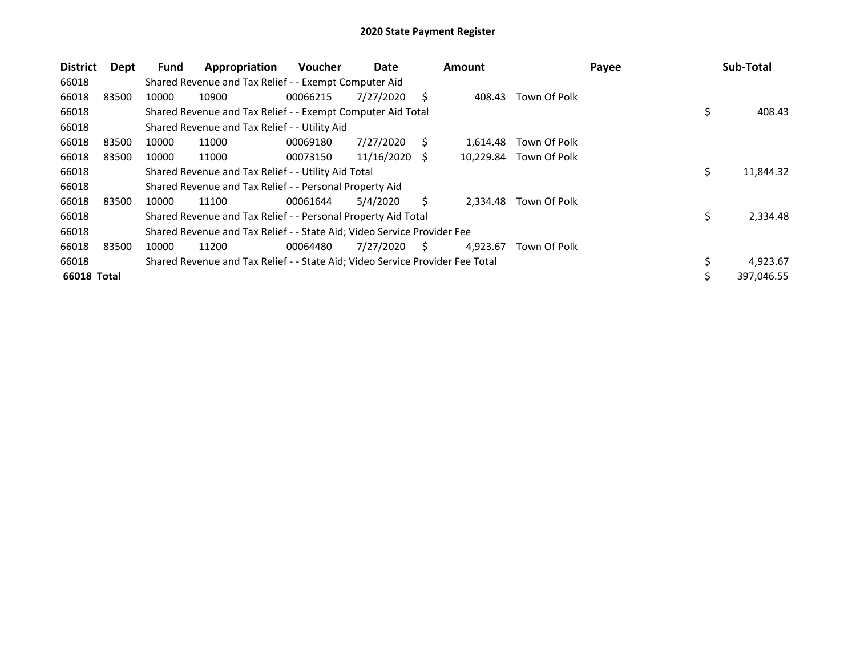| <b>District</b> | Dept  | Fund  | Appropriation                                                                 | <b>Voucher</b> | Date            |    | <b>Amount</b> |              | Payee | Sub-Total        |
|-----------------|-------|-------|-------------------------------------------------------------------------------|----------------|-----------------|----|---------------|--------------|-------|------------------|
| 66018           |       |       | Shared Revenue and Tax Relief - - Exempt Computer Aid                         |                |                 |    |               |              |       |                  |
| 66018           | 83500 | 10000 | 10900                                                                         | 00066215       | 7/27/2020       | S  | 408.43        | Town Of Polk |       |                  |
| 66018           |       |       | Shared Revenue and Tax Relief - - Exempt Computer Aid Total                   |                |                 |    |               |              |       | \$<br>408.43     |
| 66018           |       |       | Shared Revenue and Tax Relief - - Utility Aid                                 |                |                 |    |               |              |       |                  |
| 66018           | 83500 | 10000 | 11000                                                                         | 00069180       | 7/27/2020       | S. | 1,614.48      | Town Of Polk |       |                  |
| 66018           | 83500 | 10000 | 11000                                                                         | 00073150       | $11/16/2020$ \$ |    | 10,229.84     | Town Of Polk |       |                  |
| 66018           |       |       | Shared Revenue and Tax Relief - - Utility Aid Total                           |                |                 |    |               |              |       | \$<br>11,844.32  |
| 66018           |       |       | Shared Revenue and Tax Relief - - Personal Property Aid                       |                |                 |    |               |              |       |                  |
| 66018           | 83500 | 10000 | 11100                                                                         | 00061644       | 5/4/2020        | S. | 2.334.48      | Town Of Polk |       |                  |
| 66018           |       |       | Shared Revenue and Tax Relief - - Personal Property Aid Total                 |                |                 |    |               |              |       | \$<br>2,334.48   |
| 66018           |       |       | Shared Revenue and Tax Relief - - State Aid; Video Service Provider Fee       |                |                 |    |               |              |       |                  |
| 66018           | 83500 | 10000 | 11200                                                                         | 00064480       | 7/27/2020       | S  | 4.923.67      | Town Of Polk |       |                  |
| 66018           |       |       | Shared Revenue and Tax Relief - - State Aid; Video Service Provider Fee Total |                |                 |    |               |              |       | \$<br>4,923.67   |
| 66018 Total     |       |       |                                                                               |                |                 |    |               |              |       | \$<br>397,046.55 |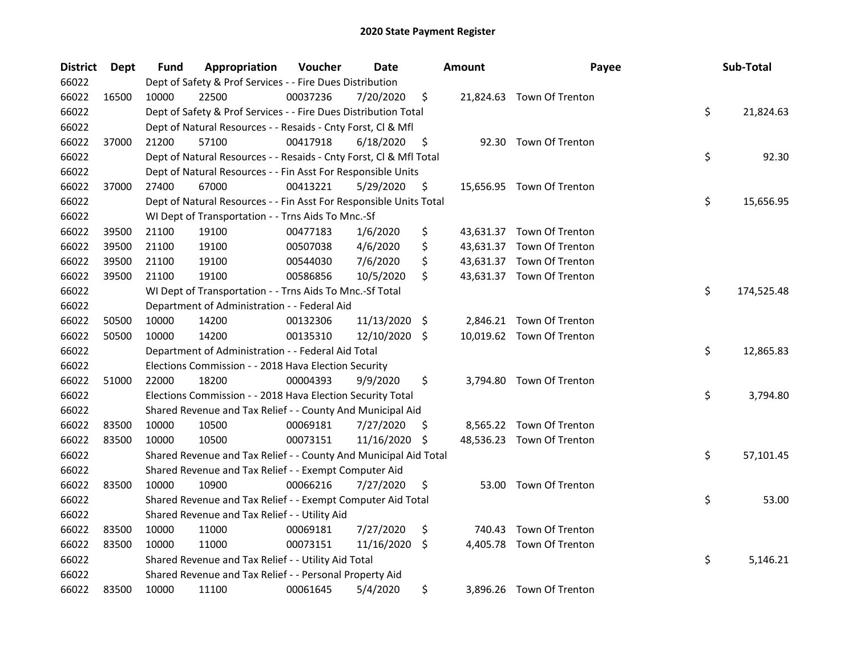| <b>District</b> | Dept  | Fund  | Appropriation                                                      | Voucher  | Date       |      | <b>Amount</b> | Payee                     | Sub-Total        |
|-----------------|-------|-------|--------------------------------------------------------------------|----------|------------|------|---------------|---------------------------|------------------|
| 66022           |       |       | Dept of Safety & Prof Services - - Fire Dues Distribution          |          |            |      |               |                           |                  |
| 66022           | 16500 | 10000 | 22500                                                              | 00037236 | 7/20/2020  | \$   |               | 21,824.63 Town Of Trenton |                  |
| 66022           |       |       | Dept of Safety & Prof Services - - Fire Dues Distribution Total    |          |            |      |               |                           | \$<br>21,824.63  |
| 66022           |       |       | Dept of Natural Resources - - Resaids - Cnty Forst, Cl & Mfl       |          |            |      |               |                           |                  |
| 66022           | 37000 | 21200 | 57100                                                              | 00417918 | 6/18/2020  | \$   |               | 92.30 Town Of Trenton     |                  |
| 66022           |       |       | Dept of Natural Resources - - Resaids - Cnty Forst, Cl & Mfl Total |          |            |      |               |                           | \$<br>92.30      |
| 66022           |       |       | Dept of Natural Resources - - Fin Asst For Responsible Units       |          |            |      |               |                           |                  |
| 66022           | 37000 | 27400 | 67000                                                              | 00413221 | 5/29/2020  | \$   |               | 15,656.95 Town Of Trenton |                  |
| 66022           |       |       | Dept of Natural Resources - - Fin Asst For Responsible Units Total |          |            |      |               |                           | \$<br>15,656.95  |
| 66022           |       |       | WI Dept of Transportation - - Trns Aids To Mnc.-Sf                 |          |            |      |               |                           |                  |
| 66022           | 39500 | 21100 | 19100                                                              | 00477183 | 1/6/2020   | \$   |               | 43,631.37 Town Of Trenton |                  |
| 66022           | 39500 | 21100 | 19100                                                              | 00507038 | 4/6/2020   | \$   |               | 43,631.37 Town Of Trenton |                  |
| 66022           | 39500 | 21100 | 19100                                                              | 00544030 | 7/6/2020   | \$   |               | 43,631.37 Town Of Trenton |                  |
| 66022           | 39500 | 21100 | 19100                                                              | 00586856 | 10/5/2020  | \$   |               | 43,631.37 Town Of Trenton |                  |
| 66022           |       |       | WI Dept of Transportation - - Trns Aids To Mnc.-Sf Total           |          |            |      |               |                           | \$<br>174,525.48 |
| 66022           |       |       | Department of Administration - - Federal Aid                       |          |            |      |               |                           |                  |
| 66022           | 50500 | 10000 | 14200                                                              | 00132306 | 11/13/2020 | - \$ |               | 2,846.21 Town Of Trenton  |                  |
| 66022           | 50500 | 10000 | 14200                                                              | 00135310 | 12/10/2020 | -S   |               | 10,019.62 Town Of Trenton |                  |
| 66022           |       |       | Department of Administration - - Federal Aid Total                 |          |            |      |               |                           | \$<br>12,865.83  |
| 66022           |       |       | Elections Commission - - 2018 Hava Election Security               |          |            |      |               |                           |                  |
| 66022           | 51000 | 22000 | 18200                                                              | 00004393 | 9/9/2020   | \$   |               | 3,794.80 Town Of Trenton  |                  |
| 66022           |       |       | Elections Commission - - 2018 Hava Election Security Total         |          |            |      |               |                           | \$<br>3,794.80   |
| 66022           |       |       | Shared Revenue and Tax Relief - - County And Municipal Aid         |          |            |      |               |                           |                  |
| 66022           | 83500 | 10000 | 10500                                                              | 00069181 | 7/27/2020  | \$,  |               | 8,565.22 Town Of Trenton  |                  |
| 66022           | 83500 | 10000 | 10500                                                              | 00073151 | 11/16/2020 | \$   |               | 48,536.23 Town Of Trenton |                  |
| 66022           |       |       | Shared Revenue and Tax Relief - - County And Municipal Aid Total   |          |            |      |               |                           | \$<br>57,101.45  |
| 66022           |       |       | Shared Revenue and Tax Relief - - Exempt Computer Aid              |          |            |      |               |                           |                  |
| 66022           | 83500 | 10000 | 10900                                                              | 00066216 | 7/27/2020  | \$   |               | 53.00 Town Of Trenton     |                  |
| 66022           |       |       | Shared Revenue and Tax Relief - - Exempt Computer Aid Total        |          |            |      |               |                           | \$<br>53.00      |
| 66022           |       |       | Shared Revenue and Tax Relief - - Utility Aid                      |          |            |      |               |                           |                  |
| 66022           | 83500 | 10000 | 11000                                                              | 00069181 | 7/27/2020  | \$   |               | 740.43 Town Of Trenton    |                  |
| 66022           | 83500 | 10000 | 11000                                                              | 00073151 | 11/16/2020 | \$   |               | 4,405.78 Town Of Trenton  |                  |
| 66022           |       |       | Shared Revenue and Tax Relief - - Utility Aid Total                |          |            |      |               |                           | \$<br>5,146.21   |
| 66022           |       |       | Shared Revenue and Tax Relief - - Personal Property Aid            |          |            |      |               |                           |                  |
| 66022           | 83500 | 10000 | 11100                                                              | 00061645 | 5/4/2020   | \$   |               | 3,896.26 Town Of Trenton  |                  |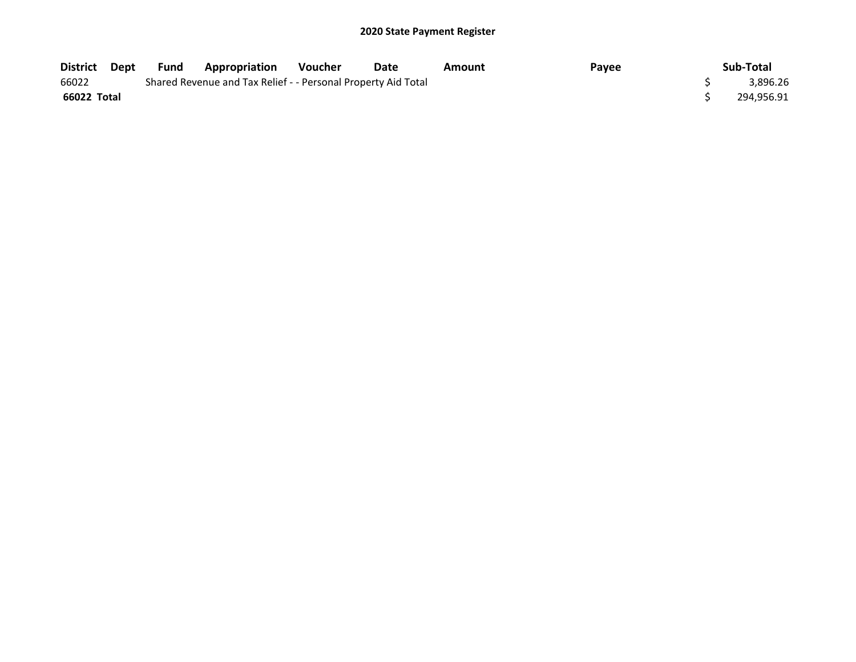| District Dept | Fund | <b>Appropriation</b>                                          | Voucher | Date | Amount | Payee | Sub-Total  |
|---------------|------|---------------------------------------------------------------|---------|------|--------|-------|------------|
| 66022         |      | Shared Revenue and Tax Relief - - Personal Property Aid Total |         |      |        |       | 3,896.26   |
| 66022 Total   |      |                                                               |         |      |        |       | 294,956.91 |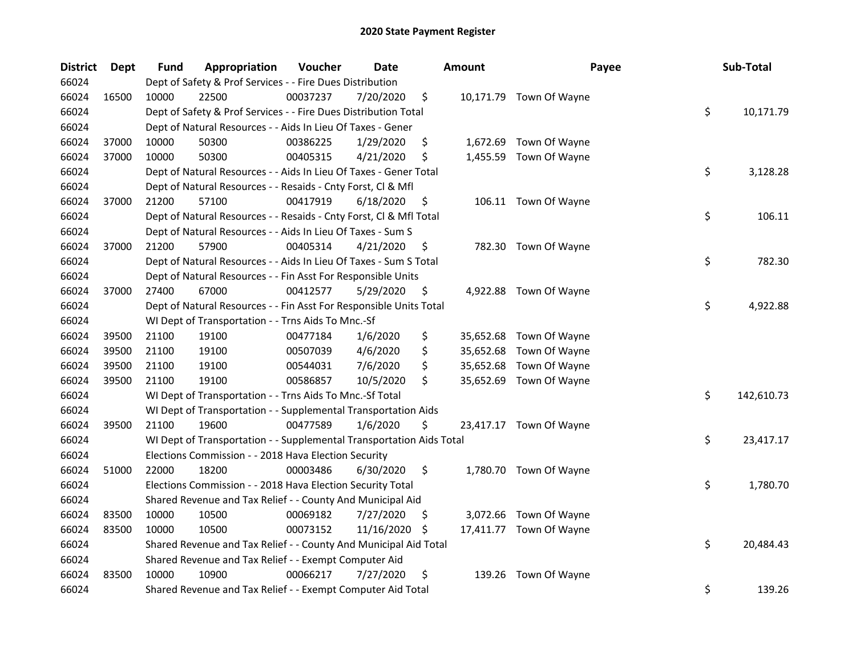| <b>District</b> | <b>Dept</b> | Fund  | Appropriation                                                        | Voucher  | <b>Date</b> |     | <b>Amount</b> | Payee                   | Sub-Total        |
|-----------------|-------------|-------|----------------------------------------------------------------------|----------|-------------|-----|---------------|-------------------------|------------------|
| 66024           |             |       | Dept of Safety & Prof Services - - Fire Dues Distribution            |          |             |     |               |                         |                  |
| 66024           | 16500       | 10000 | 22500                                                                | 00037237 | 7/20/2020   | \$  |               | 10,171.79 Town Of Wayne |                  |
| 66024           |             |       | Dept of Safety & Prof Services - - Fire Dues Distribution Total      |          |             |     |               |                         | \$<br>10,171.79  |
| 66024           |             |       | Dept of Natural Resources - - Aids In Lieu Of Taxes - Gener          |          |             |     |               |                         |                  |
| 66024           | 37000       | 10000 | 50300                                                                | 00386225 | 1/29/2020   | \$  |               | 1,672.69 Town Of Wayne  |                  |
| 66024           | 37000       | 10000 | 50300                                                                | 00405315 | 4/21/2020   | \$  | 1,455.59      | Town Of Wayne           |                  |
| 66024           |             |       | Dept of Natural Resources - - Aids In Lieu Of Taxes - Gener Total    |          |             |     |               |                         | \$<br>3,128.28   |
| 66024           |             |       | Dept of Natural Resources - - Resaids - Cnty Forst, Cl & Mfl         |          |             |     |               |                         |                  |
| 66024           | 37000       | 21200 | 57100                                                                | 00417919 | 6/18/2020   | \$  |               | 106.11 Town Of Wayne    |                  |
| 66024           |             |       | Dept of Natural Resources - - Resaids - Cnty Forst, Cl & Mfl Total   |          |             |     |               |                         | \$<br>106.11     |
| 66024           |             |       | Dept of Natural Resources - - Aids In Lieu Of Taxes - Sum S          |          |             |     |               |                         |                  |
| 66024           | 37000       | 21200 | 57900                                                                | 00405314 | 4/21/2020   | \$  |               | 782.30 Town Of Wayne    |                  |
| 66024           |             |       | Dept of Natural Resources - - Aids In Lieu Of Taxes - Sum S Total    |          |             |     |               |                         | \$<br>782.30     |
| 66024           |             |       | Dept of Natural Resources - - Fin Asst For Responsible Units         |          |             |     |               |                         |                  |
| 66024           | 37000       | 27400 | 67000                                                                | 00412577 | 5/29/2020   | \$  |               | 4,922.88 Town Of Wayne  |                  |
| 66024           |             |       | Dept of Natural Resources - - Fin Asst For Responsible Units Total   |          |             |     |               |                         | \$<br>4,922.88   |
| 66024           |             |       | WI Dept of Transportation - - Trns Aids To Mnc.-Sf                   |          |             |     |               |                         |                  |
| 66024           | 39500       | 21100 | 19100                                                                | 00477184 | 1/6/2020    | \$  | 35,652.68     | Town Of Wayne           |                  |
| 66024           | 39500       | 21100 | 19100                                                                | 00507039 | 4/6/2020    | \$  | 35,652.68     | Town Of Wayne           |                  |
| 66024           | 39500       | 21100 | 19100                                                                | 00544031 | 7/6/2020    | \$  | 35,652.68     | Town Of Wayne           |                  |
| 66024           | 39500       | 21100 | 19100                                                                | 00586857 | 10/5/2020   | \$  |               | 35,652.69 Town Of Wayne |                  |
| 66024           |             |       | WI Dept of Transportation - - Trns Aids To Mnc.-Sf Total             |          |             |     |               |                         | \$<br>142,610.73 |
| 66024           |             |       | WI Dept of Transportation - - Supplemental Transportation Aids       |          |             |     |               |                         |                  |
| 66024           | 39500       | 21100 | 19600                                                                | 00477589 | 1/6/2020    | \$  |               | 23,417.17 Town Of Wayne |                  |
| 66024           |             |       | WI Dept of Transportation - - Supplemental Transportation Aids Total |          |             |     |               |                         | \$<br>23,417.17  |
| 66024           |             |       | Elections Commission - - 2018 Hava Election Security                 |          |             |     |               |                         |                  |
| 66024           | 51000       | 22000 | 18200                                                                | 00003486 | 6/30/2020   | \$  |               | 1,780.70 Town Of Wayne  |                  |
| 66024           |             |       | Elections Commission - - 2018 Hava Election Security Total           |          |             |     |               |                         | \$<br>1,780.70   |
| 66024           |             |       | Shared Revenue and Tax Relief - - County And Municipal Aid           |          |             |     |               |                         |                  |
| 66024           | 83500       | 10000 | 10500                                                                | 00069182 | 7/27/2020   | \$  |               | 3,072.66 Town Of Wayne  |                  |
| 66024           | 83500       | 10000 | 10500                                                                | 00073152 | 11/16/2020  | \$. |               | 17,411.77 Town Of Wayne |                  |
| 66024           |             |       | Shared Revenue and Tax Relief - - County And Municipal Aid Total     |          |             |     |               |                         | \$<br>20,484.43  |
| 66024           |             |       | Shared Revenue and Tax Relief - - Exempt Computer Aid                |          |             |     |               |                         |                  |
| 66024           | 83500       | 10000 | 10900                                                                | 00066217 | 7/27/2020   | \$  | 139.26        | Town Of Wayne           |                  |
| 66024           |             |       | Shared Revenue and Tax Relief - - Exempt Computer Aid Total          |          |             |     |               |                         | \$<br>139.26     |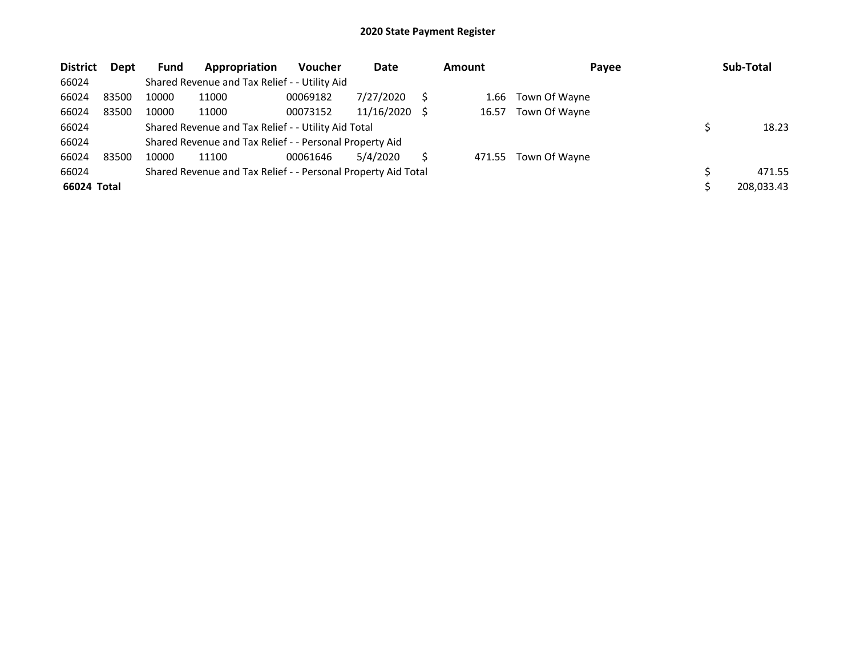| <b>District</b> | Dept  | <b>Fund</b> | Appropriation                                                 | <b>Voucher</b> | Date       |     | <b>Amount</b> | Payee         | Sub-Total  |
|-----------------|-------|-------------|---------------------------------------------------------------|----------------|------------|-----|---------------|---------------|------------|
| 66024           |       |             | Shared Revenue and Tax Relief - - Utility Aid                 |                |            |     |               |               |            |
| 66024           | 83500 | 10000       | 11000                                                         | 00069182       | 7/27/2020  |     | 1.66          | Town Of Wayne |            |
| 66024           | 83500 | 10000       | 11000                                                         | 00073152       | 11/16/2020 | - S | 16.57         | Town Of Wayne |            |
| 66024           |       |             | Shared Revenue and Tax Relief - - Utility Aid Total           |                |            |     |               |               | 18.23      |
| 66024           |       |             | Shared Revenue and Tax Relief - - Personal Property Aid       |                |            |     |               |               |            |
| 66024           | 83500 | 10000       | 11100                                                         | 00061646       | 5/4/2020   |     | 471.55        | Town Of Wayne |            |
| 66024           |       |             | Shared Revenue and Tax Relief - - Personal Property Aid Total |                |            |     |               |               | 471.55     |
| 66024 Total     |       |             |                                                               |                |            |     |               |               | 208,033.43 |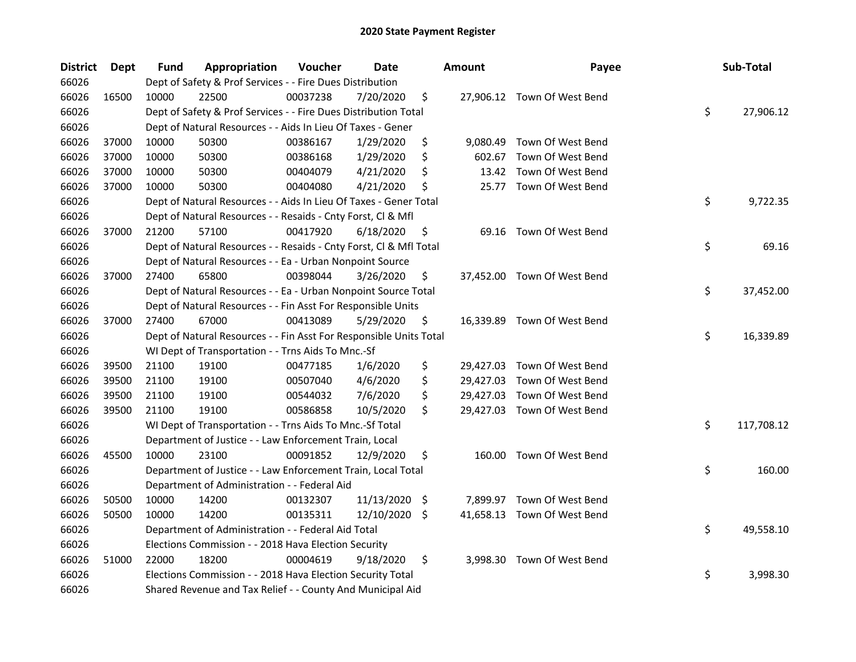| <b>District</b> | Dept  | Fund  | Appropriation                                                      | Voucher  | <b>Date</b>   | <b>Amount</b> | Payee                       | Sub-Total        |
|-----------------|-------|-------|--------------------------------------------------------------------|----------|---------------|---------------|-----------------------------|------------------|
| 66026           |       |       | Dept of Safety & Prof Services - - Fire Dues Distribution          |          |               |               |                             |                  |
| 66026           | 16500 | 10000 | 22500                                                              | 00037238 | 7/20/2020     | \$            | 27,906.12 Town Of West Bend |                  |
| 66026           |       |       | Dept of Safety & Prof Services - - Fire Dues Distribution Total    |          |               |               |                             | \$<br>27,906.12  |
| 66026           |       |       | Dept of Natural Resources - - Aids In Lieu Of Taxes - Gener        |          |               |               |                             |                  |
| 66026           | 37000 | 10000 | 50300                                                              | 00386167 | 1/29/2020     | \$            | 9,080.49 Town Of West Bend  |                  |
| 66026           | 37000 | 10000 | 50300                                                              | 00386168 | 1/29/2020     | \$<br>602.67  | Town Of West Bend           |                  |
| 66026           | 37000 | 10000 | 50300                                                              | 00404079 | 4/21/2020     | \$            | 13.42 Town Of West Bend     |                  |
| 66026           | 37000 | 10000 | 50300                                                              | 00404080 | 4/21/2020     | \$<br>25.77   | Town Of West Bend           |                  |
| 66026           |       |       | Dept of Natural Resources - - Aids In Lieu Of Taxes - Gener Total  |          |               |               |                             | \$<br>9,722.35   |
| 66026           |       |       | Dept of Natural Resources - - Resaids - Cnty Forst, Cl & Mfl       |          |               |               |                             |                  |
| 66026           | 37000 | 21200 | 57100                                                              | 00417920 | 6/18/2020     | \$            | 69.16 Town Of West Bend     |                  |
| 66026           |       |       | Dept of Natural Resources - - Resaids - Cnty Forst, Cl & Mfl Total |          |               |               |                             | \$<br>69.16      |
| 66026           |       |       | Dept of Natural Resources - - Ea - Urban Nonpoint Source           |          |               |               |                             |                  |
| 66026           | 37000 | 27400 | 65800                                                              | 00398044 | 3/26/2020     | \$            | 37,452.00 Town Of West Bend |                  |
| 66026           |       |       | Dept of Natural Resources - - Ea - Urban Nonpoint Source Total     |          |               |               |                             | \$<br>37,452.00  |
| 66026           |       |       | Dept of Natural Resources - - Fin Asst For Responsible Units       |          |               |               |                             |                  |
| 66026           | 37000 | 27400 | 67000                                                              | 00413089 | 5/29/2020     | \$            | 16,339.89 Town Of West Bend |                  |
| 66026           |       |       | Dept of Natural Resources - - Fin Asst For Responsible Units Total |          |               |               |                             | \$<br>16,339.89  |
| 66026           |       |       | WI Dept of Transportation - - Trns Aids To Mnc.-Sf                 |          |               |               |                             |                  |
| 66026           | 39500 | 21100 | 19100                                                              | 00477185 | 1/6/2020      | \$            | 29,427.03 Town Of West Bend |                  |
| 66026           | 39500 | 21100 | 19100                                                              | 00507040 | 4/6/2020      | \$            | 29,427.03 Town Of West Bend |                  |
| 66026           | 39500 | 21100 | 19100                                                              | 00544032 | 7/6/2020      | \$            | 29,427.03 Town Of West Bend |                  |
| 66026           | 39500 | 21100 | 19100                                                              | 00586858 | 10/5/2020     | \$            | 29,427.03 Town Of West Bend |                  |
| 66026           |       |       | WI Dept of Transportation - - Trns Aids To Mnc.-Sf Total           |          |               |               |                             | \$<br>117,708.12 |
| 66026           |       |       | Department of Justice - - Law Enforcement Train, Local             |          |               |               |                             |                  |
| 66026           | 45500 | 10000 | 23100                                                              | 00091852 | 12/9/2020     | \$            | 160.00 Town Of West Bend    |                  |
| 66026           |       |       | Department of Justice - - Law Enforcement Train, Local Total       |          |               |               |                             | \$<br>160.00     |
| 66026           |       |       | Department of Administration - - Federal Aid                       |          |               |               |                             |                  |
| 66026           | 50500 | 10000 | 14200                                                              | 00132307 | 11/13/2020 \$ |               | 7,899.97 Town Of West Bend  |                  |
| 66026           | 50500 | 10000 | 14200                                                              | 00135311 | 12/10/2020 \$ |               | 41,658.13 Town Of West Bend |                  |
| 66026           |       |       | Department of Administration - - Federal Aid Total                 |          |               |               |                             | \$<br>49,558.10  |
| 66026           |       |       | Elections Commission - - 2018 Hava Election Security               |          |               |               |                             |                  |
| 66026           | 51000 | 22000 | 18200                                                              | 00004619 | 9/18/2020     | \$            | 3,998.30 Town Of West Bend  |                  |
| 66026           |       |       | Elections Commission - - 2018 Hava Election Security Total         |          |               |               |                             | \$<br>3,998.30   |
| 66026           |       |       | Shared Revenue and Tax Relief - - County And Municipal Aid         |          |               |               |                             |                  |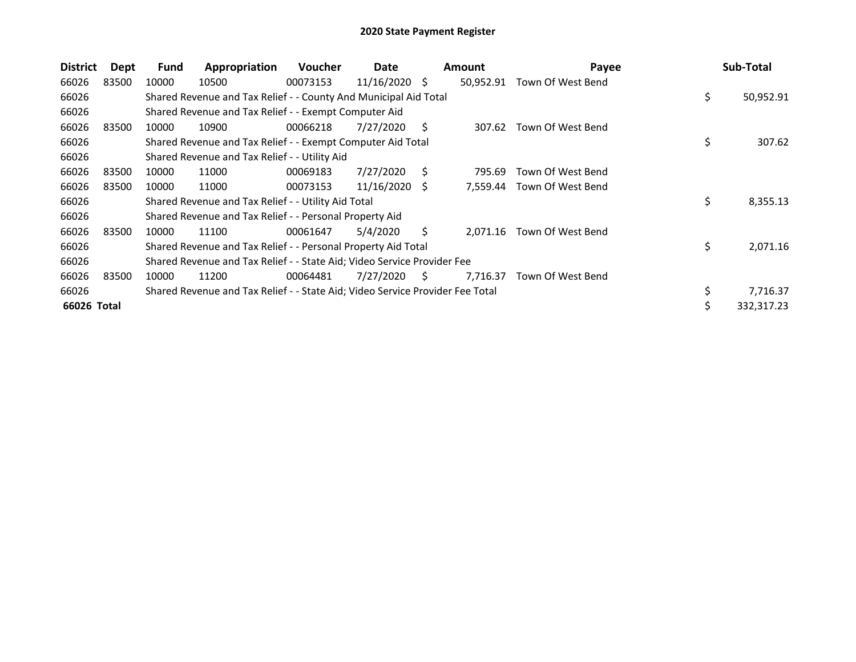| <b>District</b> | Dept  | Fund  | Appropriation                                                                 | <b>Voucher</b> | Date       |    | <b>Amount</b> | Payee             | Sub-Total       |
|-----------------|-------|-------|-------------------------------------------------------------------------------|----------------|------------|----|---------------|-------------------|-----------------|
| 66026           | 83500 | 10000 | 10500                                                                         | 00073153       | 11/16/2020 | -S | 50,952.91     | Town Of West Bend |                 |
| 66026           |       |       | Shared Revenue and Tax Relief - - County And Municipal Aid Total              |                |            |    |               |                   | \$<br>50,952.91 |
| 66026           |       |       | Shared Revenue and Tax Relief - - Exempt Computer Aid                         |                |            |    |               |                   |                 |
| 66026           | 83500 | 10000 | 10900                                                                         | 00066218       | 7/27/2020  | S. | 307.62        | Town Of West Bend |                 |
| 66026           |       |       | Shared Revenue and Tax Relief - - Exempt Computer Aid Total                   |                |            |    |               |                   | \$<br>307.62    |
| 66026           |       |       | Shared Revenue and Tax Relief - - Utility Aid                                 |                |            |    |               |                   |                 |
| 66026           | 83500 | 10000 | 11000                                                                         | 00069183       | 7/27/2020  | Ś. | 795.69        | Town Of West Bend |                 |
| 66026           | 83500 | 10000 | 11000                                                                         | 00073153       | 11/16/2020 | S  | 7.559.44      | Town Of West Bend |                 |
| 66026           |       |       | Shared Revenue and Tax Relief - - Utility Aid Total                           |                |            |    |               |                   | \$<br>8,355.13  |
| 66026           |       |       | Shared Revenue and Tax Relief - - Personal Property Aid                       |                |            |    |               |                   |                 |
| 66026           | 83500 | 10000 | 11100                                                                         | 00061647       | 5/4/2020   | S. | 2,071.16      | Town Of West Bend |                 |
| 66026           |       |       | Shared Revenue and Tax Relief - - Personal Property Aid Total                 |                |            |    |               |                   | \$<br>2,071.16  |
| 66026           |       |       | Shared Revenue and Tax Relief - - State Aid; Video Service Provider Fee       |                |            |    |               |                   |                 |
| 66026           | 83500 | 10000 | 11200                                                                         | 00064481       | 7/27/2020  | S. | 7,716.37      | Town Of West Bend |                 |
| 66026           |       |       | Shared Revenue and Tax Relief - - State Aid; Video Service Provider Fee Total |                |            |    |               |                   | \$<br>7,716.37  |
| 66026 Total     |       |       |                                                                               |                |            |    |               |                   | 332,317.23      |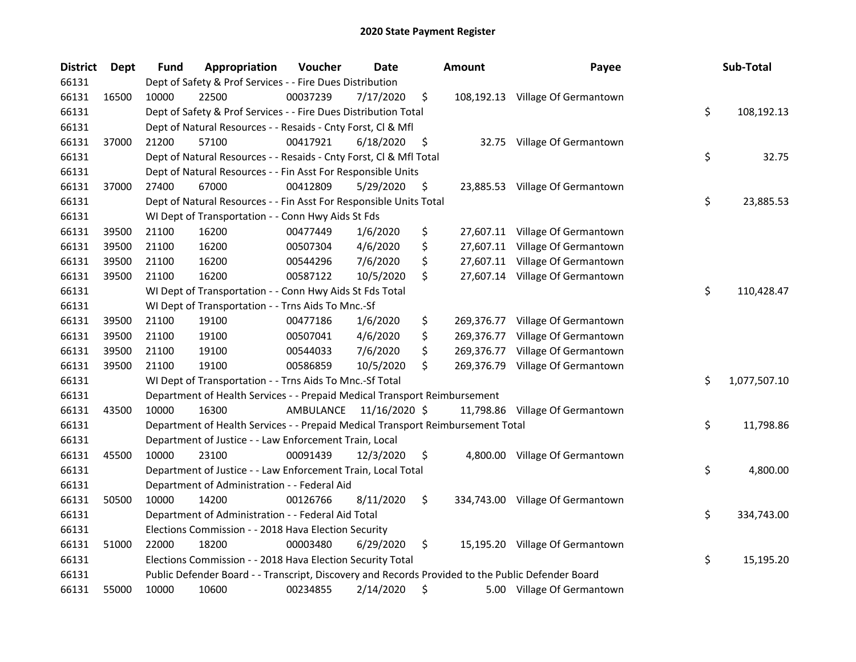| <b>District</b> | Dept  | Fund  | Appropriation                                                                                     | Voucher                 | Date      | <b>Amount</b>    | Payee                            | Sub-Total          |
|-----------------|-------|-------|---------------------------------------------------------------------------------------------------|-------------------------|-----------|------------------|----------------------------------|--------------------|
| 66131           |       |       | Dept of Safety & Prof Services - - Fire Dues Distribution                                         |                         |           |                  |                                  |                    |
| 66131           | 16500 | 10000 | 22500                                                                                             | 00037239                | 7/17/2020 | \$               | 108,192.13 Village Of Germantown |                    |
| 66131           |       |       | Dept of Safety & Prof Services - - Fire Dues Distribution Total                                   |                         |           |                  |                                  | \$<br>108,192.13   |
| 66131           |       |       | Dept of Natural Resources - - Resaids - Cnty Forst, Cl & Mfl                                      |                         |           |                  |                                  |                    |
| 66131           | 37000 | 21200 | 57100                                                                                             | 00417921                | 6/18/2020 | \$               | 32.75 Village Of Germantown      |                    |
| 66131           |       |       | Dept of Natural Resources - - Resaids - Cnty Forst, Cl & Mfl Total                                |                         |           |                  |                                  | \$<br>32.75        |
| 66131           |       |       | Dept of Natural Resources - - Fin Asst For Responsible Units                                      |                         |           |                  |                                  |                    |
| 66131           | 37000 | 27400 | 67000                                                                                             | 00412809                | 5/29/2020 | \$               | 23,885.53 Village Of Germantown  |                    |
| 66131           |       |       | Dept of Natural Resources - - Fin Asst For Responsible Units Total                                |                         |           |                  |                                  | \$<br>23,885.53    |
| 66131           |       |       | WI Dept of Transportation - - Conn Hwy Aids St Fds                                                |                         |           |                  |                                  |                    |
| 66131           | 39500 | 21100 | 16200                                                                                             | 00477449                | 1/6/2020  | \$               | 27,607.11 Village Of Germantown  |                    |
| 66131           | 39500 | 21100 | 16200                                                                                             | 00507304                | 4/6/2020  | \$               | 27,607.11 Village Of Germantown  |                    |
| 66131           | 39500 | 21100 | 16200                                                                                             | 00544296                | 7/6/2020  | \$               | 27,607.11 Village Of Germantown  |                    |
| 66131           | 39500 | 21100 | 16200                                                                                             | 00587122                | 10/5/2020 | \$               | 27,607.14 Village Of Germantown  |                    |
| 66131           |       |       | WI Dept of Transportation - - Conn Hwy Aids St Fds Total                                          |                         |           |                  |                                  | \$<br>110,428.47   |
| 66131           |       |       | WI Dept of Transportation - - Trns Aids To Mnc.-Sf                                                |                         |           |                  |                                  |                    |
| 66131           | 39500 | 21100 | 19100                                                                                             | 00477186                | 1/6/2020  | \$<br>269,376.77 | Village Of Germantown            |                    |
| 66131           | 39500 | 21100 | 19100                                                                                             | 00507041                | 4/6/2020  | \$<br>269,376.77 | Village Of Germantown            |                    |
| 66131           | 39500 | 21100 | 19100                                                                                             | 00544033                | 7/6/2020  | \$<br>269,376.77 | Village Of Germantown            |                    |
| 66131           | 39500 | 21100 | 19100                                                                                             | 00586859                | 10/5/2020 | \$<br>269,376.79 | Village Of Germantown            |                    |
| 66131           |       |       | WI Dept of Transportation - - Trns Aids To Mnc.-Sf Total                                          |                         |           |                  |                                  | \$<br>1,077,507.10 |
| 66131           |       |       | Department of Health Services - - Prepaid Medical Transport Reimbursement                         |                         |           |                  |                                  |                    |
| 66131           | 43500 | 10000 | 16300                                                                                             | AMBULANCE 11/16/2020 \$ |           |                  | 11,798.86 Village Of Germantown  |                    |
| 66131           |       |       | Department of Health Services - - Prepaid Medical Transport Reimbursement Total                   |                         |           |                  |                                  | \$<br>11,798.86    |
| 66131           |       |       | Department of Justice - - Law Enforcement Train, Local                                            |                         |           |                  |                                  |                    |
| 66131           | 45500 | 10000 | 23100                                                                                             | 00091439                | 12/3/2020 | \$               | 4,800.00 Village Of Germantown   |                    |
| 66131           |       |       | Department of Justice - - Law Enforcement Train, Local Total                                      |                         |           |                  |                                  | \$<br>4,800.00     |
| 66131           |       |       | Department of Administration - - Federal Aid                                                      |                         |           |                  |                                  |                    |
| 66131           | 50500 | 10000 | 14200                                                                                             | 00126766                | 8/11/2020 | \$               | 334,743.00 Village Of Germantown |                    |
| 66131           |       |       | Department of Administration - - Federal Aid Total                                                |                         |           |                  |                                  | \$<br>334,743.00   |
| 66131           |       |       | Elections Commission - - 2018 Hava Election Security                                              |                         |           |                  |                                  |                    |
| 66131           | 51000 | 22000 | 18200                                                                                             | 00003480                | 6/29/2020 | \$               | 15,195.20 Village Of Germantown  |                    |
| 66131           |       |       | Elections Commission - - 2018 Hava Election Security Total                                        |                         |           |                  |                                  | \$<br>15,195.20    |
| 66131           |       |       | Public Defender Board - - Transcript, Discovery and Records Provided to the Public Defender Board |                         |           |                  |                                  |                    |
| 66131           | 55000 | 10000 | 10600                                                                                             | 00234855                | 2/14/2020 | \$               | 5.00 Village Of Germantown       |                    |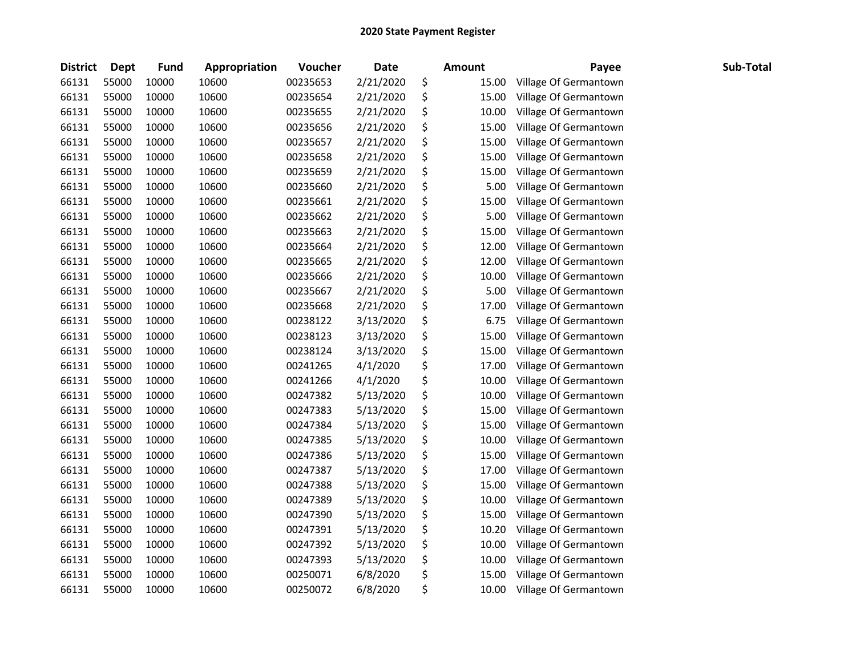| <b>District</b> | Dept  | <b>Fund</b> | Appropriation | Voucher  | <b>Date</b> | <b>Amount</b> | Payee                 | Sub-Total |
|-----------------|-------|-------------|---------------|----------|-------------|---------------|-----------------------|-----------|
| 66131           | 55000 | 10000       | 10600         | 00235653 | 2/21/2020   | \$<br>15.00   | Village Of Germantown |           |
| 66131           | 55000 | 10000       | 10600         | 00235654 | 2/21/2020   | \$<br>15.00   | Village Of Germantown |           |
| 66131           | 55000 | 10000       | 10600         | 00235655 | 2/21/2020   | \$<br>10.00   | Village Of Germantown |           |
| 66131           | 55000 | 10000       | 10600         | 00235656 | 2/21/2020   | \$<br>15.00   | Village Of Germantown |           |
| 66131           | 55000 | 10000       | 10600         | 00235657 | 2/21/2020   | \$<br>15.00   | Village Of Germantown |           |
| 66131           | 55000 | 10000       | 10600         | 00235658 | 2/21/2020   | \$<br>15.00   | Village Of Germantown |           |
| 66131           | 55000 | 10000       | 10600         | 00235659 | 2/21/2020   | \$<br>15.00   | Village Of Germantown |           |
| 66131           | 55000 | 10000       | 10600         | 00235660 | 2/21/2020   | \$<br>5.00    | Village Of Germantown |           |
| 66131           | 55000 | 10000       | 10600         | 00235661 | 2/21/2020   | \$<br>15.00   | Village Of Germantown |           |
| 66131           | 55000 | 10000       | 10600         | 00235662 | 2/21/2020   | \$<br>5.00    | Village Of Germantown |           |
| 66131           | 55000 | 10000       | 10600         | 00235663 | 2/21/2020   | \$<br>15.00   | Village Of Germantown |           |
| 66131           | 55000 | 10000       | 10600         | 00235664 | 2/21/2020   | \$<br>12.00   | Village Of Germantown |           |
| 66131           | 55000 | 10000       | 10600         | 00235665 | 2/21/2020   | \$<br>12.00   | Village Of Germantown |           |
| 66131           | 55000 | 10000       | 10600         | 00235666 | 2/21/2020   | \$<br>10.00   | Village Of Germantown |           |
| 66131           | 55000 | 10000       | 10600         | 00235667 | 2/21/2020   | \$<br>5.00    | Village Of Germantown |           |
| 66131           | 55000 | 10000       | 10600         | 00235668 | 2/21/2020   | \$<br>17.00   | Village Of Germantown |           |
| 66131           | 55000 | 10000       | 10600         | 00238122 | 3/13/2020   | \$<br>6.75    | Village Of Germantown |           |
| 66131           | 55000 | 10000       | 10600         | 00238123 | 3/13/2020   | \$<br>15.00   | Village Of Germantown |           |
| 66131           | 55000 | 10000       | 10600         | 00238124 | 3/13/2020   | \$<br>15.00   | Village Of Germantown |           |
| 66131           | 55000 | 10000       | 10600         | 00241265 | 4/1/2020    | \$<br>17.00   | Village Of Germantown |           |
| 66131           | 55000 | 10000       | 10600         | 00241266 | 4/1/2020    | \$<br>10.00   | Village Of Germantown |           |
| 66131           | 55000 | 10000       | 10600         | 00247382 | 5/13/2020   | \$<br>10.00   | Village Of Germantown |           |
| 66131           | 55000 | 10000       | 10600         | 00247383 | 5/13/2020   | \$<br>15.00   | Village Of Germantown |           |
| 66131           | 55000 | 10000       | 10600         | 00247384 | 5/13/2020   | \$<br>15.00   | Village Of Germantown |           |
| 66131           | 55000 | 10000       | 10600         | 00247385 | 5/13/2020   | \$<br>10.00   | Village Of Germantown |           |
| 66131           | 55000 | 10000       | 10600         | 00247386 | 5/13/2020   | \$<br>15.00   | Village Of Germantown |           |
| 66131           | 55000 | 10000       | 10600         | 00247387 | 5/13/2020   | \$<br>17.00   | Village Of Germantown |           |
| 66131           | 55000 | 10000       | 10600         | 00247388 | 5/13/2020   | \$<br>15.00   | Village Of Germantown |           |
| 66131           | 55000 | 10000       | 10600         | 00247389 | 5/13/2020   | \$<br>10.00   | Village Of Germantown |           |
| 66131           | 55000 | 10000       | 10600         | 00247390 | 5/13/2020   | \$<br>15.00   | Village Of Germantown |           |
| 66131           | 55000 | 10000       | 10600         | 00247391 | 5/13/2020   | \$<br>10.20   | Village Of Germantown |           |
| 66131           | 55000 | 10000       | 10600         | 00247392 | 5/13/2020   | \$<br>10.00   | Village Of Germantown |           |
| 66131           | 55000 | 10000       | 10600         | 00247393 | 5/13/2020   | \$<br>10.00   | Village Of Germantown |           |
| 66131           | 55000 | 10000       | 10600         | 00250071 | 6/8/2020    | \$<br>15.00   | Village Of Germantown |           |
| 66131           | 55000 | 10000       | 10600         | 00250072 | 6/8/2020    | \$<br>10.00   | Village Of Germantown |           |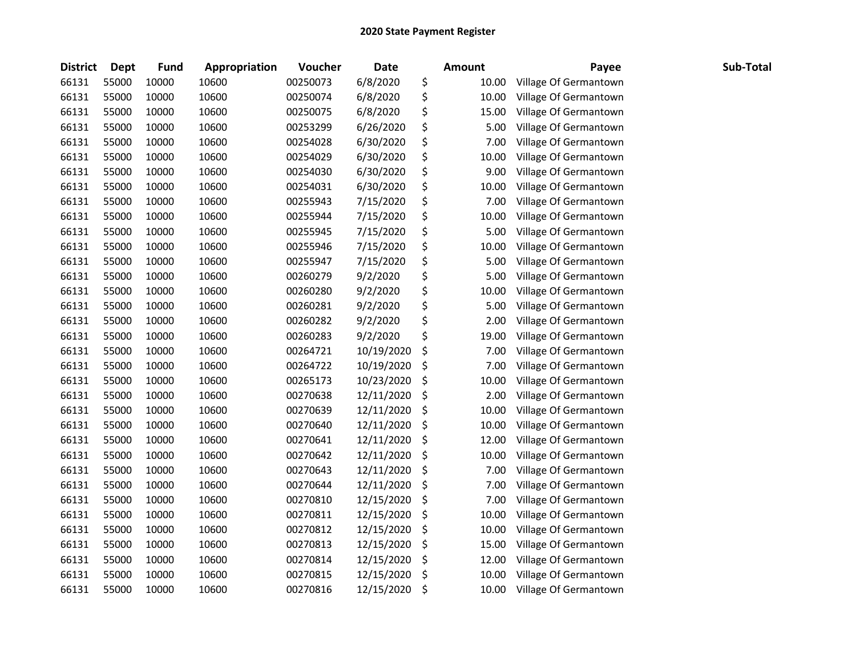| <b>District</b> | Dept  | <b>Fund</b> | Appropriation | Voucher  | <b>Date</b> |     | <b>Amount</b> | Payee                 | Sub-Total |
|-----------------|-------|-------------|---------------|----------|-------------|-----|---------------|-----------------------|-----------|
| 66131           | 55000 | 10000       | 10600         | 00250073 | 6/8/2020    | \$  | 10.00         | Village Of Germantown |           |
| 66131           | 55000 | 10000       | 10600         | 00250074 | 6/8/2020    | \$  | 10.00         | Village Of Germantown |           |
| 66131           | 55000 | 10000       | 10600         | 00250075 | 6/8/2020    | \$  | 15.00         | Village Of Germantown |           |
| 66131           | 55000 | 10000       | 10600         | 00253299 | 6/26/2020   | \$  | 5.00          | Village Of Germantown |           |
| 66131           | 55000 | 10000       | 10600         | 00254028 | 6/30/2020   | \$  | 7.00          | Village Of Germantown |           |
| 66131           | 55000 | 10000       | 10600         | 00254029 | 6/30/2020   | \$  | 10.00         | Village Of Germantown |           |
| 66131           | 55000 | 10000       | 10600         | 00254030 | 6/30/2020   | \$  | 9.00          | Village Of Germantown |           |
| 66131           | 55000 | 10000       | 10600         | 00254031 | 6/30/2020   | \$  | 10.00         | Village Of Germantown |           |
| 66131           | 55000 | 10000       | 10600         | 00255943 | 7/15/2020   | \$  | 7.00          | Village Of Germantown |           |
| 66131           | 55000 | 10000       | 10600         | 00255944 | 7/15/2020   | \$  | 10.00         | Village Of Germantown |           |
| 66131           | 55000 | 10000       | 10600         | 00255945 | 7/15/2020   | \$  | 5.00          | Village Of Germantown |           |
| 66131           | 55000 | 10000       | 10600         | 00255946 | 7/15/2020   | \$  | 10.00         | Village Of Germantown |           |
| 66131           | 55000 | 10000       | 10600         | 00255947 | 7/15/2020   | \$  | 5.00          | Village Of Germantown |           |
| 66131           | 55000 | 10000       | 10600         | 00260279 | 9/2/2020    | \$  | 5.00          | Village Of Germantown |           |
| 66131           | 55000 | 10000       | 10600         | 00260280 | 9/2/2020    | \$  | 10.00         | Village Of Germantown |           |
| 66131           | 55000 | 10000       | 10600         | 00260281 | 9/2/2020    | \$  | 5.00          | Village Of Germantown |           |
| 66131           | 55000 | 10000       | 10600         | 00260282 | 9/2/2020    | \$  | 2.00          | Village Of Germantown |           |
| 66131           | 55000 | 10000       | 10600         | 00260283 | 9/2/2020    | \$  | 19.00         | Village Of Germantown |           |
| 66131           | 55000 | 10000       | 10600         | 00264721 | 10/19/2020  | \$  | 7.00          | Village Of Germantown |           |
| 66131           | 55000 | 10000       | 10600         | 00264722 | 10/19/2020  | \$  | 7.00          | Village Of Germantown |           |
| 66131           | 55000 | 10000       | 10600         | 00265173 | 10/23/2020  | \$  | 10.00         | Village Of Germantown |           |
| 66131           | 55000 | 10000       | 10600         | 00270638 | 12/11/2020  | \$  | 2.00          | Village Of Germantown |           |
| 66131           | 55000 | 10000       | 10600         | 00270639 | 12/11/2020  | \$  | 10.00         | Village Of Germantown |           |
| 66131           | 55000 | 10000       | 10600         | 00270640 | 12/11/2020  | \$  | 10.00         | Village Of Germantown |           |
| 66131           | 55000 | 10000       | 10600         | 00270641 | 12/11/2020  | \$  | 12.00         | Village Of Germantown |           |
| 66131           | 55000 | 10000       | 10600         | 00270642 | 12/11/2020  | \$  | 10.00         | Village Of Germantown |           |
| 66131           | 55000 | 10000       | 10600         | 00270643 | 12/11/2020  | \$, | 7.00          | Village Of Germantown |           |
| 66131           | 55000 | 10000       | 10600         | 00270644 | 12/11/2020  | \$  | 7.00          | Village Of Germantown |           |
| 66131           | 55000 | 10000       | 10600         | 00270810 | 12/15/2020  | \$  | 7.00          | Village Of Germantown |           |
| 66131           | 55000 | 10000       | 10600         | 00270811 | 12/15/2020  | \$  | 10.00         | Village Of Germantown |           |
| 66131           | 55000 | 10000       | 10600         | 00270812 | 12/15/2020  | \$  | 10.00         | Village Of Germantown |           |
| 66131           | 55000 | 10000       | 10600         | 00270813 | 12/15/2020  | \$  | 15.00         | Village Of Germantown |           |
| 66131           | 55000 | 10000       | 10600         | 00270814 | 12/15/2020  | \$  | 12.00         | Village Of Germantown |           |
| 66131           | 55000 | 10000       | 10600         | 00270815 | 12/15/2020  | \$  | 10.00         | Village Of Germantown |           |
| 66131           | 55000 | 10000       | 10600         | 00270816 | 12/15/2020  | \$  | 10.00         | Village Of Germantown |           |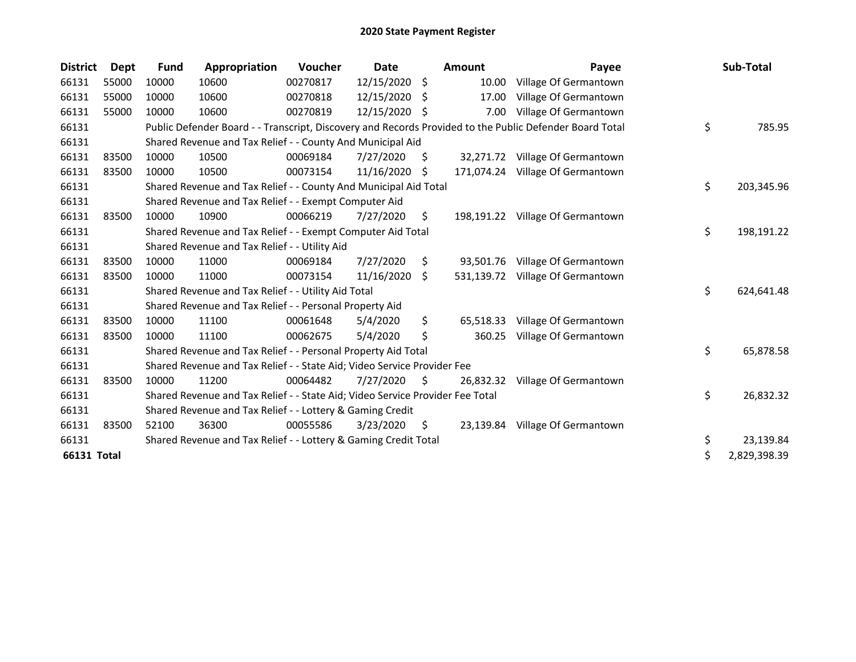| <b>District</b> | Dept  | <b>Fund</b> | Appropriation                                                                 | Voucher  | Date          |     | <b>Amount</b> | Payee                                                                                                   | Sub-Total          |
|-----------------|-------|-------------|-------------------------------------------------------------------------------|----------|---------------|-----|---------------|---------------------------------------------------------------------------------------------------------|--------------------|
| 66131           | 55000 | 10000       | 10600                                                                         | 00270817 | 12/15/2020 \$ |     | 10.00         | Village Of Germantown                                                                                   |                    |
| 66131           | 55000 | 10000       | 10600                                                                         | 00270818 | 12/15/2020 \$ |     | 17.00         | Village Of Germantown                                                                                   |                    |
| 66131           | 55000 | 10000       | 10600                                                                         | 00270819 | 12/15/2020    | \$  | 7.00          | Village Of Germantown                                                                                   |                    |
| 66131           |       |             |                                                                               |          |               |     |               | Public Defender Board - - Transcript, Discovery and Records Provided to the Public Defender Board Total | \$<br>785.95       |
| 66131           |       |             | Shared Revenue and Tax Relief - - County And Municipal Aid                    |          |               |     |               |                                                                                                         |                    |
| 66131           | 83500 | 10000       | 10500                                                                         | 00069184 | 7/27/2020     | S.  |               | 32,271.72 Village Of Germantown                                                                         |                    |
| 66131           | 83500 | 10000       | 10500                                                                         | 00073154 | 11/16/2020    | S   |               | 171,074.24 Village Of Germantown                                                                        |                    |
| 66131           |       |             | Shared Revenue and Tax Relief - - County And Municipal Aid Total              |          |               |     |               |                                                                                                         | \$<br>203,345.96   |
| 66131           |       |             | Shared Revenue and Tax Relief - - Exempt Computer Aid                         |          |               |     |               |                                                                                                         |                    |
| 66131           | 83500 | 10000       | 10900                                                                         | 00066219 | 7/27/2020     | \$. |               | 198,191.22 Village Of Germantown                                                                        |                    |
| 66131           |       |             | Shared Revenue and Tax Relief - - Exempt Computer Aid Total                   |          |               |     |               |                                                                                                         | \$<br>198,191.22   |
| 66131           |       |             | Shared Revenue and Tax Relief - - Utility Aid                                 |          |               |     |               |                                                                                                         |                    |
| 66131           | 83500 | 10000       | 11000                                                                         | 00069184 | 7/27/2020     | \$  | 93,501.76     | Village Of Germantown                                                                                   |                    |
| 66131           | 83500 | 10000       | 11000                                                                         | 00073154 | 11/16/2020    | -\$ | 531,139.72    | Village Of Germantown                                                                                   |                    |
| 66131           |       |             | Shared Revenue and Tax Relief - - Utility Aid Total                           |          |               |     |               |                                                                                                         | \$<br>624,641.48   |
| 66131           |       |             | Shared Revenue and Tax Relief - - Personal Property Aid                       |          |               |     |               |                                                                                                         |                    |
| 66131           | 83500 | 10000       | 11100                                                                         | 00061648 | 5/4/2020      | \$  | 65,518.33     | Village Of Germantown                                                                                   |                    |
| 66131           | 83500 | 10000       | 11100                                                                         | 00062675 | 5/4/2020      | \$  | 360.25        | Village Of Germantown                                                                                   |                    |
| 66131           |       |             | Shared Revenue and Tax Relief - - Personal Property Aid Total                 |          |               |     |               |                                                                                                         | \$<br>65,878.58    |
| 66131           |       |             | Shared Revenue and Tax Relief - - State Aid; Video Service Provider Fee       |          |               |     |               |                                                                                                         |                    |
| 66131           | 83500 | 10000       | 11200                                                                         | 00064482 | 7/27/2020     | S.  | 26,832.32     | Village Of Germantown                                                                                   |                    |
| 66131           |       |             | Shared Revenue and Tax Relief - - State Aid; Video Service Provider Fee Total |          |               |     |               |                                                                                                         | \$<br>26,832.32    |
| 66131           |       |             | Shared Revenue and Tax Relief - - Lottery & Gaming Credit                     |          |               |     |               |                                                                                                         |                    |
| 66131           | 83500 | 52100       | 36300                                                                         | 00055586 | 3/23/2020     | S.  |               | 23,139.84 Village Of Germantown                                                                         |                    |
| 66131           |       |             | Shared Revenue and Tax Relief - - Lottery & Gaming Credit Total               |          |               |     |               |                                                                                                         | \$<br>23,139.84    |
| 66131 Total     |       |             |                                                                               |          |               |     |               |                                                                                                         | \$<br>2,829,398.39 |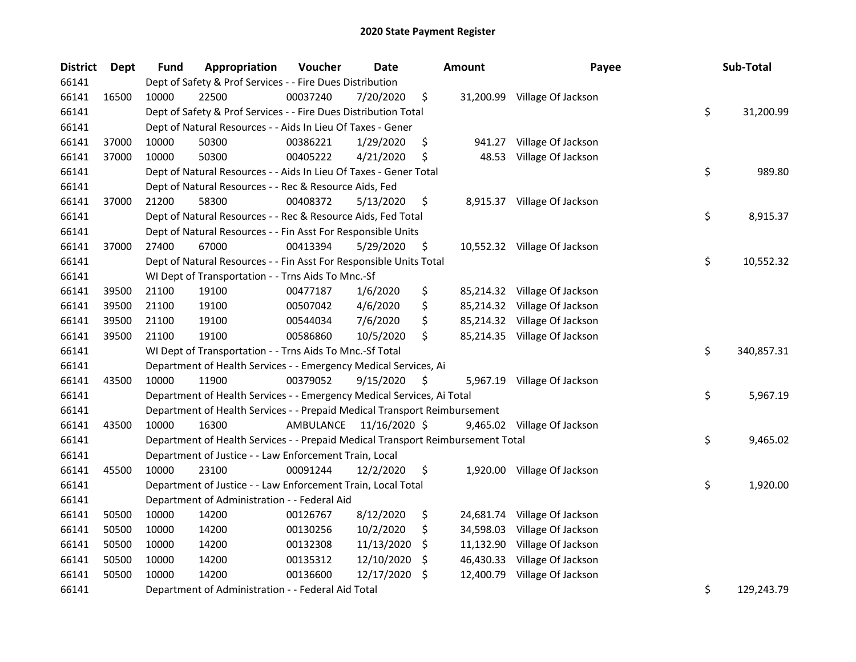| <b>District</b> | Dept  | <b>Fund</b> | Appropriation                                                                   | Voucher  | <b>Date</b>             | <b>Amount</b>   | Payee                        | Sub-Total        |
|-----------------|-------|-------------|---------------------------------------------------------------------------------|----------|-------------------------|-----------------|------------------------------|------------------|
| 66141           |       |             | Dept of Safety & Prof Services - - Fire Dues Distribution                       |          |                         |                 |                              |                  |
| 66141           | 16500 | 10000       | 22500                                                                           | 00037240 | 7/20/2020               | \$              | 31,200.99 Village Of Jackson |                  |
| 66141           |       |             | Dept of Safety & Prof Services - - Fire Dues Distribution Total                 |          |                         |                 |                              | \$<br>31,200.99  |
| 66141           |       |             | Dept of Natural Resources - - Aids In Lieu Of Taxes - Gener                     |          |                         |                 |                              |                  |
| 66141           | 37000 | 10000       | 50300                                                                           | 00386221 | 1/29/2020               | \$              | 941.27 Village Of Jackson    |                  |
| 66141           | 37000 | 10000       | 50300                                                                           | 00405222 | 4/21/2020               | \$<br>48.53     | Village Of Jackson           |                  |
| 66141           |       |             | Dept of Natural Resources - - Aids In Lieu Of Taxes - Gener Total               |          |                         |                 |                              | \$<br>989.80     |
| 66141           |       |             | Dept of Natural Resources - - Rec & Resource Aids, Fed                          |          |                         |                 |                              |                  |
| 66141           | 37000 | 21200       | 58300                                                                           | 00408372 | 5/13/2020               | \$              | 8,915.37 Village Of Jackson  |                  |
| 66141           |       |             | Dept of Natural Resources - - Rec & Resource Aids, Fed Total                    |          |                         |                 |                              | \$<br>8,915.37   |
| 66141           |       |             | Dept of Natural Resources - - Fin Asst For Responsible Units                    |          |                         |                 |                              |                  |
| 66141           | 37000 | 27400       | 67000                                                                           | 00413394 | 5/29/2020               | \$              | 10,552.32 Village Of Jackson |                  |
| 66141           |       |             | Dept of Natural Resources - - Fin Asst For Responsible Units Total              |          |                         |                 |                              | \$<br>10,552.32  |
| 66141           |       |             | WI Dept of Transportation - - Trns Aids To Mnc.-Sf                              |          |                         |                 |                              |                  |
| 66141           | 39500 | 21100       | 19100                                                                           | 00477187 | 1/6/2020                | \$              | 85,214.32 Village Of Jackson |                  |
| 66141           | 39500 | 21100       | 19100                                                                           | 00507042 | 4/6/2020                | \$              | 85,214.32 Village Of Jackson |                  |
| 66141           | 39500 | 21100       | 19100                                                                           | 00544034 | 7/6/2020                | \$              | 85,214.32 Village Of Jackson |                  |
| 66141           | 39500 | 21100       | 19100                                                                           | 00586860 | 10/5/2020               | \$              | 85,214.35 Village Of Jackson |                  |
| 66141           |       |             | WI Dept of Transportation - - Trns Aids To Mnc.-Sf Total                        |          |                         |                 |                              | \$<br>340,857.31 |
| 66141           |       |             | Department of Health Services - - Emergency Medical Services, Ai                |          |                         |                 |                              |                  |
| 66141           | 43500 | 10000       | 11900                                                                           | 00379052 | 9/15/2020               | \$              | 5,967.19 Village Of Jackson  |                  |
| 66141           |       |             | Department of Health Services - - Emergency Medical Services, Ai Total          |          |                         |                 |                              | \$<br>5,967.19   |
| 66141           |       |             | Department of Health Services - - Prepaid Medical Transport Reimbursement       |          |                         |                 |                              |                  |
| 66141           | 43500 | 10000       | 16300                                                                           |          | AMBULANCE 11/16/2020 \$ |                 | 9,465.02 Village Of Jackson  |                  |
| 66141           |       |             | Department of Health Services - - Prepaid Medical Transport Reimbursement Total |          |                         |                 |                              | \$<br>9,465.02   |
| 66141           |       |             | Department of Justice - - Law Enforcement Train, Local                          |          |                         |                 |                              |                  |
| 66141           | 45500 | 10000       | 23100                                                                           | 00091244 | 12/2/2020               | \$              | 1,920.00 Village Of Jackson  |                  |
| 66141           |       |             | Department of Justice - - Law Enforcement Train, Local Total                    |          |                         |                 |                              | \$<br>1,920.00   |
| 66141           |       |             | Department of Administration - - Federal Aid                                    |          |                         |                 |                              |                  |
| 66141           | 50500 | 10000       | 14200                                                                           | 00126767 | 8/12/2020               | \$              | 24,681.74 Village Of Jackson |                  |
| 66141           | 50500 | 10000       | 14200                                                                           | 00130256 | 10/2/2020               | \$<br>34,598.03 | Village Of Jackson           |                  |
| 66141           | 50500 | 10000       | 14200                                                                           | 00132308 | 11/13/2020              | \$              | 11,132.90 Village Of Jackson |                  |
| 66141           | 50500 | 10000       | 14200                                                                           | 00135312 | 12/10/2020              | \$              | 46,430.33 Village Of Jackson |                  |
| 66141           | 50500 | 10000       | 14200                                                                           | 00136600 | 12/17/2020              | \$              | 12,400.79 Village Of Jackson |                  |
| 66141           |       |             | Department of Administration - - Federal Aid Total                              |          |                         |                 |                              | \$<br>129,243.79 |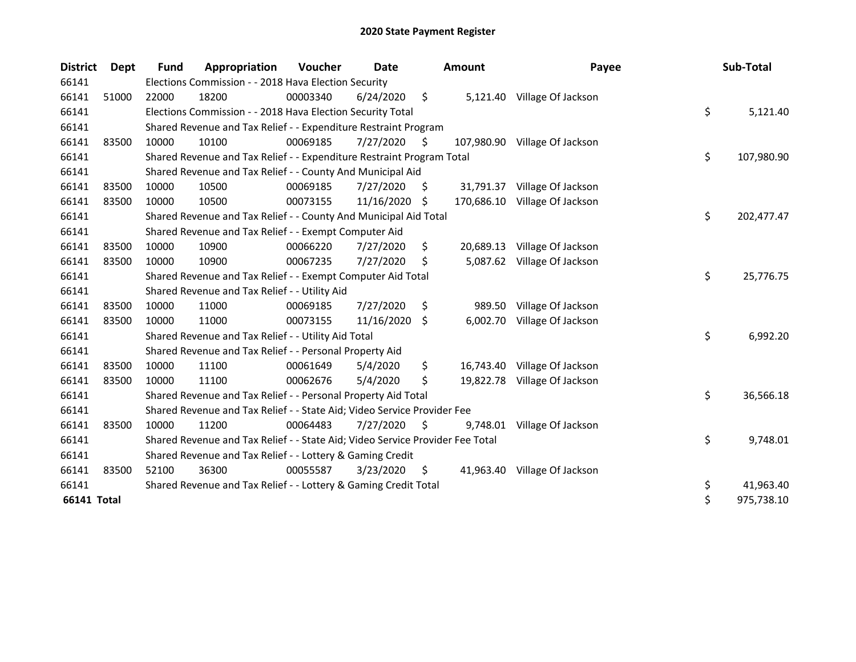| <b>District</b> | <b>Dept</b> | Fund  | Appropriation                                                                 | Voucher  | Date       |     | <b>Amount</b> | Payee                        | Sub-Total        |
|-----------------|-------------|-------|-------------------------------------------------------------------------------|----------|------------|-----|---------------|------------------------------|------------------|
| 66141           |             |       | Elections Commission - - 2018 Hava Election Security                          |          |            |     |               |                              |                  |
| 66141           | 51000       | 22000 | 18200                                                                         | 00003340 | 6/24/2020  | \$  | 5,121.40      | Village Of Jackson           |                  |
| 66141           |             |       | Elections Commission - - 2018 Hava Election Security Total                    |          |            |     |               |                              | \$<br>5,121.40   |
| 66141           |             |       | Shared Revenue and Tax Relief - - Expenditure Restraint Program               |          |            |     |               |                              |                  |
| 66141           | 83500       | 10000 | 10100                                                                         | 00069185 | 7/27/2020  | \$. | 107,980.90    | Village Of Jackson           |                  |
| 66141           |             |       | Shared Revenue and Tax Relief - - Expenditure Restraint Program Total         |          |            |     |               |                              | \$<br>107,980.90 |
| 66141           |             |       | Shared Revenue and Tax Relief - - County And Municipal Aid                    |          |            |     |               |                              |                  |
| 66141           | 83500       | 10000 | 10500                                                                         | 00069185 | 7/27/2020  | S   | 31,791.37     | Village Of Jackson           |                  |
| 66141           | 83500       | 10000 | 10500                                                                         | 00073155 | 11/16/2020 | \$  | 170,686.10    | Village Of Jackson           |                  |
| 66141           |             |       | Shared Revenue and Tax Relief - - County And Municipal Aid Total              |          |            |     |               |                              | \$<br>202,477.47 |
| 66141           |             |       | Shared Revenue and Tax Relief - - Exempt Computer Aid                         |          |            |     |               |                              |                  |
| 66141           | 83500       | 10000 | 10900                                                                         | 00066220 | 7/27/2020  | \$  | 20,689.13     | Village Of Jackson           |                  |
| 66141           | 83500       | 10000 | 10900                                                                         | 00067235 | 7/27/2020  | \$  |               | 5,087.62 Village Of Jackson  |                  |
| 66141           |             |       | Shared Revenue and Tax Relief - - Exempt Computer Aid Total                   |          |            |     |               |                              | \$<br>25,776.75  |
| 66141           |             |       | Shared Revenue and Tax Relief - - Utility Aid                                 |          |            |     |               |                              |                  |
| 66141           | 83500       | 10000 | 11000                                                                         | 00069185 | 7/27/2020  | \$  | 989.50        | Village Of Jackson           |                  |
| 66141           | 83500       | 10000 | 11000                                                                         | 00073155 | 11/16/2020 | \$  | 6,002.70      | Village Of Jackson           |                  |
| 66141           |             |       | Shared Revenue and Tax Relief - - Utility Aid Total                           |          |            |     |               |                              | \$<br>6,992.20   |
| 66141           |             |       | Shared Revenue and Tax Relief - - Personal Property Aid                       |          |            |     |               |                              |                  |
| 66141           | 83500       | 10000 | 11100                                                                         | 00061649 | 5/4/2020   | \$  |               | 16,743.40 Village Of Jackson |                  |
| 66141           | 83500       | 10000 | 11100                                                                         | 00062676 | 5/4/2020   | Ś.  |               | 19,822.78 Village Of Jackson |                  |
| 66141           |             |       | Shared Revenue and Tax Relief - - Personal Property Aid Total                 |          |            |     |               |                              | \$<br>36,566.18  |
| 66141           |             |       | Shared Revenue and Tax Relief - - State Aid; Video Service Provider Fee       |          |            |     |               |                              |                  |
| 66141           | 83500       | 10000 | 11200                                                                         | 00064483 | 7/27/2020  | \$  | 9,748.01      | Village Of Jackson           |                  |
| 66141           |             |       | Shared Revenue and Tax Relief - - State Aid; Video Service Provider Fee Total |          |            |     |               |                              | \$<br>9,748.01   |
| 66141           |             |       | Shared Revenue and Tax Relief - - Lottery & Gaming Credit                     |          |            |     |               |                              |                  |
| 66141           | 83500       | 52100 | 36300                                                                         | 00055587 | 3/23/2020  | \$  | 41,963.40     | Village Of Jackson           |                  |
| 66141           |             |       | Shared Revenue and Tax Relief - - Lottery & Gaming Credit Total               |          |            |     |               |                              | \$<br>41,963.40  |
| 66141 Total     |             |       |                                                                               |          |            |     |               |                              | \$<br>975,738.10 |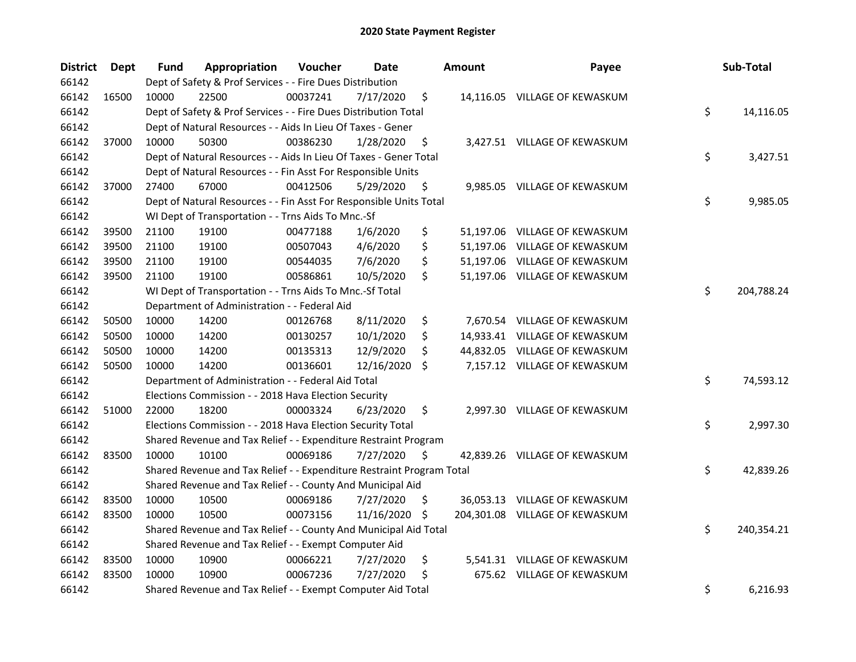| <b>District</b> | <b>Dept</b> | Fund  | Appropriation                                                         | Voucher  | <b>Date</b>   |     | <b>Amount</b> | Payee                          | Sub-Total        |
|-----------------|-------------|-------|-----------------------------------------------------------------------|----------|---------------|-----|---------------|--------------------------------|------------------|
| 66142           |             |       | Dept of Safety & Prof Services - - Fire Dues Distribution             |          |               |     |               |                                |                  |
| 66142           | 16500       | 10000 | 22500                                                                 | 00037241 | 7/17/2020     | \$  |               | 14,116.05 VILLAGE OF KEWASKUM  |                  |
| 66142           |             |       | Dept of Safety & Prof Services - - Fire Dues Distribution Total       |          |               |     |               |                                | \$<br>14,116.05  |
| 66142           |             |       | Dept of Natural Resources - - Aids In Lieu Of Taxes - Gener           |          |               |     |               |                                |                  |
| 66142           | 37000       | 10000 | 50300                                                                 | 00386230 | 1/28/2020     | \$  |               | 3,427.51 VILLAGE OF KEWASKUM   |                  |
| 66142           |             |       | Dept of Natural Resources - - Aids In Lieu Of Taxes - Gener Total     |          |               |     |               |                                | \$<br>3,427.51   |
| 66142           |             |       | Dept of Natural Resources - - Fin Asst For Responsible Units          |          |               |     |               |                                |                  |
| 66142           | 37000       | 27400 | 67000                                                                 | 00412506 | 5/29/2020     | \$  |               | 9,985.05 VILLAGE OF KEWASKUM   |                  |
| 66142           |             |       | Dept of Natural Resources - - Fin Asst For Responsible Units Total    |          |               |     |               |                                | \$<br>9,985.05   |
| 66142           |             |       | WI Dept of Transportation - - Trns Aids To Mnc.-Sf                    |          |               |     |               |                                |                  |
| 66142           | 39500       | 21100 | 19100                                                                 | 00477188 | 1/6/2020      | \$  |               | 51,197.06 VILLAGE OF KEWASKUM  |                  |
| 66142           | 39500       | 21100 | 19100                                                                 | 00507043 | 4/6/2020      | \$  |               | 51,197.06 VILLAGE OF KEWASKUM  |                  |
| 66142           | 39500       | 21100 | 19100                                                                 | 00544035 | 7/6/2020      | \$  |               | 51,197.06 VILLAGE OF KEWASKUM  |                  |
| 66142           | 39500       | 21100 | 19100                                                                 | 00586861 | 10/5/2020     | \$  |               | 51,197.06 VILLAGE OF KEWASKUM  |                  |
| 66142           |             |       | WI Dept of Transportation - - Trns Aids To Mnc.-Sf Total              |          |               |     |               |                                | \$<br>204,788.24 |
| 66142           |             |       | Department of Administration - - Federal Aid                          |          |               |     |               |                                |                  |
| 66142           | 50500       | 10000 | 14200                                                                 | 00126768 | 8/11/2020     | \$  |               | 7,670.54 VILLAGE OF KEWASKUM   |                  |
| 66142           | 50500       | 10000 | 14200                                                                 | 00130257 | 10/1/2020     | \$  |               | 14,933.41 VILLAGE OF KEWASKUM  |                  |
| 66142           | 50500       | 10000 | 14200                                                                 | 00135313 | 12/9/2020     | \$  |               | 44,832.05 VILLAGE OF KEWASKUM  |                  |
| 66142           | 50500       | 10000 | 14200                                                                 | 00136601 | 12/16/2020    | S.  |               | 7,157.12 VILLAGE OF KEWASKUM   |                  |
| 66142           |             |       | Department of Administration - - Federal Aid Total                    |          |               |     |               |                                | \$<br>74,593.12  |
| 66142           |             |       | Elections Commission - - 2018 Hava Election Security                  |          |               |     |               |                                |                  |
| 66142           | 51000       | 22000 | 18200                                                                 | 00003324 | 6/23/2020     | \$  |               | 2,997.30 VILLAGE OF KEWASKUM   |                  |
| 66142           |             |       | Elections Commission - - 2018 Hava Election Security Total            |          |               |     |               |                                | \$<br>2,997.30   |
| 66142           |             |       | Shared Revenue and Tax Relief - - Expenditure Restraint Program       |          |               |     |               |                                |                  |
| 66142           | 83500       | 10000 | 10100                                                                 | 00069186 | 7/27/2020     | \$  |               | 42,839.26 VILLAGE OF KEWASKUM  |                  |
| 66142           |             |       | Shared Revenue and Tax Relief - - Expenditure Restraint Program Total |          |               |     |               |                                | \$<br>42,839.26  |
| 66142           |             |       | Shared Revenue and Tax Relief - - County And Municipal Aid            |          |               |     |               |                                |                  |
| 66142           | 83500       | 10000 | 10500                                                                 | 00069186 | 7/27/2020     | \$. |               | 36,053.13 VILLAGE OF KEWASKUM  |                  |
| 66142           | 83500       | 10000 | 10500                                                                 | 00073156 | 11/16/2020 \$ |     |               | 204,301.08 VILLAGE OF KEWASKUM |                  |
| 66142           |             |       | Shared Revenue and Tax Relief - - County And Municipal Aid Total      |          |               |     |               |                                | \$<br>240,354.21 |
| 66142           |             |       | Shared Revenue and Tax Relief - - Exempt Computer Aid                 |          |               |     |               |                                |                  |
| 66142           | 83500       | 10000 | 10900                                                                 | 00066221 | 7/27/2020     | \$  |               | 5,541.31 VILLAGE OF KEWASKUM   |                  |
| 66142           | 83500       | 10000 | 10900                                                                 | 00067236 | 7/27/2020     | \$  |               | 675.62 VILLAGE OF KEWASKUM     |                  |
| 66142           |             |       | Shared Revenue and Tax Relief - - Exempt Computer Aid Total           |          |               |     |               |                                | \$<br>6,216.93   |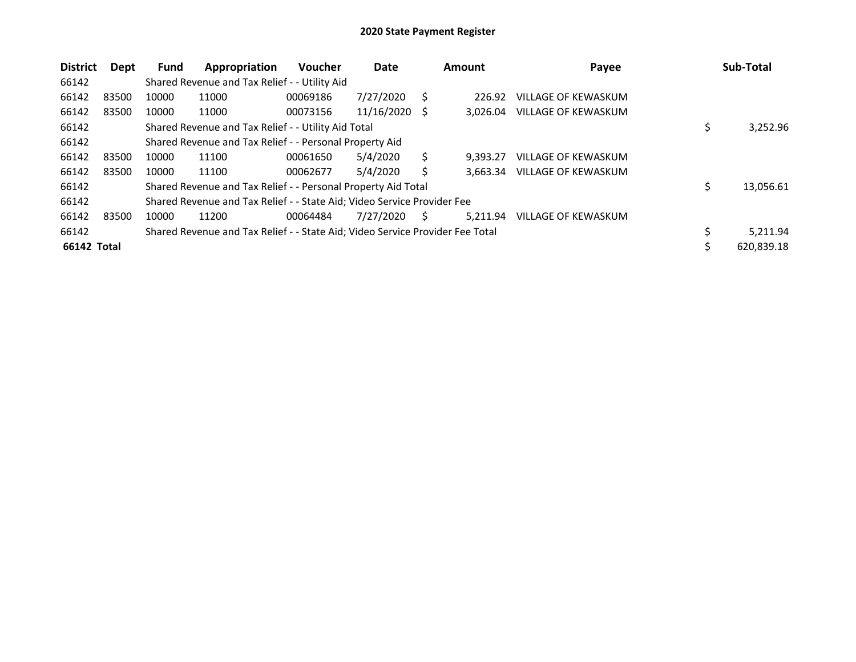| <b>District</b> | Dept  | <b>Fund</b> | Appropriation                                                                 | <b>Voucher</b> | Date       |     | Amount   | Payee                      | Sub-Total       |
|-----------------|-------|-------------|-------------------------------------------------------------------------------|----------------|------------|-----|----------|----------------------------|-----------------|
| 66142           |       |             | Shared Revenue and Tax Relief - - Utility Aid                                 |                |            |     |          |                            |                 |
| 66142           | 83500 | 10000       | 11000                                                                         | 00069186       | 7/27/2020  | S.  | 226.92   | <b>VILLAGE OF KEWASKUM</b> |                 |
| 66142           | 83500 | 10000       | 11000                                                                         | 00073156       | 11/16/2020 | - S | 3.026.04 | VILLAGE OF KEWASKUM        |                 |
| 66142           |       |             | Shared Revenue and Tax Relief - - Utility Aid Total                           |                |            |     |          |                            | 3,252.96        |
| 66142           |       |             | Shared Revenue and Tax Relief - - Personal Property Aid                       |                |            |     |          |                            |                 |
| 66142           | 83500 | 10000       | 11100                                                                         | 00061650       | 5/4/2020   | S   | 9.393.27 | <b>VILLAGE OF KEWASKUM</b> |                 |
| 66142           | 83500 | 10000       | 11100                                                                         | 00062677       | 5/4/2020   | S   | 3.663.34 | VILLAGE OF KEWASKUM        |                 |
| 66142           |       |             | Shared Revenue and Tax Relief - - Personal Property Aid Total                 |                |            |     |          |                            | \$<br>13,056.61 |
| 66142           |       |             | Shared Revenue and Tax Relief - - State Aid; Video Service Provider Fee       |                |            |     |          |                            |                 |
| 66142           | 83500 | 10000       | 11200                                                                         | 00064484       | 7/27/2020  | S.  | 5,211.94 | VILLAGE OF KEWASKUM        |                 |
| 66142           |       |             | Shared Revenue and Tax Relief - - State Aid; Video Service Provider Fee Total |                |            |     |          |                            | 5,211.94        |
| 66142 Total     |       |             |                                                                               |                |            |     |          |                            | 620,839.18      |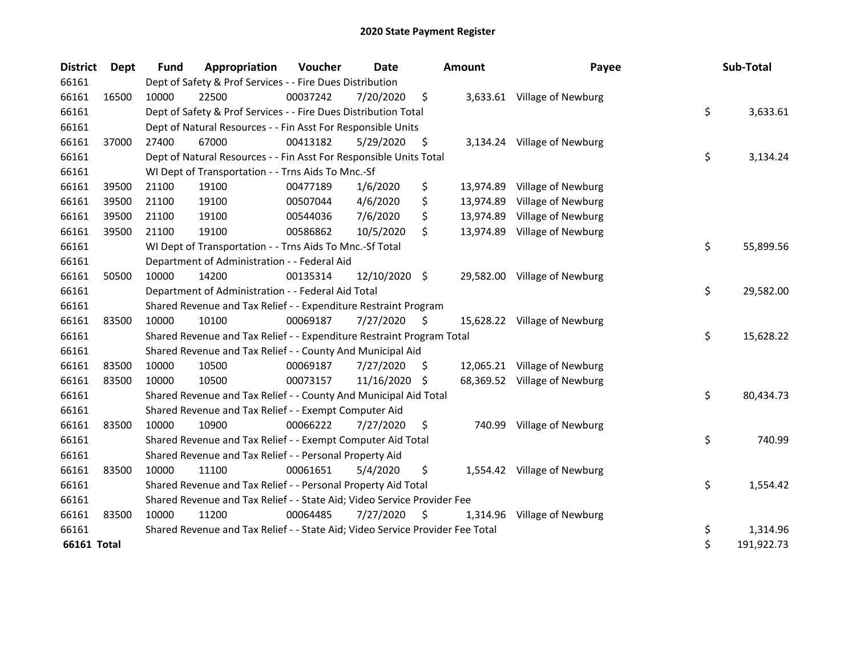| <b>District</b> | <b>Dept</b> | Fund  | Appropriation                                                                 | Voucher  | Date          |    | Amount    | Payee                        | Sub-Total        |
|-----------------|-------------|-------|-------------------------------------------------------------------------------|----------|---------------|----|-----------|------------------------------|------------------|
| 66161           |             |       | Dept of Safety & Prof Services - - Fire Dues Distribution                     |          |               |    |           |                              |                  |
| 66161           | 16500       | 10000 | 22500                                                                         | 00037242 | 7/20/2020     | \$ |           | 3,633.61 Village of Newburg  |                  |
| 66161           |             |       | Dept of Safety & Prof Services - - Fire Dues Distribution Total               |          |               |    |           |                              | \$<br>3,633.61   |
| 66161           |             |       | Dept of Natural Resources - - Fin Asst For Responsible Units                  |          |               |    |           |                              |                  |
| 66161           | 37000       | 27400 | 67000                                                                         | 00413182 | 5/29/2020     | \$ |           | 3,134.24 Village of Newburg  |                  |
| 66161           |             |       | Dept of Natural Resources - - Fin Asst For Responsible Units Total            |          |               |    |           |                              | \$<br>3,134.24   |
| 66161           |             |       | WI Dept of Transportation - - Trns Aids To Mnc.-Sf                            |          |               |    |           |                              |                  |
| 66161           | 39500       | 21100 | 19100                                                                         | 00477189 | 1/6/2020      | \$ | 13,974.89 | Village of Newburg           |                  |
| 66161           | 39500       | 21100 | 19100                                                                         | 00507044 | 4/6/2020      | \$ | 13,974.89 | Village of Newburg           |                  |
| 66161           | 39500       | 21100 | 19100                                                                         | 00544036 | 7/6/2020      | \$ | 13,974.89 | Village of Newburg           |                  |
| 66161           | 39500       | 21100 | 19100                                                                         | 00586862 | 10/5/2020     | \$ |           | 13,974.89 Village of Newburg |                  |
| 66161           |             |       | WI Dept of Transportation - - Trns Aids To Mnc.-Sf Total                      |          |               |    |           |                              | \$<br>55,899.56  |
| 66161           |             |       | Department of Administration - - Federal Aid                                  |          |               |    |           |                              |                  |
| 66161           | 50500       | 10000 | 14200                                                                         | 00135314 | 12/10/2020 \$ |    |           | 29,582.00 Village of Newburg |                  |
| 66161           |             |       | Department of Administration - - Federal Aid Total                            |          |               |    |           |                              | \$<br>29,582.00  |
| 66161           |             |       | Shared Revenue and Tax Relief - - Expenditure Restraint Program               |          |               |    |           |                              |                  |
| 66161           | 83500       | 10000 | 10100                                                                         | 00069187 | 7/27/2020     | \$ |           | 15,628.22 Village of Newburg |                  |
| 66161           |             |       | Shared Revenue and Tax Relief - - Expenditure Restraint Program Total         |          |               |    |           |                              | \$<br>15,628.22  |
| 66161           |             |       | Shared Revenue and Tax Relief - - County And Municipal Aid                    |          |               |    |           |                              |                  |
| 66161           | 83500       | 10000 | 10500                                                                         | 00069187 | 7/27/2020     | S  |           | 12,065.21 Village of Newburg |                  |
| 66161           | 83500       | 10000 | 10500                                                                         | 00073157 | 11/16/2020    | -S |           | 68,369.52 Village of Newburg |                  |
| 66161           |             |       | Shared Revenue and Tax Relief - - County And Municipal Aid Total              |          |               |    |           |                              | \$<br>80,434.73  |
| 66161           |             |       | Shared Revenue and Tax Relief - - Exempt Computer Aid                         |          |               |    |           |                              |                  |
| 66161           | 83500       | 10000 | 10900                                                                         | 00066222 | 7/27/2020     | \$ |           | 740.99 Village of Newburg    |                  |
| 66161           |             |       | Shared Revenue and Tax Relief - - Exempt Computer Aid Total                   |          |               |    |           |                              | \$<br>740.99     |
| 66161           |             |       | Shared Revenue and Tax Relief - - Personal Property Aid                       |          |               |    |           |                              |                  |
| 66161           | 83500       | 10000 | 11100                                                                         | 00061651 | 5/4/2020      | \$ |           | 1,554.42 Village of Newburg  |                  |
| 66161           |             |       | Shared Revenue and Tax Relief - - Personal Property Aid Total                 |          |               |    |           |                              | \$<br>1,554.42   |
| 66161           |             |       | Shared Revenue and Tax Relief - - State Aid; Video Service Provider Fee       |          |               |    |           |                              |                  |
| 66161           | 83500       | 10000 | 11200                                                                         | 00064485 | 7/27/2020     | \$ | 1,314.96  | Village of Newburg           |                  |
| 66161           |             |       | Shared Revenue and Tax Relief - - State Aid; Video Service Provider Fee Total |          |               |    |           |                              | \$<br>1,314.96   |
| 66161 Total     |             |       |                                                                               |          |               |    |           |                              | \$<br>191,922.73 |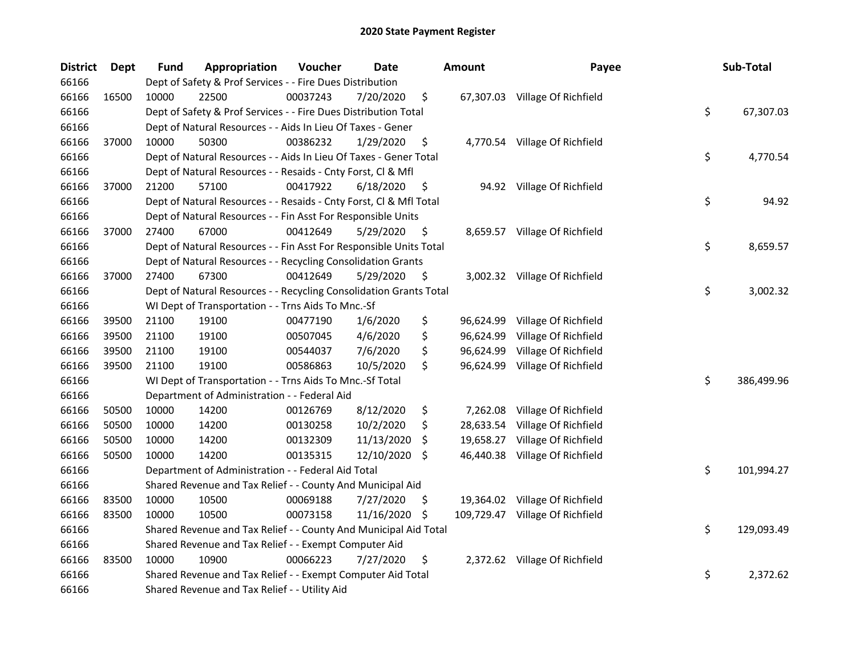| District | <b>Dept</b> | <b>Fund</b> | Appropriation                                                      | Voucher  | Date       |     | <b>Amount</b> | Payee                          | Sub-Total        |
|----------|-------------|-------------|--------------------------------------------------------------------|----------|------------|-----|---------------|--------------------------------|------------------|
| 66166    |             |             | Dept of Safety & Prof Services - - Fire Dues Distribution          |          |            |     |               |                                |                  |
| 66166    | 16500       | 10000       | 22500                                                              | 00037243 | 7/20/2020  | \$  |               | 67,307.03 Village Of Richfield |                  |
| 66166    |             |             | Dept of Safety & Prof Services - - Fire Dues Distribution Total    |          |            |     |               |                                | \$<br>67,307.03  |
| 66166    |             |             | Dept of Natural Resources - - Aids In Lieu Of Taxes - Gener        |          |            |     |               |                                |                  |
| 66166    | 37000       | 10000       | 50300                                                              | 00386232 | 1/29/2020  | \$  |               | 4,770.54 Village Of Richfield  |                  |
| 66166    |             |             | Dept of Natural Resources - - Aids In Lieu Of Taxes - Gener Total  |          |            |     |               |                                | \$<br>4,770.54   |
| 66166    |             |             | Dept of Natural Resources - - Resaids - Cnty Forst, Cl & Mfl       |          |            |     |               |                                |                  |
| 66166    | 37000       | 21200       | 57100                                                              | 00417922 | 6/18/2020  | \$  |               | 94.92 Village Of Richfield     |                  |
| 66166    |             |             | Dept of Natural Resources - - Resaids - Cnty Forst, Cl & Mfl Total |          |            |     |               |                                | \$<br>94.92      |
| 66166    |             |             | Dept of Natural Resources - - Fin Asst For Responsible Units       |          |            |     |               |                                |                  |
| 66166    | 37000       | 27400       | 67000                                                              | 00412649 | 5/29/2020  | \$. |               | 8,659.57 Village Of Richfield  |                  |
| 66166    |             |             | Dept of Natural Resources - - Fin Asst For Responsible Units Total |          |            |     |               |                                | \$<br>8,659.57   |
| 66166    |             |             | Dept of Natural Resources - - Recycling Consolidation Grants       |          |            |     |               |                                |                  |
| 66166    | 37000       | 27400       | 67300                                                              | 00412649 | 5/29/2020  | \$  |               | 3,002.32 Village Of Richfield  |                  |
| 66166    |             |             | Dept of Natural Resources - - Recycling Consolidation Grants Total |          |            |     |               |                                | \$<br>3,002.32   |
| 66166    |             |             | WI Dept of Transportation - - Trns Aids To Mnc.-Sf                 |          |            |     |               |                                |                  |
| 66166    | 39500       | 21100       | 19100                                                              | 00477190 | 1/6/2020   | \$  | 96,624.99     | Village Of Richfield           |                  |
| 66166    | 39500       | 21100       | 19100                                                              | 00507045 | 4/6/2020   | \$  | 96,624.99     | Village Of Richfield           |                  |
| 66166    | 39500       | 21100       | 19100                                                              | 00544037 | 7/6/2020   | \$  | 96,624.99     | Village Of Richfield           |                  |
| 66166    | 39500       | 21100       | 19100                                                              | 00586863 | 10/5/2020  | \$  | 96,624.99     | Village Of Richfield           |                  |
| 66166    |             |             | WI Dept of Transportation - - Trns Aids To Mnc.-Sf Total           |          |            |     |               |                                | \$<br>386,499.96 |
| 66166    |             |             | Department of Administration - - Federal Aid                       |          |            |     |               |                                |                  |
| 66166    | 50500       | 10000       | 14200                                                              | 00126769 | 8/12/2020  | \$  | 7,262.08      | Village Of Richfield           |                  |
| 66166    | 50500       | 10000       | 14200                                                              | 00130258 | 10/2/2020  | \$  | 28,633.54     | Village Of Richfield           |                  |
| 66166    | 50500       | 10000       | 14200                                                              | 00132309 | 11/13/2020 | \$  | 19,658.27     | Village Of Richfield           |                  |
| 66166    | 50500       | 10000       | 14200                                                              | 00135315 | 12/10/2020 | \$. | 46,440.38     | Village Of Richfield           |                  |
| 66166    |             |             | Department of Administration - - Federal Aid Total                 |          |            |     |               |                                | \$<br>101,994.27 |
| 66166    |             |             | Shared Revenue and Tax Relief - - County And Municipal Aid         |          |            |     |               |                                |                  |
| 66166    | 83500       | 10000       | 10500                                                              | 00069188 | 7/27/2020  | \$. |               | 19,364.02 Village Of Richfield |                  |
| 66166    | 83500       | 10000       | 10500                                                              | 00073158 | 11/16/2020 | \$. | 109,729.47    | Village Of Richfield           |                  |
| 66166    |             |             | Shared Revenue and Tax Relief - - County And Municipal Aid Total   |          |            |     |               |                                | \$<br>129,093.49 |
| 66166    |             |             | Shared Revenue and Tax Relief - - Exempt Computer Aid              |          |            |     |               |                                |                  |
| 66166    | 83500       | 10000       | 10900                                                              | 00066223 | 7/27/2020  | \$  |               | 2,372.62 Village Of Richfield  |                  |
| 66166    |             |             | Shared Revenue and Tax Relief - - Exempt Computer Aid Total        |          |            |     |               |                                | \$<br>2,372.62   |
| 66166    |             |             | Shared Revenue and Tax Relief - - Utility Aid                      |          |            |     |               |                                |                  |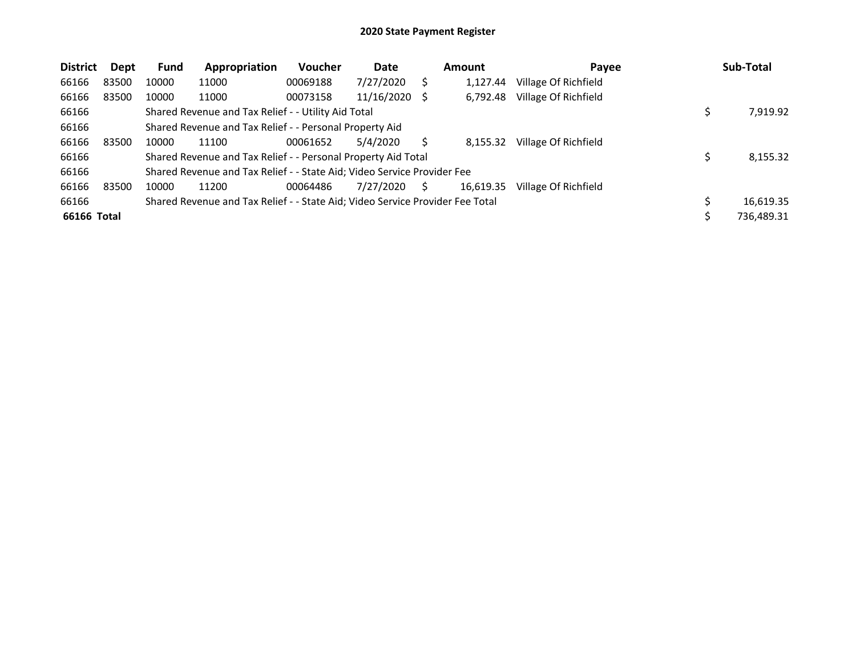| <b>District</b> | Dept  | <b>Fund</b> | Appropriation                                                                 | Voucher  | Date       |     | <b>Amount</b> | Payee                | Sub-Total  |
|-----------------|-------|-------------|-------------------------------------------------------------------------------|----------|------------|-----|---------------|----------------------|------------|
| 66166           | 83500 | 10000       | 11000                                                                         | 00069188 | 7/27/2020  |     | 1,127.44      | Village Of Richfield |            |
| 66166           | 83500 | 10000       | 11000                                                                         | 00073158 | 11/16/2020 | - S | 6,792.48      | Village Of Richfield |            |
| 66166           |       |             | Shared Revenue and Tax Relief - - Utility Aid Total                           |          |            |     |               |                      | 7,919.92   |
| 66166           |       |             | Shared Revenue and Tax Relief - - Personal Property Aid                       |          |            |     |               |                      |            |
| 66166           | 83500 | 10000       | 11100                                                                         | 00061652 | 5/4/2020   |     | 8,155.32      | Village Of Richfield |            |
| 66166           |       |             | Shared Revenue and Tax Relief - - Personal Property Aid Total                 |          |            |     |               |                      | 8,155.32   |
| 66166           |       |             | Shared Revenue and Tax Relief - - State Aid; Video Service Provider Fee       |          |            |     |               |                      |            |
| 66166           | 83500 | 10000       | 11200                                                                         | 00064486 | 7/27/2020  | S   | 16,619.35     | Village Of Richfield |            |
| 66166           |       |             | Shared Revenue and Tax Relief - - State Aid; Video Service Provider Fee Total |          |            |     |               |                      | 16,619.35  |
| 66166 Total     |       |             |                                                                               |          |            |     |               |                      | 736,489.31 |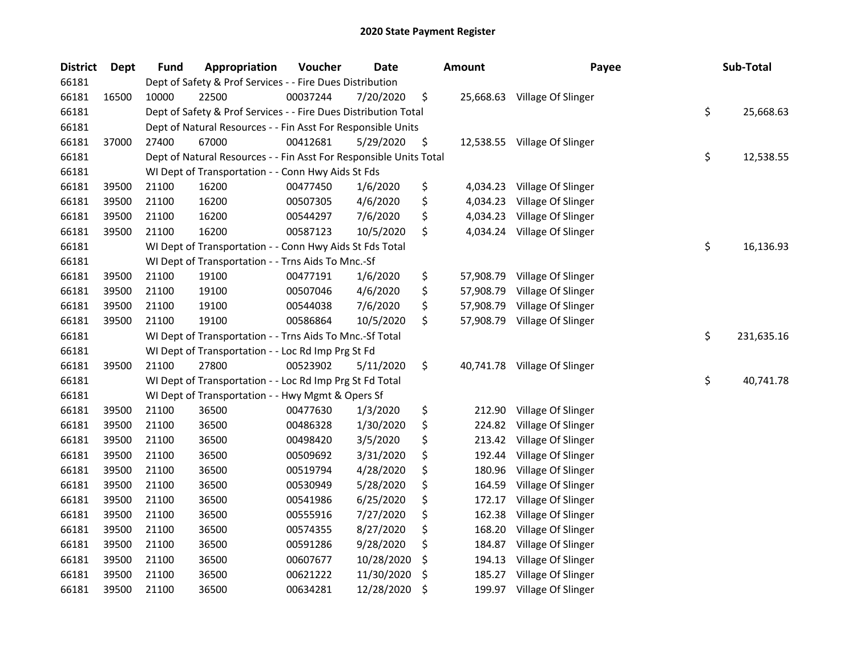| <b>District</b> | Dept  | <b>Fund</b> | Appropriation                                                      | Voucher  | <b>Date</b> | Amount          | Payee                        | Sub-Total        |
|-----------------|-------|-------------|--------------------------------------------------------------------|----------|-------------|-----------------|------------------------------|------------------|
| 66181           |       |             | Dept of Safety & Prof Services - - Fire Dues Distribution          |          |             |                 |                              |                  |
| 66181           | 16500 | 10000       | 22500                                                              | 00037244 | 7/20/2020   | \$<br>25,668.63 | Village Of Slinger           |                  |
| 66181           |       |             | Dept of Safety & Prof Services - - Fire Dues Distribution Total    |          |             |                 |                              | \$<br>25,668.63  |
| 66181           |       |             | Dept of Natural Resources - - Fin Asst For Responsible Units       |          |             |                 |                              |                  |
| 66181           | 37000 | 27400       | 67000                                                              | 00412681 | 5/29/2020   | \$              | 12,538.55 Village Of Slinger |                  |
| 66181           |       |             | Dept of Natural Resources - - Fin Asst For Responsible Units Total |          |             |                 |                              | \$<br>12,538.55  |
| 66181           |       |             | WI Dept of Transportation - - Conn Hwy Aids St Fds                 |          |             |                 |                              |                  |
| 66181           | 39500 | 21100       | 16200                                                              | 00477450 | 1/6/2020    | \$<br>4,034.23  | Village Of Slinger           |                  |
| 66181           | 39500 | 21100       | 16200                                                              | 00507305 | 4/6/2020    | \$<br>4,034.23  | Village Of Slinger           |                  |
| 66181           | 39500 | 21100       | 16200                                                              | 00544297 | 7/6/2020    | \$<br>4,034.23  | Village Of Slinger           |                  |
| 66181           | 39500 | 21100       | 16200                                                              | 00587123 | 10/5/2020   | \$<br>4,034.24  | Village Of Slinger           |                  |
| 66181           |       |             | WI Dept of Transportation - - Conn Hwy Aids St Fds Total           |          |             |                 |                              | \$<br>16,136.93  |
| 66181           |       |             | WI Dept of Transportation - - Trns Aids To Mnc.-Sf                 |          |             |                 |                              |                  |
| 66181           | 39500 | 21100       | 19100                                                              | 00477191 | 1/6/2020    | \$<br>57,908.79 | Village Of Slinger           |                  |
| 66181           | 39500 | 21100       | 19100                                                              | 00507046 | 4/6/2020    | \$<br>57,908.79 | Village Of Slinger           |                  |
| 66181           | 39500 | 21100       | 19100                                                              | 00544038 | 7/6/2020    | \$<br>57,908.79 | Village Of Slinger           |                  |
| 66181           | 39500 | 21100       | 19100                                                              | 00586864 | 10/5/2020   | \$<br>57,908.79 | Village Of Slinger           |                  |
| 66181           |       |             | WI Dept of Transportation - - Trns Aids To Mnc.-Sf Total           |          |             |                 |                              | \$<br>231,635.16 |
| 66181           |       |             | WI Dept of Transportation - - Loc Rd Imp Prg St Fd                 |          |             |                 |                              |                  |
| 66181           | 39500 | 21100       | 27800                                                              | 00523902 | 5/11/2020   | \$<br>40,741.78 | Village Of Slinger           |                  |
| 66181           |       |             | WI Dept of Transportation - - Loc Rd Imp Prg St Fd Total           |          |             |                 |                              | \$<br>40,741.78  |
| 66181           |       |             | WI Dept of Transportation - - Hwy Mgmt & Opers Sf                  |          |             |                 |                              |                  |
| 66181           | 39500 | 21100       | 36500                                                              | 00477630 | 1/3/2020    | \$<br>212.90    | Village Of Slinger           |                  |
| 66181           | 39500 | 21100       | 36500                                                              | 00486328 | 1/30/2020   | \$<br>224.82    | Village Of Slinger           |                  |
| 66181           | 39500 | 21100       | 36500                                                              | 00498420 | 3/5/2020    | \$<br>213.42    | Village Of Slinger           |                  |
| 66181           | 39500 | 21100       | 36500                                                              | 00509692 | 3/31/2020   | \$<br>192.44    | Village Of Slinger           |                  |
| 66181           | 39500 | 21100       | 36500                                                              | 00519794 | 4/28/2020   | \$<br>180.96    | Village Of Slinger           |                  |
| 66181           | 39500 | 21100       | 36500                                                              | 00530949 | 5/28/2020   | \$<br>164.59    | Village Of Slinger           |                  |
| 66181           | 39500 | 21100       | 36500                                                              | 00541986 | 6/25/2020   | \$<br>172.17    | Village Of Slinger           |                  |
| 66181           | 39500 | 21100       | 36500                                                              | 00555916 | 7/27/2020   | \$<br>162.38    | Village Of Slinger           |                  |
| 66181           | 39500 | 21100       | 36500                                                              | 00574355 | 8/27/2020   | \$<br>168.20    | Village Of Slinger           |                  |
| 66181           | 39500 | 21100       | 36500                                                              | 00591286 | 9/28/2020   | \$<br>184.87    | Village Of Slinger           |                  |
| 66181           | 39500 | 21100       | 36500                                                              | 00607677 | 10/28/2020  | \$<br>194.13    | Village Of Slinger           |                  |
| 66181           | 39500 | 21100       | 36500                                                              | 00621222 | 11/30/2020  | \$<br>185.27    | Village Of Slinger           |                  |
| 66181           | 39500 | 21100       | 36500                                                              | 00634281 | 12/28/2020  | \$<br>199.97    | Village Of Slinger           |                  |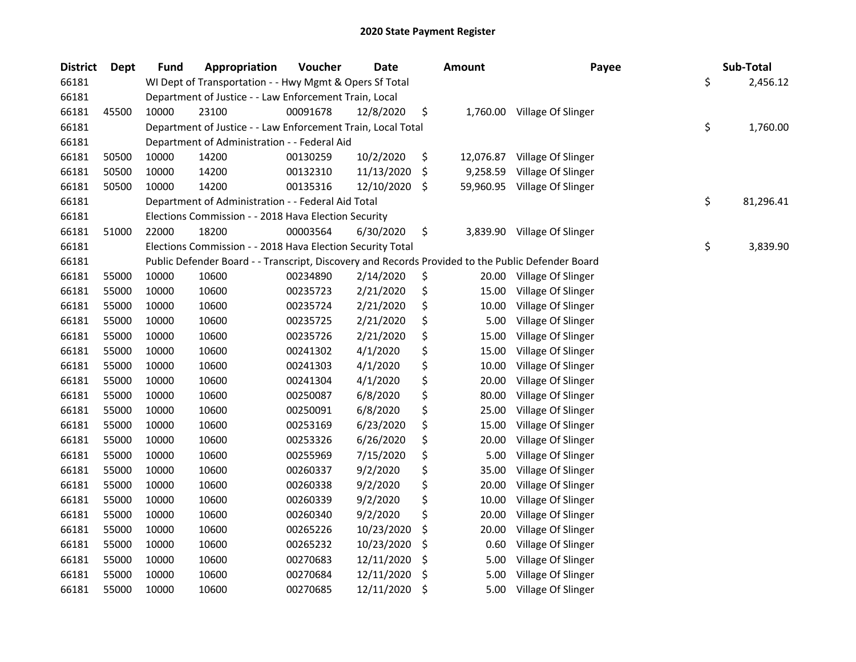| <b>District</b> | Dept  | <b>Fund</b> | Appropriation                                                | Voucher  | <b>Date</b> |     | <b>Amount</b> | Payee                                                                                             | Sub-Total       |
|-----------------|-------|-------------|--------------------------------------------------------------|----------|-------------|-----|---------------|---------------------------------------------------------------------------------------------------|-----------------|
| 66181           |       |             | WI Dept of Transportation - - Hwy Mgmt & Opers Sf Total      |          |             |     |               |                                                                                                   | \$<br>2,456.12  |
| 66181           |       |             | Department of Justice - - Law Enforcement Train, Local       |          |             |     |               |                                                                                                   |                 |
| 66181           | 45500 | 10000       | 23100                                                        | 00091678 | 12/8/2020   | \$  | 1,760.00      | Village Of Slinger                                                                                |                 |
| 66181           |       |             | Department of Justice - - Law Enforcement Train, Local Total |          |             |     |               |                                                                                                   | \$<br>1,760.00  |
| 66181           |       |             | Department of Administration - - Federal Aid                 |          |             |     |               |                                                                                                   |                 |
| 66181           | 50500 | 10000       | 14200                                                        | 00130259 | 10/2/2020   | \$  | 12,076.87     | Village Of Slinger                                                                                |                 |
| 66181           | 50500 | 10000       | 14200                                                        | 00132310 | 11/13/2020  | -\$ | 9,258.59      | Village Of Slinger                                                                                |                 |
| 66181           | 50500 | 10000       | 14200                                                        | 00135316 | 12/10/2020  | \$  |               | 59,960.95 Village Of Slinger                                                                      |                 |
| 66181           |       |             | Department of Administration - - Federal Aid Total           |          |             |     |               |                                                                                                   | \$<br>81,296.41 |
| 66181           |       |             | Elections Commission - - 2018 Hava Election Security         |          |             |     |               |                                                                                                   |                 |
| 66181           | 51000 | 22000       | 18200                                                        | 00003564 | 6/30/2020   | \$  | 3,839.90      | Village Of Slinger                                                                                |                 |
| 66181           |       |             | Elections Commission - - 2018 Hava Election Security Total   |          |             |     |               |                                                                                                   | \$<br>3,839.90  |
| 66181           |       |             |                                                              |          |             |     |               | Public Defender Board - - Transcript, Discovery and Records Provided to the Public Defender Board |                 |
| 66181           | 55000 | 10000       | 10600                                                        | 00234890 | 2/14/2020   | \$  | 20.00         | Village Of Slinger                                                                                |                 |
| 66181           | 55000 | 10000       | 10600                                                        | 00235723 | 2/21/2020   | \$  | 15.00         | Village Of Slinger                                                                                |                 |
| 66181           | 55000 | 10000       | 10600                                                        | 00235724 | 2/21/2020   | \$  | 10.00         | Village Of Slinger                                                                                |                 |
| 66181           | 55000 | 10000       | 10600                                                        | 00235725 | 2/21/2020   | \$  | 5.00          | Village Of Slinger                                                                                |                 |
| 66181           | 55000 | 10000       | 10600                                                        | 00235726 | 2/21/2020   | \$  | 15.00         | Village Of Slinger                                                                                |                 |
| 66181           | 55000 | 10000       | 10600                                                        | 00241302 | 4/1/2020    | \$  | 15.00         | Village Of Slinger                                                                                |                 |
| 66181           | 55000 | 10000       | 10600                                                        | 00241303 | 4/1/2020    | \$  | 10.00         | Village Of Slinger                                                                                |                 |
| 66181           | 55000 | 10000       | 10600                                                        | 00241304 | 4/1/2020    | \$  | 20.00         | Village Of Slinger                                                                                |                 |
| 66181           | 55000 | 10000       | 10600                                                        | 00250087 | 6/8/2020    | \$  | 80.00         | Village Of Slinger                                                                                |                 |
| 66181           | 55000 | 10000       | 10600                                                        | 00250091 | 6/8/2020    | \$  | 25.00         | Village Of Slinger                                                                                |                 |
| 66181           | 55000 | 10000       | 10600                                                        | 00253169 | 6/23/2020   | \$  | 15.00         | Village Of Slinger                                                                                |                 |
| 66181           | 55000 | 10000       | 10600                                                        | 00253326 | 6/26/2020   | \$  | 20.00         | Village Of Slinger                                                                                |                 |
| 66181           | 55000 | 10000       | 10600                                                        | 00255969 | 7/15/2020   | \$  | 5.00          | Village Of Slinger                                                                                |                 |
| 66181           | 55000 | 10000       | 10600                                                        | 00260337 | 9/2/2020    | \$  | 35.00         | Village Of Slinger                                                                                |                 |
| 66181           | 55000 | 10000       | 10600                                                        | 00260338 | 9/2/2020    | \$  | 20.00         | Village Of Slinger                                                                                |                 |
| 66181           | 55000 | 10000       | 10600                                                        | 00260339 | 9/2/2020    | \$  | 10.00         | Village Of Slinger                                                                                |                 |
| 66181           | 55000 | 10000       | 10600                                                        | 00260340 | 9/2/2020    | \$  | 20.00         | Village Of Slinger                                                                                |                 |
| 66181           | 55000 | 10000       | 10600                                                        | 00265226 | 10/23/2020  | \$  | 20.00         | Village Of Slinger                                                                                |                 |
| 66181           | 55000 | 10000       | 10600                                                        | 00265232 | 10/23/2020  | \$  | 0.60          | Village Of Slinger                                                                                |                 |
| 66181           | 55000 | 10000       | 10600                                                        | 00270683 | 12/11/2020  | \$  | 5.00          | Village Of Slinger                                                                                |                 |
| 66181           | 55000 | 10000       | 10600                                                        | 00270684 | 12/11/2020  | \$  | 5.00          | Village Of Slinger                                                                                |                 |
| 66181           | 55000 | 10000       | 10600                                                        | 00270685 | 12/11/2020  | \$  | 5.00          | Village Of Slinger                                                                                |                 |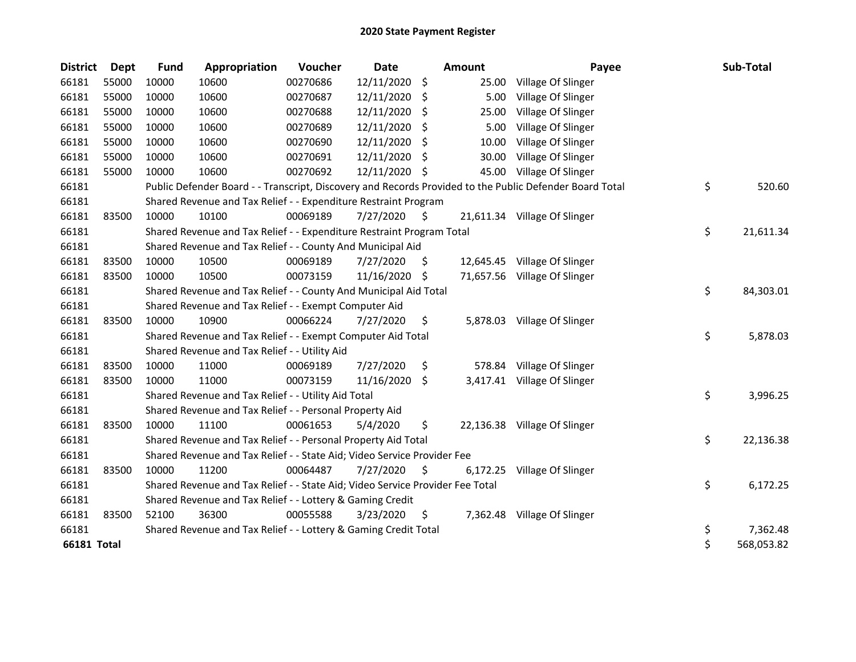| <b>District</b>    | <b>Dept</b> | <b>Fund</b> | Appropriation                                                                 | Voucher  | <b>Date</b> |     | Amount   | Payee                                                                                                   | Sub-Total        |
|--------------------|-------------|-------------|-------------------------------------------------------------------------------|----------|-------------|-----|----------|---------------------------------------------------------------------------------------------------------|------------------|
| 66181              | 55000       | 10000       | 10600                                                                         | 00270686 | 12/11/2020  | \$  | 25.00    | Village Of Slinger                                                                                      |                  |
| 66181              | 55000       | 10000       | 10600                                                                         | 00270687 | 12/11/2020  | -S  | 5.00     | Village Of Slinger                                                                                      |                  |
| 66181              | 55000       | 10000       | 10600                                                                         | 00270688 | 12/11/2020  | \$  | 25.00    | Village Of Slinger                                                                                      |                  |
| 66181              | 55000       | 10000       | 10600                                                                         | 00270689 | 12/11/2020  | Ŝ.  | 5.00     | Village Of Slinger                                                                                      |                  |
| 66181              | 55000       | 10000       | 10600                                                                         | 00270690 | 12/11/2020  | S   | 10.00    | Village Of Slinger                                                                                      |                  |
| 66181              | 55000       | 10000       | 10600                                                                         | 00270691 | 12/11/2020  | S   | 30.00    | Village Of Slinger                                                                                      |                  |
| 66181              | 55000       | 10000       | 10600                                                                         | 00270692 | 12/11/2020  | -\$ | 45.00    | Village Of Slinger                                                                                      |                  |
| 66181              |             |             |                                                                               |          |             |     |          | Public Defender Board - - Transcript, Discovery and Records Provided to the Public Defender Board Total | \$<br>520.60     |
| 66181              |             |             | Shared Revenue and Tax Relief - - Expenditure Restraint Program               |          |             |     |          |                                                                                                         |                  |
| 66181              | 83500       | 10000       | 10100                                                                         | 00069189 | 7/27/2020   | \$. |          | 21,611.34 Village Of Slinger                                                                            |                  |
| 66181              |             |             | Shared Revenue and Tax Relief - - Expenditure Restraint Program Total         |          |             |     |          |                                                                                                         | \$<br>21,611.34  |
| 66181              |             |             | Shared Revenue and Tax Relief - - County And Municipal Aid                    |          |             |     |          |                                                                                                         |                  |
| 66181              | 83500       | 10000       | 10500                                                                         | 00069189 | 7/27/2020   | S   |          | 12,645.45 Village Of Slinger                                                                            |                  |
| 66181              | 83500       | 10000       | 10500                                                                         | 00073159 | 11/16/2020  | -S  |          | 71,657.56 Village Of Slinger                                                                            |                  |
| 66181              |             |             | Shared Revenue and Tax Relief - - County And Municipal Aid Total              |          |             |     |          |                                                                                                         | \$<br>84,303.01  |
| 66181              |             |             | Shared Revenue and Tax Relief - - Exempt Computer Aid                         |          |             |     |          |                                                                                                         |                  |
| 66181              | 83500       | 10000       | 10900                                                                         | 00066224 | 7/27/2020   | \$  |          | 5,878.03 Village Of Slinger                                                                             |                  |
| 66181              |             |             | Shared Revenue and Tax Relief - - Exempt Computer Aid Total                   |          |             |     |          |                                                                                                         | \$<br>5,878.03   |
| 66181              |             |             | Shared Revenue and Tax Relief - - Utility Aid                                 |          |             |     |          |                                                                                                         |                  |
| 66181              | 83500       | 10000       | 11000                                                                         | 00069189 | 7/27/2020   | \$  | 578.84   | Village Of Slinger                                                                                      |                  |
| 66181              | 83500       | 10000       | 11000                                                                         | 00073159 | 11/16/2020  | -S  | 3,417.41 | Village Of Slinger                                                                                      |                  |
| 66181              |             |             | Shared Revenue and Tax Relief - - Utility Aid Total                           |          |             |     |          |                                                                                                         | \$<br>3,996.25   |
| 66181              |             |             | Shared Revenue and Tax Relief - - Personal Property Aid                       |          |             |     |          |                                                                                                         |                  |
| 66181              | 83500       | 10000       | 11100                                                                         | 00061653 | 5/4/2020    | \$  |          | 22,136.38 Village Of Slinger                                                                            |                  |
| 66181              |             |             | Shared Revenue and Tax Relief - - Personal Property Aid Total                 |          |             |     |          |                                                                                                         | \$<br>22,136.38  |
| 66181              |             |             | Shared Revenue and Tax Relief - - State Aid; Video Service Provider Fee       |          |             |     |          |                                                                                                         |                  |
| 66181              | 83500       | 10000       | 11200                                                                         | 00064487 | 7/27/2020   | \$  | 6,172.25 | Village Of Slinger                                                                                      |                  |
| 66181              |             |             | Shared Revenue and Tax Relief - - State Aid; Video Service Provider Fee Total |          |             |     |          |                                                                                                         | \$<br>6,172.25   |
| 66181              |             |             | Shared Revenue and Tax Relief - - Lottery & Gaming Credit                     |          |             |     |          |                                                                                                         |                  |
| 66181              | 83500       | 52100       | 36300                                                                         | 00055588 | 3/23/2020   | \$  |          | 7,362.48 Village Of Slinger                                                                             |                  |
| 66181              |             |             | Shared Revenue and Tax Relief - - Lottery & Gaming Credit Total               |          |             |     |          |                                                                                                         | \$<br>7,362.48   |
| <b>66181 Total</b> |             |             |                                                                               |          |             |     |          |                                                                                                         | \$<br>568,053.82 |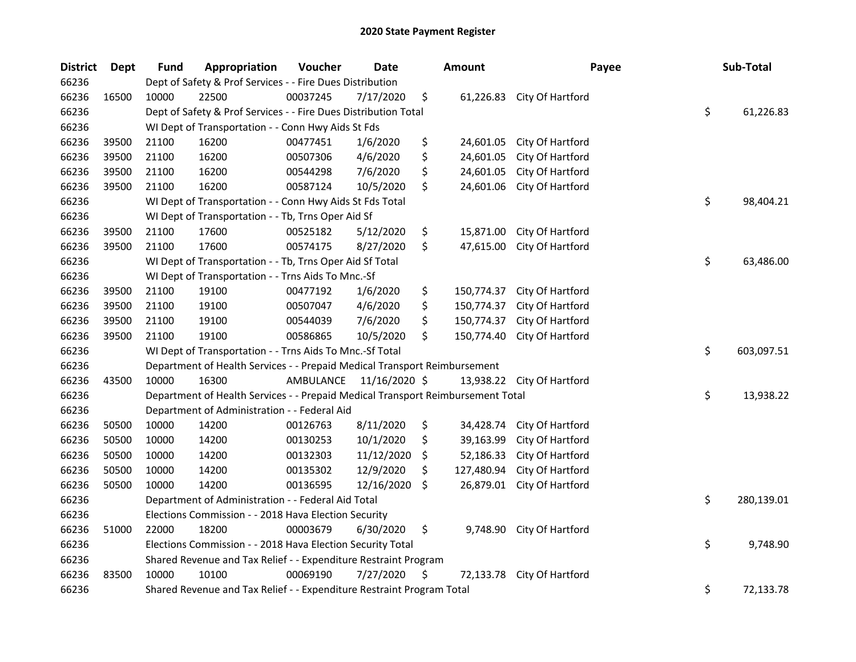| <b>District</b> | <b>Dept</b> | <b>Fund</b> | Appropriation                                                                   | Voucher   | <b>Date</b>   |    | <b>Amount</b> | Payee                      | Sub-Total        |
|-----------------|-------------|-------------|---------------------------------------------------------------------------------|-----------|---------------|----|---------------|----------------------------|------------------|
| 66236           |             |             | Dept of Safety & Prof Services - - Fire Dues Distribution                       |           |               |    |               |                            |                  |
| 66236           | 16500       | 10000       | 22500                                                                           | 00037245  | 7/17/2020     | \$ | 61,226.83     | City Of Hartford           |                  |
| 66236           |             |             | Dept of Safety & Prof Services - - Fire Dues Distribution Total                 |           |               |    |               |                            | \$<br>61,226.83  |
| 66236           |             |             | WI Dept of Transportation - - Conn Hwy Aids St Fds                              |           |               |    |               |                            |                  |
| 66236           | 39500       | 21100       | 16200                                                                           | 00477451  | 1/6/2020      | \$ | 24,601.05     | City Of Hartford           |                  |
| 66236           | 39500       | 21100       | 16200                                                                           | 00507306  | 4/6/2020      | \$ | 24,601.05     | City Of Hartford           |                  |
| 66236           | 39500       | 21100       | 16200                                                                           | 00544298  | 7/6/2020      | \$ | 24,601.05     | City Of Hartford           |                  |
| 66236           | 39500       | 21100       | 16200                                                                           | 00587124  | 10/5/2020     | \$ | 24,601.06     | City Of Hartford           |                  |
| 66236           |             |             | WI Dept of Transportation - - Conn Hwy Aids St Fds Total                        |           |               |    |               |                            | \$<br>98,404.21  |
| 66236           |             |             | WI Dept of Transportation - - Tb, Trns Oper Aid Sf                              |           |               |    |               |                            |                  |
| 66236           | 39500       | 21100       | 17600                                                                           | 00525182  | 5/12/2020     | \$ | 15,871.00     | City Of Hartford           |                  |
| 66236           | 39500       | 21100       | 17600                                                                           | 00574175  | 8/27/2020     | \$ | 47,615.00     | City Of Hartford           |                  |
| 66236           |             |             | WI Dept of Transportation - - Tb, Trns Oper Aid Sf Total                        |           |               |    |               |                            | \$<br>63,486.00  |
| 66236           |             |             | WI Dept of Transportation - - Trns Aids To Mnc.-Sf                              |           |               |    |               |                            |                  |
| 66236           | 39500       | 21100       | 19100                                                                           | 00477192  | 1/6/2020      | \$ | 150,774.37    | City Of Hartford           |                  |
| 66236           | 39500       | 21100       | 19100                                                                           | 00507047  | 4/6/2020      | \$ | 150,774.37    | City Of Hartford           |                  |
| 66236           | 39500       | 21100       | 19100                                                                           | 00544039  | 7/6/2020      | \$ | 150,774.37    | City Of Hartford           |                  |
| 66236           | 39500       | 21100       | 19100                                                                           | 00586865  | 10/5/2020     | \$ | 150,774.40    | City Of Hartford           |                  |
| 66236           |             |             | WI Dept of Transportation - - Trns Aids To Mnc.-Sf Total                        |           |               |    |               |                            | \$<br>603,097.51 |
| 66236           |             |             | Department of Health Services - - Prepaid Medical Transport Reimbursement       |           |               |    |               |                            |                  |
| 66236           | 43500       | 10000       | 16300                                                                           | AMBULANCE | 11/16/2020 \$ |    |               | 13,938.22 City Of Hartford |                  |
| 66236           |             |             | Department of Health Services - - Prepaid Medical Transport Reimbursement Total |           |               |    |               |                            | \$<br>13,938.22  |
| 66236           |             |             | Department of Administration - - Federal Aid                                    |           |               |    |               |                            |                  |
| 66236           | 50500       | 10000       | 14200                                                                           | 00126763  | 8/11/2020     | \$ | 34,428.74     | City Of Hartford           |                  |
| 66236           | 50500       | 10000       | 14200                                                                           | 00130253  | 10/1/2020     | \$ | 39,163.99     | City Of Hartford           |                  |
| 66236           | 50500       | 10000       | 14200                                                                           | 00132303  | 11/12/2020    | S  | 52,186.33     | City Of Hartford           |                  |
| 66236           | 50500       | 10000       | 14200                                                                           | 00135302  | 12/9/2020     | \$ | 127,480.94    | City Of Hartford           |                  |
| 66236           | 50500       | 10000       | 14200                                                                           | 00136595  | 12/16/2020    | \$ | 26,879.01     | City Of Hartford           |                  |
| 66236           |             |             | Department of Administration - - Federal Aid Total                              |           |               |    |               |                            | \$<br>280,139.01 |
| 66236           |             |             | Elections Commission - - 2018 Hava Election Security                            |           |               |    |               |                            |                  |
| 66236           | 51000       | 22000       | 18200                                                                           | 00003679  | 6/30/2020     | \$ | 9,748.90      | City Of Hartford           |                  |
| 66236           |             |             | Elections Commission - - 2018 Hava Election Security Total                      |           |               |    |               |                            | \$<br>9,748.90   |
| 66236           |             |             | Shared Revenue and Tax Relief - - Expenditure Restraint Program                 |           |               |    |               |                            |                  |
| 66236           | 83500       | 10000       | 10100                                                                           | 00069190  | 7/27/2020     | \$ | 72,133.78     | City Of Hartford           |                  |
| 66236           |             |             | Shared Revenue and Tax Relief - - Expenditure Restraint Program Total           |           |               |    |               |                            | \$<br>72,133.78  |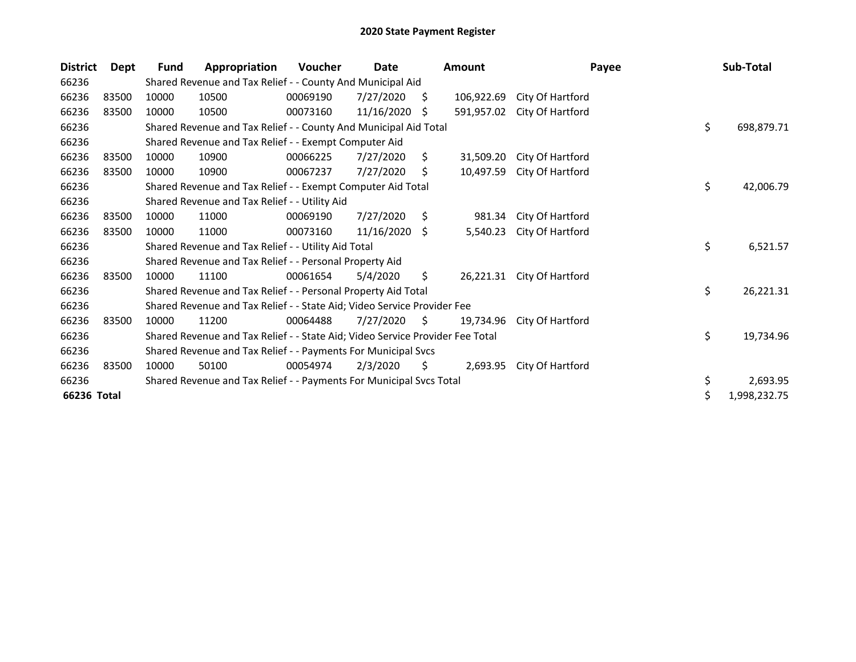| <b>District</b> | Dept  | Fund  | Appropriation                                                                 | Voucher  | Date       |     | <b>Amount</b> | Payee            | Sub-Total          |
|-----------------|-------|-------|-------------------------------------------------------------------------------|----------|------------|-----|---------------|------------------|--------------------|
| 66236           |       |       | Shared Revenue and Tax Relief - - County And Municipal Aid                    |          |            |     |               |                  |                    |
| 66236           | 83500 | 10000 | 10500                                                                         | 00069190 | 7/27/2020  | S.  | 106,922.69    | City Of Hartford |                    |
| 66236           | 83500 | 10000 | 10500                                                                         | 00073160 | 11/16/2020 | S   | 591,957.02    | City Of Hartford |                    |
| 66236           |       |       | Shared Revenue and Tax Relief - - County And Municipal Aid Total              |          |            |     |               |                  | \$<br>698,879.71   |
| 66236           |       |       | Shared Revenue and Tax Relief - - Exempt Computer Aid                         |          |            |     |               |                  |                    |
| 66236           | 83500 | 10000 | 10900                                                                         | 00066225 | 7/27/2020  | \$. | 31,509.20     | City Of Hartford |                    |
| 66236           | 83500 | 10000 | 10900                                                                         | 00067237 | 7/27/2020  | \$  | 10,497.59     | City Of Hartford |                    |
| 66236           |       |       | Shared Revenue and Tax Relief - - Exempt Computer Aid Total                   |          |            |     |               |                  | \$<br>42,006.79    |
| 66236           |       |       | Shared Revenue and Tax Relief - - Utility Aid                                 |          |            |     |               |                  |                    |
| 66236           | 83500 | 10000 | 11000                                                                         | 00069190 | 7/27/2020  | Ŝ.  | 981.34        | City Of Hartford |                    |
| 66236           | 83500 | 10000 | 11000                                                                         | 00073160 | 11/16/2020 | S.  | 5,540.23      | City Of Hartford |                    |
| 66236           |       |       | Shared Revenue and Tax Relief - - Utility Aid Total                           |          |            |     |               |                  | \$<br>6,521.57     |
| 66236           |       |       | Shared Revenue and Tax Relief - - Personal Property Aid                       |          |            |     |               |                  |                    |
| 66236           | 83500 | 10000 | 11100                                                                         | 00061654 | 5/4/2020   | \$  | 26,221.31     | City Of Hartford |                    |
| 66236           |       |       | Shared Revenue and Tax Relief - - Personal Property Aid Total                 |          |            |     |               |                  | \$<br>26,221.31    |
| 66236           |       |       | Shared Revenue and Tax Relief - - State Aid; Video Service Provider Fee       |          |            |     |               |                  |                    |
| 66236           | 83500 | 10000 | 11200                                                                         | 00064488 | 7/27/2020  | S.  | 19.734.96     | City Of Hartford |                    |
| 66236           |       |       | Shared Revenue and Tax Relief - - State Aid; Video Service Provider Fee Total |          |            |     |               |                  | \$<br>19,734.96    |
| 66236           |       |       | Shared Revenue and Tax Relief - - Payments For Municipal Svcs                 |          |            |     |               |                  |                    |
| 66236           | 83500 | 10000 | 50100                                                                         | 00054974 | 2/3/2020   | \$  | 2,693.95      | City Of Hartford |                    |
| 66236           |       |       | Shared Revenue and Tax Relief - - Payments For Municipal Svcs Total           |          |            |     |               |                  | \$<br>2,693.95     |
| 66236 Total     |       |       |                                                                               |          |            |     |               |                  | \$<br>1,998,232.75 |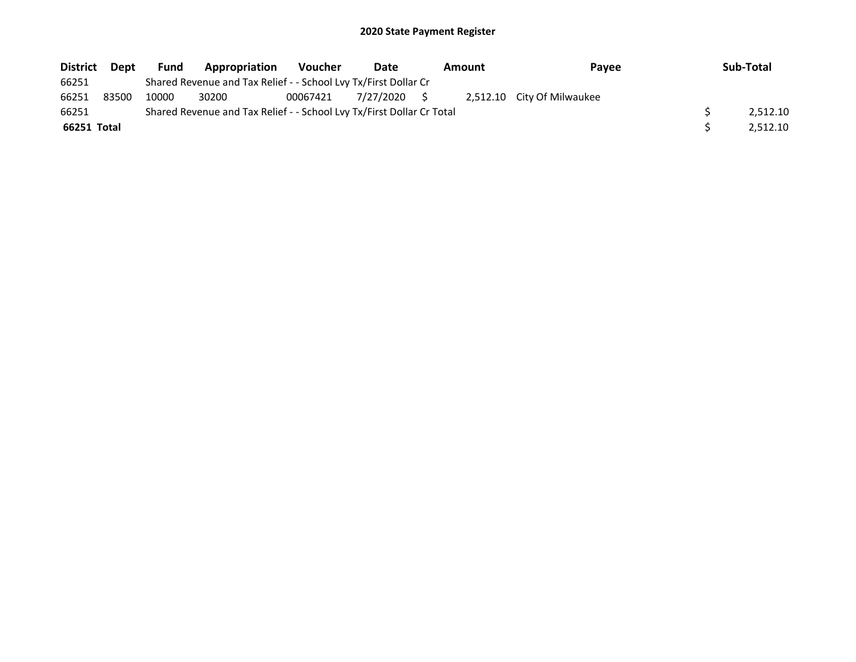| <b>District</b> | Dept  | <b>Fund</b> | <b>Appropriation</b>                                                  | Voucher  | Date         | <b>Amount</b> | Pavee                      | Sub-Total |
|-----------------|-------|-------------|-----------------------------------------------------------------------|----------|--------------|---------------|----------------------------|-----------|
| 66251           |       |             | Shared Revenue and Tax Relief - - School Lvy Tx/First Dollar Cr       |          |              |               |                            |           |
| 66251           | 83500 | 10000       | 30200                                                                 | 00067421 | 7/27/2020 \$ |               | 2,512.10 City Of Milwaukee |           |
| 66251           |       |             | Shared Revenue and Tax Relief - - School Lvy Tx/First Dollar Cr Total |          |              |               |                            | 2.512.10  |
| 66251 Total     |       |             |                                                                       |          |              |               |                            | 2.512.10  |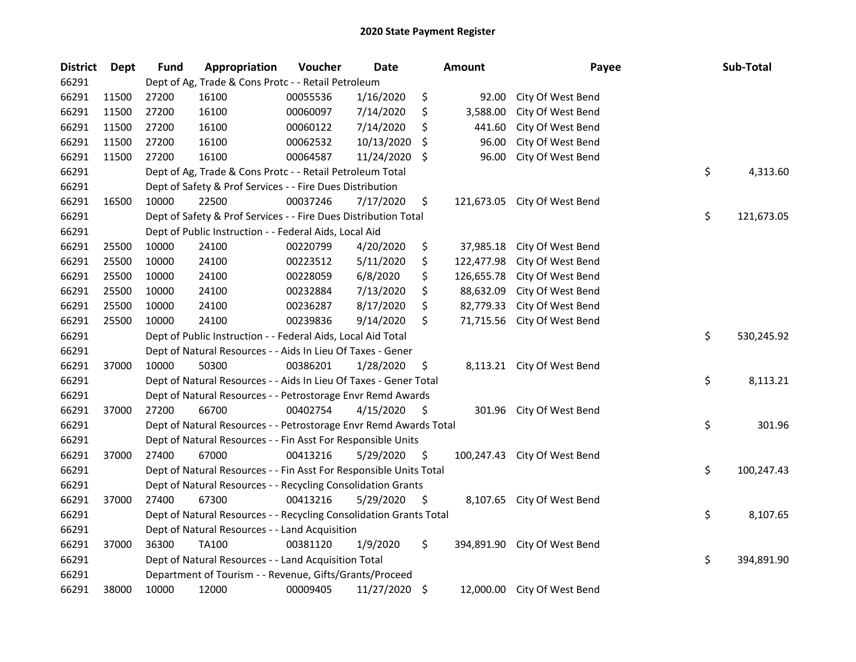| <b>District</b> | Dept  | <b>Fund</b> | Appropriation                                                      | Voucher  | <b>Date</b>   |     | <b>Amount</b> | Payee                        | Sub-Total        |
|-----------------|-------|-------------|--------------------------------------------------------------------|----------|---------------|-----|---------------|------------------------------|------------------|
| 66291           |       |             | Dept of Ag, Trade & Cons Protc - - Retail Petroleum                |          |               |     |               |                              |                  |
| 66291           | 11500 | 27200       | 16100                                                              | 00055536 | 1/16/2020     | \$  | 92.00         | City Of West Bend            |                  |
| 66291           | 11500 | 27200       | 16100                                                              | 00060097 | 7/14/2020     | \$  | 3,588.00      | City Of West Bend            |                  |
| 66291           | 11500 | 27200       | 16100                                                              | 00060122 | 7/14/2020     | \$  | 441.60        | City Of West Bend            |                  |
| 66291           | 11500 | 27200       | 16100                                                              | 00062532 | 10/13/2020    | S   | 96.00         | City Of West Bend            |                  |
| 66291           | 11500 | 27200       | 16100                                                              | 00064587 | 11/24/2020    | \$  | 96.00         | City Of West Bend            |                  |
| 66291           |       |             | Dept of Ag, Trade & Cons Protc - - Retail Petroleum Total          |          |               |     |               |                              | \$<br>4,313.60   |
| 66291           |       |             | Dept of Safety & Prof Services - - Fire Dues Distribution          |          |               |     |               |                              |                  |
| 66291           | 16500 | 10000       | 22500                                                              | 00037246 | 7/17/2020     | \$  |               | 121,673.05 City Of West Bend |                  |
| 66291           |       |             | Dept of Safety & Prof Services - - Fire Dues Distribution Total    |          |               |     |               |                              | \$<br>121,673.05 |
| 66291           |       |             | Dept of Public Instruction - - Federal Aids, Local Aid             |          |               |     |               |                              |                  |
| 66291           | 25500 | 10000       | 24100                                                              | 00220799 | 4/20/2020     | \$  | 37,985.18     | City Of West Bend            |                  |
| 66291           | 25500 | 10000       | 24100                                                              | 00223512 | 5/11/2020     | \$  | 122,477.98    | City Of West Bend            |                  |
| 66291           | 25500 | 10000       | 24100                                                              | 00228059 | 6/8/2020      | \$  | 126,655.78    | City Of West Bend            |                  |
| 66291           | 25500 | 10000       | 24100                                                              | 00232884 | 7/13/2020     | \$  | 88,632.09     | City Of West Bend            |                  |
| 66291           | 25500 | 10000       | 24100                                                              | 00236287 | 8/17/2020     | \$  | 82,779.33     | City Of West Bend            |                  |
| 66291           | 25500 | 10000       | 24100                                                              | 00239836 | 9/14/2020     | \$  | 71,715.56     | City Of West Bend            |                  |
| 66291           |       |             | Dept of Public Instruction - - Federal Aids, Local Aid Total       |          |               |     |               |                              | \$<br>530,245.92 |
| 66291           |       |             | Dept of Natural Resources - - Aids In Lieu Of Taxes - Gener        |          |               |     |               |                              |                  |
| 66291           | 37000 | 10000       | 50300                                                              | 00386201 | 1/28/2020     | \$  | 8,113.21      | City Of West Bend            |                  |
| 66291           |       |             | Dept of Natural Resources - - Aids In Lieu Of Taxes - Gener Total  |          |               |     |               |                              | \$<br>8,113.21   |
| 66291           |       |             | Dept of Natural Resources - - Petrostorage Envr Remd Awards        |          |               |     |               |                              |                  |
| 66291           | 37000 | 27200       | 66700                                                              | 00402754 | 4/15/2020     | \$  |               | 301.96 City Of West Bend     |                  |
| 66291           |       |             | Dept of Natural Resources - - Petrostorage Envr Remd Awards Total  |          |               |     |               |                              | \$<br>301.96     |
| 66291           |       |             | Dept of Natural Resources - - Fin Asst For Responsible Units       |          |               |     |               |                              |                  |
| 66291           | 37000 | 27400       | 67000                                                              | 00413216 | 5/29/2020     | -\$ |               | 100,247.43 City Of West Bend |                  |
| 66291           |       |             | Dept of Natural Resources - - Fin Asst For Responsible Units Total |          |               |     |               |                              | \$<br>100,247.43 |
| 66291           |       |             | Dept of Natural Resources - - Recycling Consolidation Grants       |          |               |     |               |                              |                  |
| 66291           | 37000 | 27400       | 67300                                                              | 00413216 | 5/29/2020     | \$  |               | 8,107.65 City Of West Bend   |                  |
| 66291           |       |             | Dept of Natural Resources - - Recycling Consolidation Grants Total |          |               |     |               |                              | \$<br>8,107.65   |
| 66291           |       |             | Dept of Natural Resources - - Land Acquisition                     |          |               |     |               |                              |                  |
| 66291           | 37000 | 36300       | <b>TA100</b>                                                       | 00381120 | 1/9/2020      | \$  |               | 394,891.90 City Of West Bend |                  |
| 66291           |       |             | Dept of Natural Resources - - Land Acquisition Total               |          |               |     |               |                              | \$<br>394,891.90 |
| 66291           |       |             | Department of Tourism - - Revenue, Gifts/Grants/Proceed            |          |               |     |               |                              |                  |
| 66291           | 38000 | 10000       | 12000                                                              | 00009405 | 11/27/2020 \$ |     |               | 12,000.00 City Of West Bend  |                  |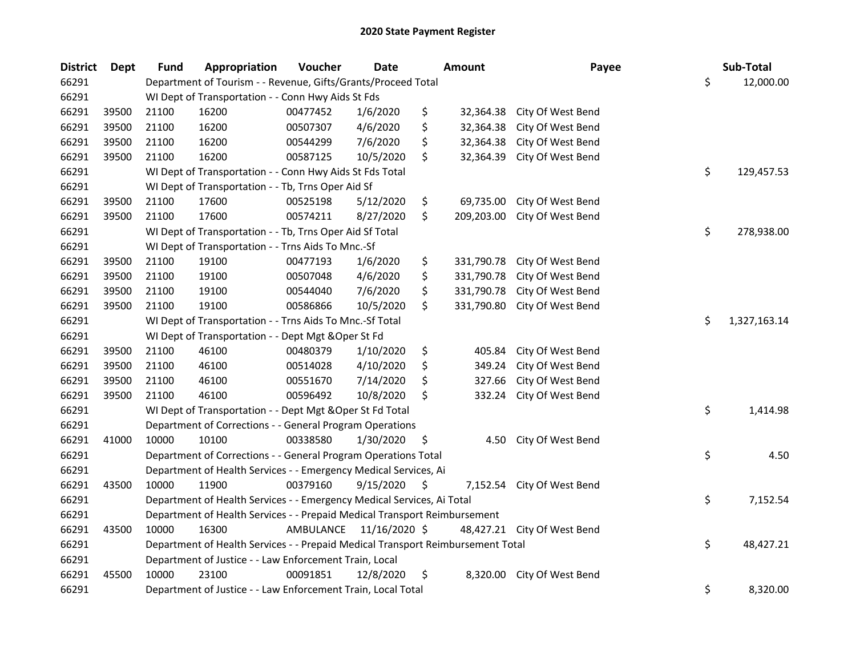| <b>District</b> | <b>Dept</b> | <b>Fund</b> | Appropriation                                                                   | Voucher   | <b>Date</b>   |     | <b>Amount</b> | Payee                       | Sub-Total          |
|-----------------|-------------|-------------|---------------------------------------------------------------------------------|-----------|---------------|-----|---------------|-----------------------------|--------------------|
| 66291           |             |             | Department of Tourism - - Revenue, Gifts/Grants/Proceed Total                   |           |               |     |               |                             | \$<br>12,000.00    |
| 66291           |             |             | WI Dept of Transportation - - Conn Hwy Aids St Fds                              |           |               |     |               |                             |                    |
| 66291           | 39500       | 21100       | 16200                                                                           | 00477452  | 1/6/2020      | \$  | 32,364.38     | City Of West Bend           |                    |
| 66291           | 39500       | 21100       | 16200                                                                           | 00507307  | 4/6/2020      | \$  | 32,364.38     | City Of West Bend           |                    |
| 66291           | 39500       | 21100       | 16200                                                                           | 00544299  | 7/6/2020      | \$  | 32,364.38     | City Of West Bend           |                    |
| 66291           | 39500       | 21100       | 16200                                                                           | 00587125  | 10/5/2020     | \$  | 32,364.39     | City Of West Bend           |                    |
| 66291           |             |             | WI Dept of Transportation - - Conn Hwy Aids St Fds Total                        |           |               |     |               |                             | \$<br>129,457.53   |
| 66291           |             |             | WI Dept of Transportation - - Tb, Trns Oper Aid Sf                              |           |               |     |               |                             |                    |
| 66291           | 39500       | 21100       | 17600                                                                           | 00525198  | 5/12/2020     | \$  | 69,735.00     | City Of West Bend           |                    |
| 66291           | 39500       | 21100       | 17600                                                                           | 00574211  | 8/27/2020     | \$  | 209,203.00    | City Of West Bend           |                    |
| 66291           |             |             | WI Dept of Transportation - - Tb, Trns Oper Aid Sf Total                        |           |               |     |               |                             | \$<br>278,938.00   |
| 66291           |             |             | WI Dept of Transportation - - Trns Aids To Mnc.-Sf                              |           |               |     |               |                             |                    |
| 66291           | 39500       | 21100       | 19100                                                                           | 00477193  | 1/6/2020      | \$  | 331,790.78    | City Of West Bend           |                    |
| 66291           | 39500       | 21100       | 19100                                                                           | 00507048  | 4/6/2020      | \$  | 331,790.78    | City Of West Bend           |                    |
| 66291           | 39500       | 21100       | 19100                                                                           | 00544040  | 7/6/2020      | \$  | 331,790.78    | City Of West Bend           |                    |
| 66291           | 39500       | 21100       | 19100                                                                           | 00586866  | 10/5/2020     | \$  | 331,790.80    | City Of West Bend           |                    |
| 66291           |             |             | WI Dept of Transportation - - Trns Aids To Mnc.-Sf Total                        |           |               |     |               |                             | \$<br>1,327,163.14 |
| 66291           |             |             | WI Dept of Transportation - - Dept Mgt & Oper St Fd                             |           |               |     |               |                             |                    |
| 66291           | 39500       | 21100       | 46100                                                                           | 00480379  | 1/10/2020     | \$  | 405.84        | City Of West Bend           |                    |
| 66291           | 39500       | 21100       | 46100                                                                           | 00514028  | 4/10/2020     | \$  | 349.24        | City Of West Bend           |                    |
| 66291           | 39500       | 21100       | 46100                                                                           | 00551670  | 7/14/2020     | \$  | 327.66        | City Of West Bend           |                    |
| 66291           | 39500       | 21100       | 46100                                                                           | 00596492  | 10/8/2020     | \$  | 332.24        | City Of West Bend           |                    |
| 66291           |             |             | WI Dept of Transportation - - Dept Mgt & Oper St Fd Total                       |           |               |     |               |                             | \$<br>1,414.98     |
| 66291           |             |             | Department of Corrections - - General Program Operations                        |           |               |     |               |                             |                    |
| 66291           | 41000       | 10000       | 10100                                                                           | 00338580  | 1/30/2020     | \$. | 4.50          | City Of West Bend           |                    |
| 66291           |             |             | Department of Corrections - - General Program Operations Total                  |           |               |     |               |                             | \$<br>4.50         |
| 66291           |             |             | Department of Health Services - - Emergency Medical Services, Ai                |           |               |     |               |                             |                    |
| 66291           | 43500       | 10000       | 11900                                                                           | 00379160  | 9/15/2020     | \$  | 7,152.54      | City Of West Bend           |                    |
| 66291           |             |             | Department of Health Services - - Emergency Medical Services, Ai Total          |           |               |     |               |                             | \$<br>7,152.54     |
| 66291           |             |             | Department of Health Services - - Prepaid Medical Transport Reimbursement       |           |               |     |               |                             |                    |
| 66291           | 43500       | 10000       | 16300                                                                           | AMBULANCE | 11/16/2020 \$ |     |               | 48,427.21 City Of West Bend |                    |
| 66291           |             |             | Department of Health Services - - Prepaid Medical Transport Reimbursement Total |           |               |     |               |                             | \$<br>48,427.21    |
| 66291           |             |             | Department of Justice - - Law Enforcement Train, Local                          |           |               |     |               |                             |                    |
| 66291           | 45500       | 10000       | 23100                                                                           | 00091851  | 12/8/2020     | \$  | 8,320.00      | City Of West Bend           |                    |
| 66291           |             |             | Department of Justice - - Law Enforcement Train, Local Total                    |           |               |     |               |                             | \$<br>8,320.00     |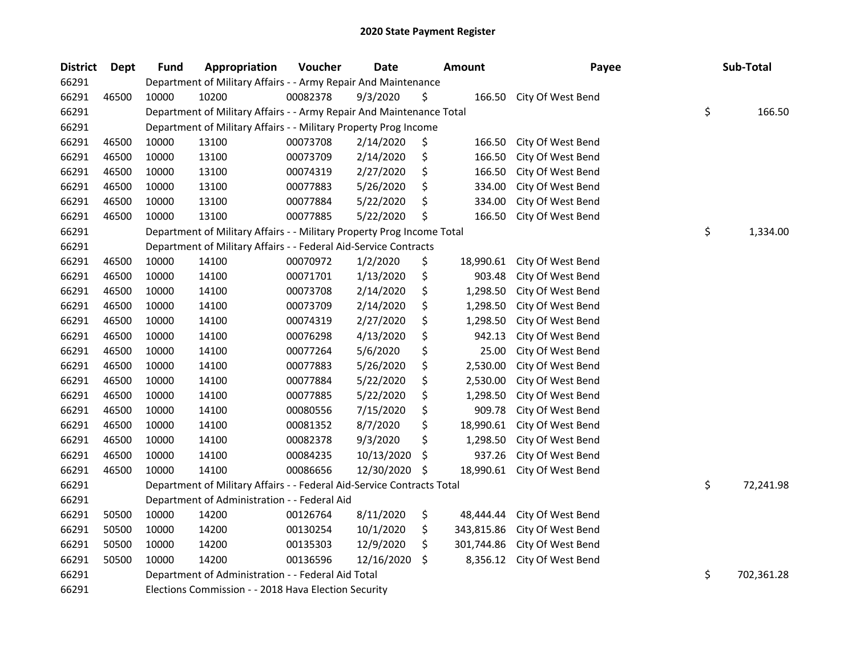| <b>District</b> | Dept  | <b>Fund</b> | Appropriation                                                          | Voucher  | <b>Date</b> |     | <b>Amount</b> | Payee             | Sub-Total        |
|-----------------|-------|-------------|------------------------------------------------------------------------|----------|-------------|-----|---------------|-------------------|------------------|
| 66291           |       |             | Department of Military Affairs - - Army Repair And Maintenance         |          |             |     |               |                   |                  |
| 66291           | 46500 | 10000       | 10200                                                                  | 00082378 | 9/3/2020    | \$  | 166.50        | City Of West Bend |                  |
| 66291           |       |             | Department of Military Affairs - - Army Repair And Maintenance Total   |          |             |     |               |                   | \$<br>166.50     |
| 66291           |       |             | Department of Military Affairs - - Military Property Prog Income       |          |             |     |               |                   |                  |
| 66291           | 46500 | 10000       | 13100                                                                  | 00073708 | 2/14/2020   | \$  | 166.50        | City Of West Bend |                  |
| 66291           | 46500 | 10000       | 13100                                                                  | 00073709 | 2/14/2020   | \$  | 166.50        | City Of West Bend |                  |
| 66291           | 46500 | 10000       | 13100                                                                  | 00074319 | 2/27/2020   | \$  | 166.50        | City Of West Bend |                  |
| 66291           | 46500 | 10000       | 13100                                                                  | 00077883 | 5/26/2020   | \$  | 334.00        | City Of West Bend |                  |
| 66291           | 46500 | 10000       | 13100                                                                  | 00077884 | 5/22/2020   | \$  | 334.00        | City Of West Bend |                  |
| 66291           | 46500 | 10000       | 13100                                                                  | 00077885 | 5/22/2020   | \$  | 166.50        | City Of West Bend |                  |
| 66291           |       |             | Department of Military Affairs - - Military Property Prog Income Total |          |             |     |               |                   | \$<br>1,334.00   |
| 66291           |       |             | Department of Military Affairs - - Federal Aid-Service Contracts       |          |             |     |               |                   |                  |
| 66291           | 46500 | 10000       | 14100                                                                  | 00070972 | 1/2/2020    | \$  | 18,990.61     | City Of West Bend |                  |
| 66291           | 46500 | 10000       | 14100                                                                  | 00071701 | 1/13/2020   | \$  | 903.48        | City Of West Bend |                  |
| 66291           | 46500 | 10000       | 14100                                                                  | 00073708 | 2/14/2020   | \$  | 1,298.50      | City Of West Bend |                  |
| 66291           | 46500 | 10000       | 14100                                                                  | 00073709 | 2/14/2020   | \$  | 1,298.50      | City Of West Bend |                  |
| 66291           | 46500 | 10000       | 14100                                                                  | 00074319 | 2/27/2020   | \$  | 1,298.50      | City Of West Bend |                  |
| 66291           | 46500 | 10000       | 14100                                                                  | 00076298 | 4/13/2020   | \$  | 942.13        | City Of West Bend |                  |
| 66291           | 46500 | 10000       | 14100                                                                  | 00077264 | 5/6/2020    | \$  | 25.00         | City Of West Bend |                  |
| 66291           | 46500 | 10000       | 14100                                                                  | 00077883 | 5/26/2020   | \$  | 2,530.00      | City Of West Bend |                  |
| 66291           | 46500 | 10000       | 14100                                                                  | 00077884 | 5/22/2020   | \$  | 2,530.00      | City Of West Bend |                  |
| 66291           | 46500 | 10000       | 14100                                                                  | 00077885 | 5/22/2020   | \$  | 1,298.50      | City Of West Bend |                  |
| 66291           | 46500 | 10000       | 14100                                                                  | 00080556 | 7/15/2020   | \$  | 909.78        | City Of West Bend |                  |
| 66291           | 46500 | 10000       | 14100                                                                  | 00081352 | 8/7/2020    | \$  | 18,990.61     | City Of West Bend |                  |
| 66291           | 46500 | 10000       | 14100                                                                  | 00082378 | 9/3/2020    | \$  | 1,298.50      | City Of West Bend |                  |
| 66291           | 46500 | 10000       | 14100                                                                  | 00084235 | 10/13/2020  | \$  | 937.26        | City Of West Bend |                  |
| 66291           | 46500 | 10000       | 14100                                                                  | 00086656 | 12/30/2020  | S   | 18,990.61     | City Of West Bend |                  |
| 66291           |       |             | Department of Military Affairs - - Federal Aid-Service Contracts Total |          |             |     |               |                   | \$<br>72,241.98  |
| 66291           |       |             | Department of Administration - - Federal Aid                           |          |             |     |               |                   |                  |
| 66291           | 50500 | 10000       | 14200                                                                  | 00126764 | 8/11/2020   | \$  | 48,444.44     | City Of West Bend |                  |
| 66291           | 50500 | 10000       | 14200                                                                  | 00130254 | 10/1/2020   | \$  | 343,815.86    | City Of West Bend |                  |
| 66291           | 50500 | 10000       | 14200                                                                  | 00135303 | 12/9/2020   | \$  | 301,744.86    | City Of West Bend |                  |
| 66291           | 50500 | 10000       | 14200                                                                  | 00136596 | 12/16/2020  | \$. | 8,356.12      | City Of West Bend |                  |
| 66291           |       |             | Department of Administration - - Federal Aid Total                     |          |             |     |               |                   | \$<br>702,361.28 |
| 66291           |       |             | Elections Commission - - 2018 Hava Election Security                   |          |             |     |               |                   |                  |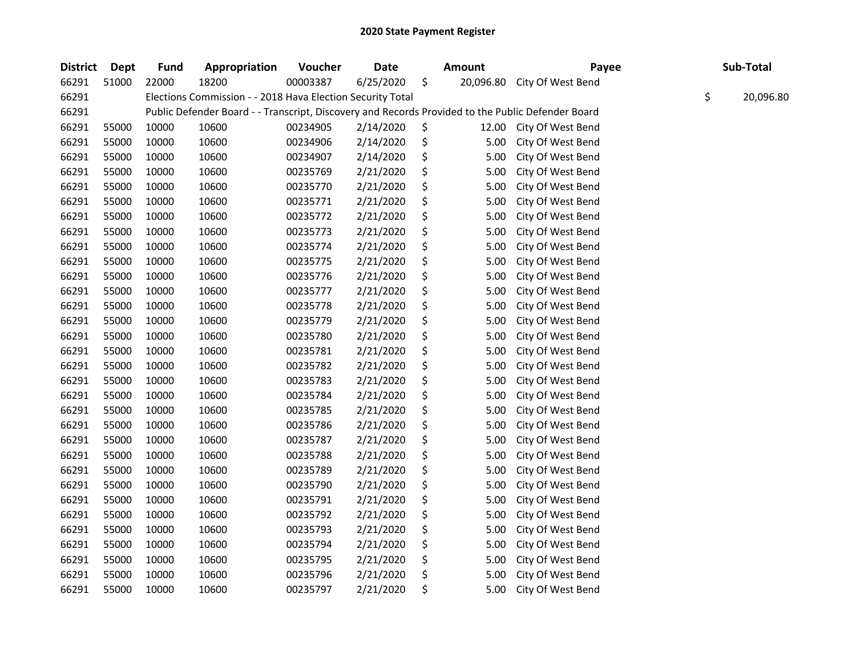| <b>District</b> | Dept  | <b>Fund</b> | Appropriation                                                                                     | Voucher  | <b>Date</b> | <b>Amount</b>   | Payee             | Sub-Total       |
|-----------------|-------|-------------|---------------------------------------------------------------------------------------------------|----------|-------------|-----------------|-------------------|-----------------|
| 66291           | 51000 | 22000       | 18200                                                                                             | 00003387 | 6/25/2020   | \$<br>20,096.80 | City Of West Bend |                 |
| 66291           |       |             | Elections Commission - - 2018 Hava Election Security Total                                        |          |             |                 |                   | \$<br>20,096.80 |
| 66291           |       |             | Public Defender Board - - Transcript, Discovery and Records Provided to the Public Defender Board |          |             |                 |                   |                 |
| 66291           | 55000 | 10000       | 10600                                                                                             | 00234905 | 2/14/2020   | \$<br>12.00     | City Of West Bend |                 |
| 66291           | 55000 | 10000       | 10600                                                                                             | 00234906 | 2/14/2020   | \$<br>5.00      | City Of West Bend |                 |
| 66291           | 55000 | 10000       | 10600                                                                                             | 00234907 | 2/14/2020   | \$<br>5.00      | City Of West Bend |                 |
| 66291           | 55000 | 10000       | 10600                                                                                             | 00235769 | 2/21/2020   | \$<br>5.00      | City Of West Bend |                 |
| 66291           | 55000 | 10000       | 10600                                                                                             | 00235770 | 2/21/2020   | \$<br>5.00      | City Of West Bend |                 |
| 66291           | 55000 | 10000       | 10600                                                                                             | 00235771 | 2/21/2020   | \$<br>5.00      | City Of West Bend |                 |
| 66291           | 55000 | 10000       | 10600                                                                                             | 00235772 | 2/21/2020   | \$<br>5.00      | City Of West Bend |                 |
| 66291           | 55000 | 10000       | 10600                                                                                             | 00235773 | 2/21/2020   | \$<br>5.00      | City Of West Bend |                 |
| 66291           | 55000 | 10000       | 10600                                                                                             | 00235774 | 2/21/2020   | \$<br>5.00      | City Of West Bend |                 |
| 66291           | 55000 | 10000       | 10600                                                                                             | 00235775 | 2/21/2020   | \$<br>5.00      | City Of West Bend |                 |
| 66291           | 55000 | 10000       | 10600                                                                                             | 00235776 | 2/21/2020   | \$<br>5.00      | City Of West Bend |                 |
| 66291           | 55000 | 10000       | 10600                                                                                             | 00235777 | 2/21/2020   | \$<br>5.00      | City Of West Bend |                 |
| 66291           | 55000 | 10000       | 10600                                                                                             | 00235778 | 2/21/2020   | \$<br>5.00      | City Of West Bend |                 |
| 66291           | 55000 | 10000       | 10600                                                                                             | 00235779 | 2/21/2020   | \$<br>5.00      | City Of West Bend |                 |
| 66291           | 55000 | 10000       | 10600                                                                                             | 00235780 | 2/21/2020   | \$<br>5.00      | City Of West Bend |                 |
| 66291           | 55000 | 10000       | 10600                                                                                             | 00235781 | 2/21/2020   | \$<br>5.00      | City Of West Bend |                 |
| 66291           | 55000 | 10000       | 10600                                                                                             | 00235782 | 2/21/2020   | \$<br>5.00      | City Of West Bend |                 |
| 66291           | 55000 | 10000       | 10600                                                                                             | 00235783 | 2/21/2020   | \$<br>5.00      | City Of West Bend |                 |
| 66291           | 55000 | 10000       | 10600                                                                                             | 00235784 | 2/21/2020   | \$<br>5.00      | City Of West Bend |                 |
| 66291           | 55000 | 10000       | 10600                                                                                             | 00235785 | 2/21/2020   | \$<br>5.00      | City Of West Bend |                 |
| 66291           | 55000 | 10000       | 10600                                                                                             | 00235786 | 2/21/2020   | \$<br>5.00      | City Of West Bend |                 |
| 66291           | 55000 | 10000       | 10600                                                                                             | 00235787 | 2/21/2020   | \$<br>5.00      | City Of West Bend |                 |
| 66291           | 55000 | 10000       | 10600                                                                                             | 00235788 | 2/21/2020   | \$<br>5.00      | City Of West Bend |                 |
| 66291           | 55000 | 10000       | 10600                                                                                             | 00235789 | 2/21/2020   | \$<br>5.00      | City Of West Bend |                 |
| 66291           | 55000 | 10000       | 10600                                                                                             | 00235790 | 2/21/2020   | \$<br>5.00      | City Of West Bend |                 |
| 66291           | 55000 | 10000       | 10600                                                                                             | 00235791 | 2/21/2020   | \$<br>5.00      | City Of West Bend |                 |
| 66291           | 55000 | 10000       | 10600                                                                                             | 00235792 | 2/21/2020   | \$<br>5.00      | City Of West Bend |                 |
| 66291           | 55000 | 10000       | 10600                                                                                             | 00235793 | 2/21/2020   | \$<br>5.00      | City Of West Bend |                 |
| 66291           | 55000 | 10000       | 10600                                                                                             | 00235794 | 2/21/2020   | \$<br>5.00      | City Of West Bend |                 |
| 66291           | 55000 | 10000       | 10600                                                                                             | 00235795 | 2/21/2020   | \$<br>5.00      | City Of West Bend |                 |
| 66291           | 55000 | 10000       | 10600                                                                                             | 00235796 | 2/21/2020   | \$<br>5.00      | City Of West Bend |                 |
| 66291           | 55000 | 10000       | 10600                                                                                             | 00235797 | 2/21/2020   | \$<br>5.00      | City Of West Bend |                 |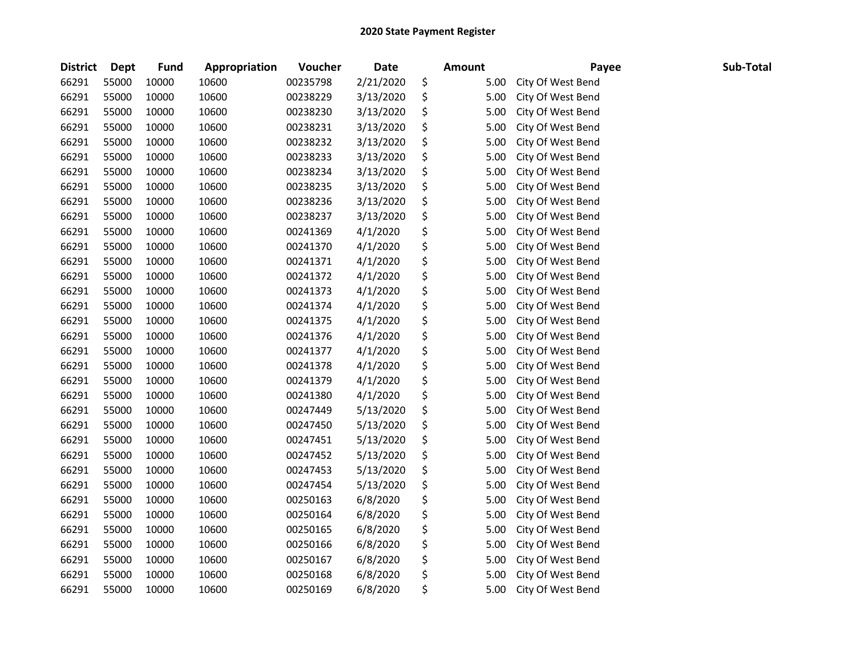| <b>District</b> | <b>Dept</b> | Fund  | Appropriation | Voucher  | <b>Date</b> | Amount     | Payee             | Sub-Total |
|-----------------|-------------|-------|---------------|----------|-------------|------------|-------------------|-----------|
| 66291           | 55000       | 10000 | 10600         | 00235798 | 2/21/2020   | \$<br>5.00 | City Of West Bend |           |
| 66291           | 55000       | 10000 | 10600         | 00238229 | 3/13/2020   | \$<br>5.00 | City Of West Bend |           |
| 66291           | 55000       | 10000 | 10600         | 00238230 | 3/13/2020   | \$<br>5.00 | City Of West Bend |           |
| 66291           | 55000       | 10000 | 10600         | 00238231 | 3/13/2020   | \$<br>5.00 | City Of West Bend |           |
| 66291           | 55000       | 10000 | 10600         | 00238232 | 3/13/2020   | \$<br>5.00 | City Of West Bend |           |
| 66291           | 55000       | 10000 | 10600         | 00238233 | 3/13/2020   | \$<br>5.00 | City Of West Bend |           |
| 66291           | 55000       | 10000 | 10600         | 00238234 | 3/13/2020   | \$<br>5.00 | City Of West Bend |           |
| 66291           | 55000       | 10000 | 10600         | 00238235 | 3/13/2020   | \$<br>5.00 | City Of West Bend |           |
| 66291           | 55000       | 10000 | 10600         | 00238236 | 3/13/2020   | \$<br>5.00 | City Of West Bend |           |
| 66291           | 55000       | 10000 | 10600         | 00238237 | 3/13/2020   | \$<br>5.00 | City Of West Bend |           |
| 66291           | 55000       | 10000 | 10600         | 00241369 | 4/1/2020    | \$<br>5.00 | City Of West Bend |           |
| 66291           | 55000       | 10000 | 10600         | 00241370 | 4/1/2020    | \$<br>5.00 | City Of West Bend |           |
| 66291           | 55000       | 10000 | 10600         | 00241371 | 4/1/2020    | \$<br>5.00 | City Of West Bend |           |
| 66291           | 55000       | 10000 | 10600         | 00241372 | 4/1/2020    | \$<br>5.00 | City Of West Bend |           |
| 66291           | 55000       | 10000 | 10600         | 00241373 | 4/1/2020    | \$<br>5.00 | City Of West Bend |           |
| 66291           | 55000       | 10000 | 10600         | 00241374 | 4/1/2020    | \$<br>5.00 | City Of West Bend |           |
| 66291           | 55000       | 10000 | 10600         | 00241375 | 4/1/2020    | \$<br>5.00 | City Of West Bend |           |
| 66291           | 55000       | 10000 | 10600         | 00241376 | 4/1/2020    | \$<br>5.00 | City Of West Bend |           |
| 66291           | 55000       | 10000 | 10600         | 00241377 | 4/1/2020    | \$<br>5.00 | City Of West Bend |           |
| 66291           | 55000       | 10000 | 10600         | 00241378 | 4/1/2020    | \$<br>5.00 | City Of West Bend |           |
| 66291           | 55000       | 10000 | 10600         | 00241379 | 4/1/2020    | \$<br>5.00 | City Of West Bend |           |
| 66291           | 55000       | 10000 | 10600         | 00241380 | 4/1/2020    | \$<br>5.00 | City Of West Bend |           |
| 66291           | 55000       | 10000 | 10600         | 00247449 | 5/13/2020   | \$<br>5.00 | City Of West Bend |           |
| 66291           | 55000       | 10000 | 10600         | 00247450 | 5/13/2020   | \$<br>5.00 | City Of West Bend |           |
| 66291           | 55000       | 10000 | 10600         | 00247451 | 5/13/2020   | \$<br>5.00 | City Of West Bend |           |
| 66291           | 55000       | 10000 | 10600         | 00247452 | 5/13/2020   | \$<br>5.00 | City Of West Bend |           |
| 66291           | 55000       | 10000 | 10600         | 00247453 | 5/13/2020   | \$<br>5.00 | City Of West Bend |           |
| 66291           | 55000       | 10000 | 10600         | 00247454 | 5/13/2020   | \$<br>5.00 | City Of West Bend |           |
| 66291           | 55000       | 10000 | 10600         | 00250163 | 6/8/2020    | \$<br>5.00 | City Of West Bend |           |
| 66291           | 55000       | 10000 | 10600         | 00250164 | 6/8/2020    | \$<br>5.00 | City Of West Bend |           |
| 66291           | 55000       | 10000 | 10600         | 00250165 | 6/8/2020    | \$<br>5.00 | City Of West Bend |           |
| 66291           | 55000       | 10000 | 10600         | 00250166 | 6/8/2020    | \$<br>5.00 | City Of West Bend |           |
| 66291           | 55000       | 10000 | 10600         | 00250167 | 6/8/2020    | \$<br>5.00 | City Of West Bend |           |
| 66291           | 55000       | 10000 | 10600         | 00250168 | 6/8/2020    | \$<br>5.00 | City Of West Bend |           |
| 66291           | 55000       | 10000 | 10600         | 00250169 | 6/8/2020    | \$<br>5.00 | City Of West Bend |           |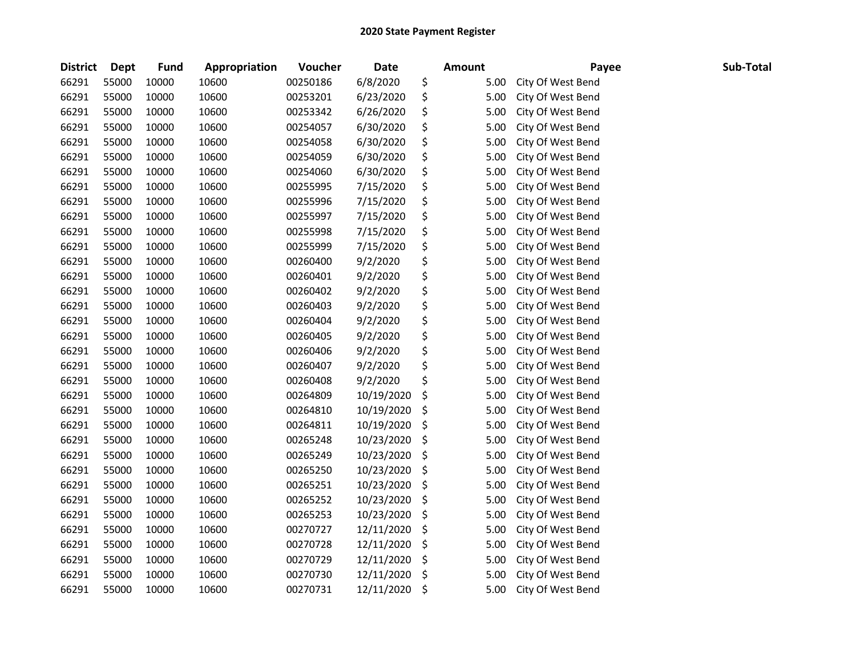| <b>District</b> | <b>Dept</b> | Fund  | Appropriation | Voucher  | <b>Date</b> | <b>Amount</b> | Payee             | Sub-Total |
|-----------------|-------------|-------|---------------|----------|-------------|---------------|-------------------|-----------|
| 66291           | 55000       | 10000 | 10600         | 00250186 | 6/8/2020    | \$<br>5.00    | City Of West Bend |           |
| 66291           | 55000       | 10000 | 10600         | 00253201 | 6/23/2020   | \$<br>5.00    | City Of West Bend |           |
| 66291           | 55000       | 10000 | 10600         | 00253342 | 6/26/2020   | \$<br>5.00    | City Of West Bend |           |
| 66291           | 55000       | 10000 | 10600         | 00254057 | 6/30/2020   | \$<br>5.00    | City Of West Bend |           |
| 66291           | 55000       | 10000 | 10600         | 00254058 | 6/30/2020   | \$<br>5.00    | City Of West Bend |           |
| 66291           | 55000       | 10000 | 10600         | 00254059 | 6/30/2020   | \$<br>5.00    | City Of West Bend |           |
| 66291           | 55000       | 10000 | 10600         | 00254060 | 6/30/2020   | \$<br>5.00    | City Of West Bend |           |
| 66291           | 55000       | 10000 | 10600         | 00255995 | 7/15/2020   | \$<br>5.00    | City Of West Bend |           |
| 66291           | 55000       | 10000 | 10600         | 00255996 | 7/15/2020   | \$<br>5.00    | City Of West Bend |           |
| 66291           | 55000       | 10000 | 10600         | 00255997 | 7/15/2020   | \$<br>5.00    | City Of West Bend |           |
| 66291           | 55000       | 10000 | 10600         | 00255998 | 7/15/2020   | \$<br>5.00    | City Of West Bend |           |
| 66291           | 55000       | 10000 | 10600         | 00255999 | 7/15/2020   | \$<br>5.00    | City Of West Bend |           |
| 66291           | 55000       | 10000 | 10600         | 00260400 | 9/2/2020    | \$<br>5.00    | City Of West Bend |           |
| 66291           | 55000       | 10000 | 10600         | 00260401 | 9/2/2020    | \$<br>5.00    | City Of West Bend |           |
| 66291           | 55000       | 10000 | 10600         | 00260402 | 9/2/2020    | \$<br>5.00    | City Of West Bend |           |
| 66291           | 55000       | 10000 | 10600         | 00260403 | 9/2/2020    | \$<br>5.00    | City Of West Bend |           |
| 66291           | 55000       | 10000 | 10600         | 00260404 | 9/2/2020    | \$<br>5.00    | City Of West Bend |           |
| 66291           | 55000       | 10000 | 10600         | 00260405 | 9/2/2020    | \$<br>5.00    | City Of West Bend |           |
| 66291           | 55000       | 10000 | 10600         | 00260406 | 9/2/2020    | \$<br>5.00    | City Of West Bend |           |
| 66291           | 55000       | 10000 | 10600         | 00260407 | 9/2/2020    | \$<br>5.00    | City Of West Bend |           |
| 66291           | 55000       | 10000 | 10600         | 00260408 | 9/2/2020    | \$<br>5.00    | City Of West Bend |           |
| 66291           | 55000       | 10000 | 10600         | 00264809 | 10/19/2020  | \$<br>5.00    | City Of West Bend |           |
| 66291           | 55000       | 10000 | 10600         | 00264810 | 10/19/2020  | \$<br>5.00    | City Of West Bend |           |
| 66291           | 55000       | 10000 | 10600         | 00264811 | 10/19/2020  | \$<br>5.00    | City Of West Bend |           |
| 66291           | 55000       | 10000 | 10600         | 00265248 | 10/23/2020  | \$<br>5.00    | City Of West Bend |           |
| 66291           | 55000       | 10000 | 10600         | 00265249 | 10/23/2020  | \$<br>5.00    | City Of West Bend |           |
| 66291           | 55000       | 10000 | 10600         | 00265250 | 10/23/2020  | \$<br>5.00    | City Of West Bend |           |
| 66291           | 55000       | 10000 | 10600         | 00265251 | 10/23/2020  | \$<br>5.00    | City Of West Bend |           |
| 66291           | 55000       | 10000 | 10600         | 00265252 | 10/23/2020  | \$<br>5.00    | City Of West Bend |           |
| 66291           | 55000       | 10000 | 10600         | 00265253 | 10/23/2020  | \$<br>5.00    | City Of West Bend |           |
| 66291           | 55000       | 10000 | 10600         | 00270727 | 12/11/2020  | \$<br>5.00    | City Of West Bend |           |
| 66291           | 55000       | 10000 | 10600         | 00270728 | 12/11/2020  | \$<br>5.00    | City Of West Bend |           |
| 66291           | 55000       | 10000 | 10600         | 00270729 | 12/11/2020  | \$<br>5.00    | City Of West Bend |           |
| 66291           | 55000       | 10000 | 10600         | 00270730 | 12/11/2020  | \$<br>5.00    | City Of West Bend |           |
| 66291           | 55000       | 10000 | 10600         | 00270731 | 12/11/2020  | \$<br>5.00    | City Of West Bend |           |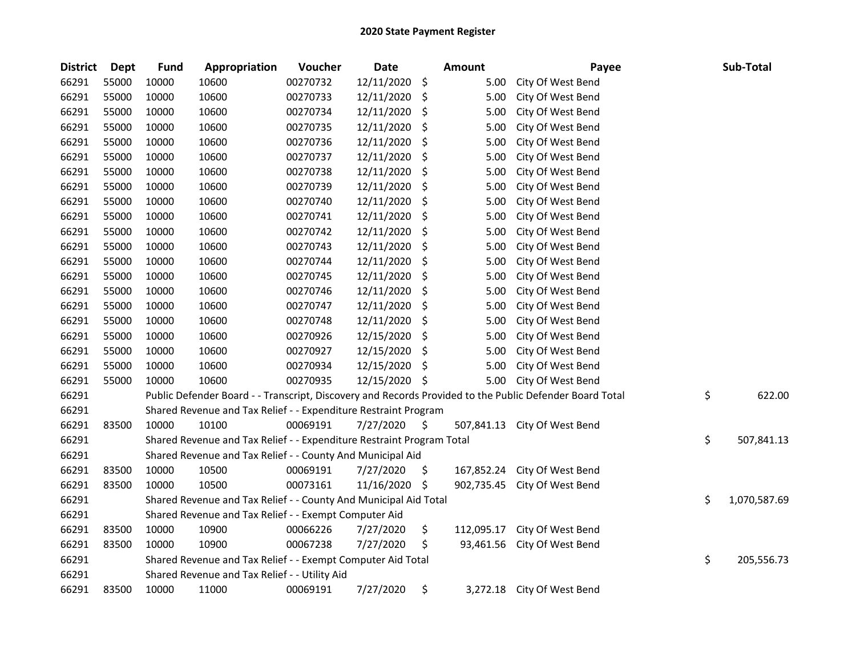| <b>District</b> | <b>Dept</b> | <b>Fund</b>                                                                                             | Appropriation                                               | Voucher  | <b>Date</b> |    | <b>Amount</b> | Payee             |    | Sub-Total    |
|-----------------|-------------|---------------------------------------------------------------------------------------------------------|-------------------------------------------------------------|----------|-------------|----|---------------|-------------------|----|--------------|
| 66291           | 55000       | 10000                                                                                                   | 10600                                                       | 00270732 | 12/11/2020  | \$ | 5.00          | City Of West Bend |    |              |
| 66291           | 55000       | 10000                                                                                                   | 10600                                                       | 00270733 | 12/11/2020  | \$ | 5.00          | City Of West Bend |    |              |
| 66291           | 55000       | 10000                                                                                                   | 10600                                                       | 00270734 | 12/11/2020  | \$ | 5.00          | City Of West Bend |    |              |
| 66291           | 55000       | 10000                                                                                                   | 10600                                                       | 00270735 | 12/11/2020  | \$ | 5.00          | City Of West Bend |    |              |
| 66291           | 55000       | 10000                                                                                                   | 10600                                                       | 00270736 | 12/11/2020  | \$ | 5.00          | City Of West Bend |    |              |
| 66291           | 55000       | 10000                                                                                                   | 10600                                                       | 00270737 | 12/11/2020  | \$ | 5.00          | City Of West Bend |    |              |
| 66291           | 55000       | 10000                                                                                                   | 10600                                                       | 00270738 | 12/11/2020  | \$ | 5.00          | City Of West Bend |    |              |
| 66291           | 55000       | 10000                                                                                                   | 10600                                                       | 00270739 | 12/11/2020  | \$ | 5.00          | City Of West Bend |    |              |
| 66291           | 55000       | 10000                                                                                                   | 10600                                                       | 00270740 | 12/11/2020  | \$ | 5.00          | City Of West Bend |    |              |
| 66291           | 55000       | 10000                                                                                                   | 10600                                                       | 00270741 | 12/11/2020  | \$ | 5.00          | City Of West Bend |    |              |
| 66291           | 55000       | 10000                                                                                                   | 10600                                                       | 00270742 | 12/11/2020  | \$ | 5.00          | City Of West Bend |    |              |
| 66291           | 55000       | 10000                                                                                                   | 10600                                                       | 00270743 | 12/11/2020  | \$ | 5.00          | City Of West Bend |    |              |
| 66291           | 55000       | 10000                                                                                                   | 10600                                                       | 00270744 | 12/11/2020  | \$ | 5.00          | City Of West Bend |    |              |
| 66291           | 55000       | 10000                                                                                                   | 10600                                                       | 00270745 | 12/11/2020  | \$ | 5.00          | City Of West Bend |    |              |
| 66291           | 55000       | 10000                                                                                                   | 10600                                                       | 00270746 | 12/11/2020  | \$ | 5.00          | City Of West Bend |    |              |
| 66291           | 55000       | 10000                                                                                                   | 10600                                                       | 00270747 | 12/11/2020  | \$ | 5.00          | City Of West Bend |    |              |
| 66291           | 55000       | 10000                                                                                                   | 10600                                                       | 00270748 | 12/11/2020  | S. | 5.00          | City Of West Bend |    |              |
| 66291           | 55000       | 10000                                                                                                   | 10600                                                       | 00270926 | 12/15/2020  | \$ | 5.00          | City Of West Bend |    |              |
| 66291           | 55000       | 10000                                                                                                   | 10600                                                       | 00270927 | 12/15/2020  | \$ | 5.00          | City Of West Bend |    |              |
| 66291           | 55000       | 10000                                                                                                   | 10600                                                       | 00270934 | 12/15/2020  | \$ | 5.00          | City Of West Bend |    |              |
| 66291           | 55000       | 10000                                                                                                   | 10600                                                       | 00270935 | 12/15/2020  | \$ | 5.00          | City Of West Bend |    |              |
| 66291           |             | Public Defender Board - - Transcript, Discovery and Records Provided to the Public Defender Board Total |                                                             |          |             |    |               |                   |    | 622.00       |
| 66291           |             | Shared Revenue and Tax Relief - - Expenditure Restraint Program                                         |                                                             |          |             |    |               |                   |    |              |
| 66291           | 83500       | 10000                                                                                                   | 10100                                                       | 00069191 | 7/27/2020   | \$ | 507,841.13    | City Of West Bend |    |              |
| 66291           |             | Shared Revenue and Tax Relief - - Expenditure Restraint Program Total                                   |                                                             |          |             |    |               |                   |    | 507,841.13   |
| 66291           |             | \$<br>Shared Revenue and Tax Relief - - County And Municipal Aid                                        |                                                             |          |             |    |               |                   |    |              |
| 66291           | 83500       | 10000                                                                                                   | 10500                                                       | 00069191 | 7/27/2020   | \$ | 167,852.24    | City Of West Bend |    |              |
| 66291           | 83500       | 10000                                                                                                   | 10500                                                       | 00073161 | 11/16/2020  | \$ | 902,735.45    | City Of West Bend |    |              |
| 66291           |             | Shared Revenue and Tax Relief - - County And Municipal Aid Total                                        |                                                             |          |             |    |               |                   |    | 1,070,587.69 |
| 66291           |             | Shared Revenue and Tax Relief - - Exempt Computer Aid                                                   |                                                             |          |             |    |               |                   |    |              |
| 66291           | 83500       | 10000                                                                                                   | 10900                                                       | 00066226 | 7/27/2020   | \$ | 112,095.17    | City Of West Bend |    |              |
| 66291           | 83500       | 10000                                                                                                   | 10900                                                       | 00067238 | 7/27/2020   | \$ | 93,461.56     | City Of West Bend |    |              |
| 66291           |             |                                                                                                         | Shared Revenue and Tax Relief - - Exempt Computer Aid Total |          |             |    |               |                   | \$ | 205,556.73   |
| 66291           |             | Shared Revenue and Tax Relief - - Utility Aid                                                           |                                                             |          |             |    |               |                   |    |              |
| 66291           | 83500       | 10000                                                                                                   | 11000                                                       | 00069191 | 7/27/2020   | \$ | 3,272.18      | City Of West Bend |    |              |